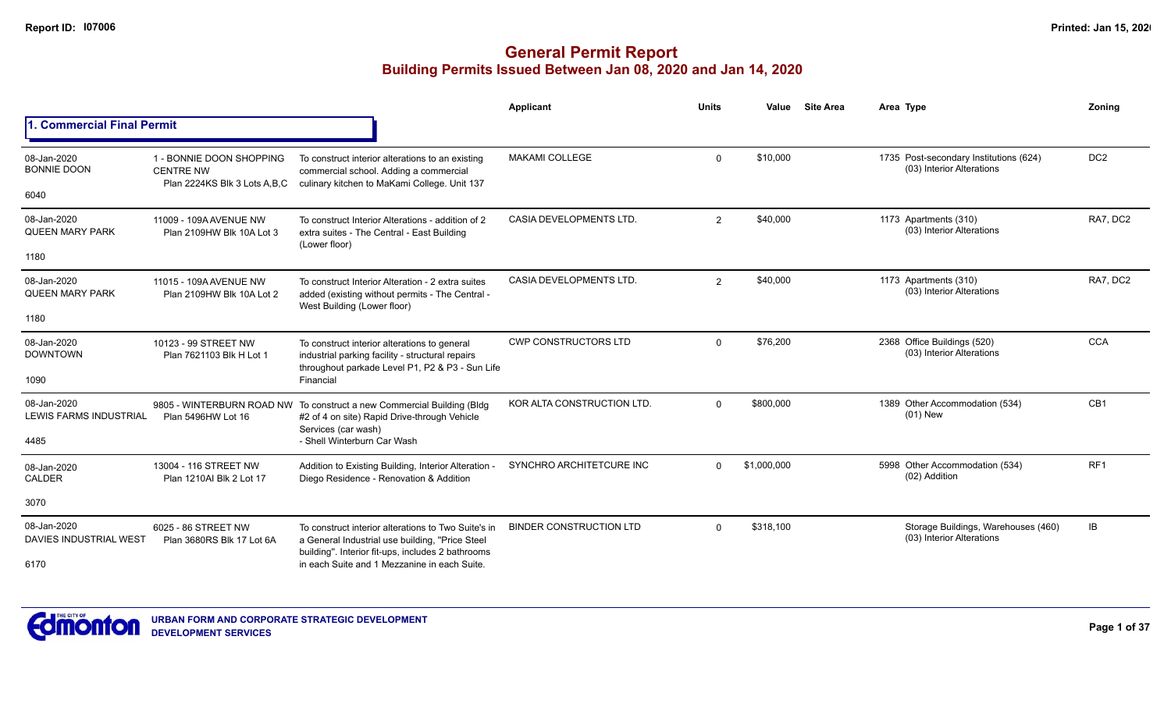|                                           |                                                                              |                                                                                                                                                     | Applicant                      | <b>Units</b>   | Value       | <b>Site Area</b> | Area Type                                                           | Zoning          |
|-------------------------------------------|------------------------------------------------------------------------------|-----------------------------------------------------------------------------------------------------------------------------------------------------|--------------------------------|----------------|-------------|------------------|---------------------------------------------------------------------|-----------------|
| . Commercial Final Permit                 |                                                                              |                                                                                                                                                     |                                |                |             |                  |                                                                     |                 |
| 08-Jan-2020<br><b>BONNIE DOON</b><br>6040 | 1 - BONNIE DOON SHOPPING<br><b>CENTRE NW</b><br>Plan 2224KS Blk 3 Lots A.B.C | To construct interior alterations to an existing<br>commercial school. Adding a commercial<br>culinary kitchen to MaKami College. Unit 137          | <b>MAKAMI COLLEGE</b>          | $\Omega$       | \$10.000    |                  | 1735 Post-secondary Institutions (624)<br>(03) Interior Alterations | DC <sub>2</sub> |
| 08-Jan-2020                               |                                                                              |                                                                                                                                                     | CASIA DEVELOPMENTS LTD.        |                | \$40,000    |                  | 1173 Apartments (310)                                               | RA7, DC2        |
| <b>QUEEN MARY PARK</b>                    | 11009 - 109A AVENUE NW<br>Plan 2109HW Blk 10A Lot 3                          | To construct Interior Alterations - addition of 2<br>extra suites - The Central - East Building<br>(Lower floor)                                    |                                | 2              |             |                  | (03) Interior Alterations                                           |                 |
| 1180                                      |                                                                              |                                                                                                                                                     |                                |                |             |                  |                                                                     |                 |
| 08-Jan-2020<br><b>QUEEN MARY PARK</b>     | 11015 - 109A AVENUE NW<br>Plan 2109HW Blk 10A Lot 2                          | To construct Interior Alteration - 2 extra suites<br>added (existing without permits - The Central -<br>West Building (Lower floor)                 | <b>CASIA DEVELOPMENTS LTD.</b> | $\overline{2}$ | \$40,000    |                  | 1173 Apartments (310)<br>(03) Interior Alterations                  | RA7, DC2        |
| 1180                                      |                                                                              |                                                                                                                                                     |                                |                |             |                  |                                                                     |                 |
| 08-Jan-2020<br><b>DOWNTOWN</b>            | 10123 - 99 STREET NW<br>Plan 7621103 Blk H Lot 1                             | To construct interior alterations to general<br>industrial parking facility - structural repairs<br>throughout parkade Level P1, P2 & P3 - Sun Life | <b>CWP CONSTRUCTORS LTD</b>    | $\Omega$       | \$76,200    |                  | 2368 Office Buildings (520)<br>(03) Interior Alterations            | <b>CCA</b>      |
| 1090                                      |                                                                              | Financial                                                                                                                                           |                                |                |             |                  |                                                                     |                 |
| 08-Jan-2020<br>LEWIS FARMS INDUSTRIAL     | 9805 - WINTERBURN ROAD NW<br>Plan 5496HW Lot 16                              | To construct a new Commercial Building (Bldg<br>#2 of 4 on site) Rapid Drive-through Vehicle<br>Services (car wash)                                 | KOR ALTA CONSTRUCTION LTD.     | $\Omega$       | \$800,000   |                  | 1389 Other Accommodation (534)<br>$(01)$ New                        | CB1             |
| 4485                                      |                                                                              | - Shell Winterburn Car Wash                                                                                                                         |                                |                |             |                  |                                                                     |                 |
| 08-Jan-2020<br><b>CALDER</b>              | 13004 - 116 STREET NW<br>Plan 1210Al Blk 2 Lot 17                            | Addition to Existing Building, Interior Alteration -<br>Diego Residence - Renovation & Addition                                                     | SYNCHRO ARCHITETCURE INC       | $\Omega$       | \$1,000,000 |                  | 5998 Other Accommodation (534)<br>(02) Addition                     | RF <sub>1</sub> |
| 3070                                      |                                                                              |                                                                                                                                                     |                                |                |             |                  |                                                                     |                 |
| 08-Jan-2020<br>DAVIES INDUSTRIAL WEST     | 6025 - 86 STREET NW<br>Plan 3680RS Blk 17 Lot 6A                             | To construct interior alterations to Two Suite's in<br>a General Industrial use building, "Price Steel                                              | <b>BINDER CONSTRUCTION LTD</b> | $\Omega$       | \$318,100   |                  | Storage Buildings, Warehouses (460)<br>(03) Interior Alterations    | IB              |
| 6170                                      |                                                                              | building". Interior fit-ups, includes 2 bathrooms<br>in each Suite and 1 Mezzanine in each Suite.                                                   |                                |                |             |                  |                                                                     |                 |

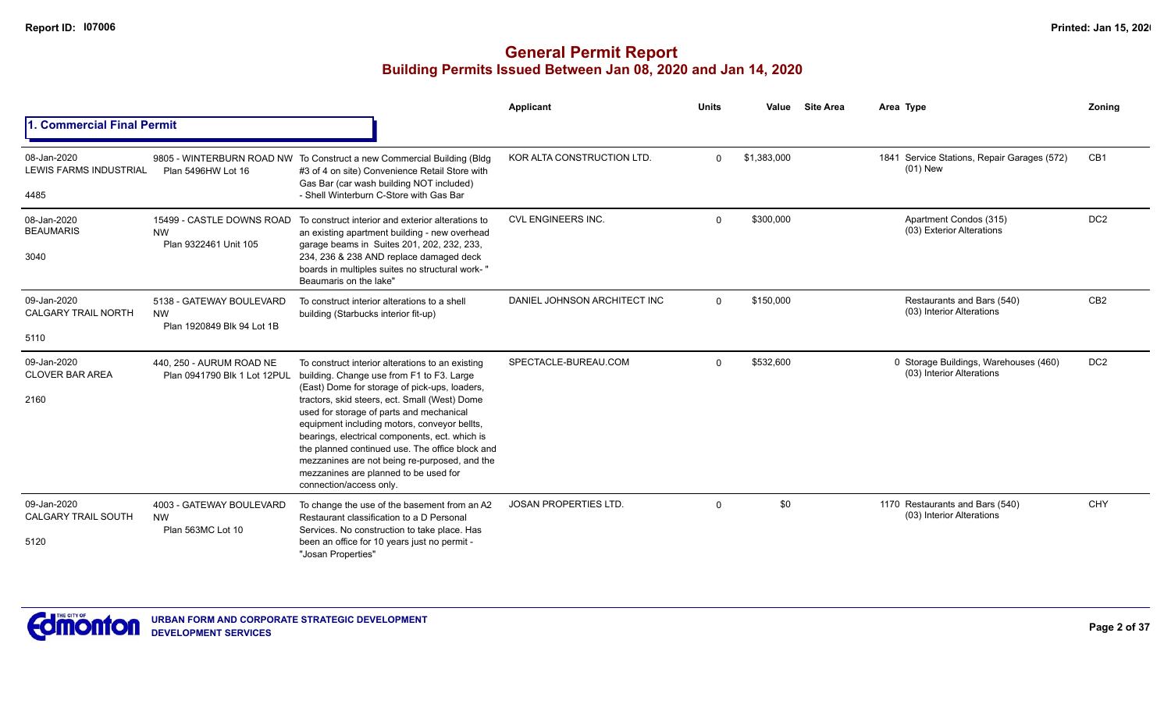|                                                      |                                                                     |                                                                                                                                                                                                                                                                                                                                                                                                                                                                                                                       | Applicant                    | <b>Units</b> | Value       | <b>Site Area</b> | Area Type                                                          | Zoning          |
|------------------------------------------------------|---------------------------------------------------------------------|-----------------------------------------------------------------------------------------------------------------------------------------------------------------------------------------------------------------------------------------------------------------------------------------------------------------------------------------------------------------------------------------------------------------------------------------------------------------------------------------------------------------------|------------------------------|--------------|-------------|------------------|--------------------------------------------------------------------|-----------------|
| 1. Commercial Final Permit                           |                                                                     |                                                                                                                                                                                                                                                                                                                                                                                                                                                                                                                       |                              |              |             |                  |                                                                    |                 |
| 08-Jan-2020<br><b>LEWIS FARMS INDUSTRIAL</b><br>4485 | Plan 5496HW Lot 16                                                  | 9805 - WINTERBURN ROAD NW To Construct a new Commercial Building (Bldg<br>#3 of 4 on site) Convenience Retail Store with<br>Gas Bar (car wash building NOT included)<br>- Shell Winterburn C-Store with Gas Bar                                                                                                                                                                                                                                                                                                       | KOR ALTA CONSTRUCTION LTD.   | $\Omega$     | \$1,383,000 |                  | 1841 Service Stations, Repair Garages (572)<br>$(01)$ New          | CB1             |
| 08-Jan-2020<br><b>BEAUMARIS</b><br>3040              | 15499 - CASTLE DOWNS ROAD<br><b>NW</b><br>Plan 9322461 Unit 105     | To construct interior and exterior alterations to<br>an existing apartment building - new overhead<br>garage beams in Suites 201, 202, 232, 233,<br>234, 236 & 238 AND replace damaged deck<br>boards in multiples suites no structural work-"<br>Beaumaris on the lake"                                                                                                                                                                                                                                              | CVL ENGINEERS INC.           | $\Omega$     | \$300,000   |                  | Apartment Condos (315)<br>(03) Exterior Alterations                | DC <sub>2</sub> |
| 09-Jan-2020<br><b>CALGARY TRAIL NORTH</b><br>5110    | 5138 - GATEWAY BOULEVARD<br><b>NW</b><br>Plan 1920849 Blk 94 Lot 1B | To construct interior alterations to a shell<br>building (Starbucks interior fit-up)                                                                                                                                                                                                                                                                                                                                                                                                                                  | DANIEL JOHNSON ARCHITECT INC | $\Omega$     | \$150,000   |                  | Restaurants and Bars (540)<br>(03) Interior Alterations            | CB <sub>2</sub> |
| 09-Jan-2020<br><b>CLOVER BAR AREA</b><br>2160        | 440, 250 - AURUM ROAD NE<br>Plan 0941790 Blk 1 Lot 12PUL            | To construct interior alterations to an existing<br>building. Change use from F1 to F3. Large<br>(East) Dome for storage of pick-ups, loaders,<br>tractors, skid steers, ect. Small (West) Dome<br>used for storage of parts and mechanical<br>equipment including motors, conveyor bellts,<br>bearings, electrical components, ect. which is<br>the planned continued use. The office block and<br>mezzanines are not being re-purposed, and the<br>mezzanines are planned to be used for<br>connection/access only. | SPECTACLE-BUREAU.COM         | $\Omega$     | \$532,600   |                  | 0 Storage Buildings, Warehouses (460)<br>(03) Interior Alterations | DC <sub>2</sub> |
| 09-Jan-2020<br><b>CALGARY TRAIL SOUTH</b><br>5120    | 4003 - GATEWAY BOULEVARD<br><b>NW</b><br>Plan 563MC Lot 10          | To change the use of the basement from an A2<br>Restaurant classification to a D Personal<br>Services. No construction to take place. Has<br>been an office for 10 years just no permit -<br>"Josan Properties"                                                                                                                                                                                                                                                                                                       | <b>JOSAN PROPERTIES LTD.</b> | $\Omega$     | \$0         |                  | 1170 Restaurants and Bars (540)<br>(03) Interior Alterations       | <b>CHY</b>      |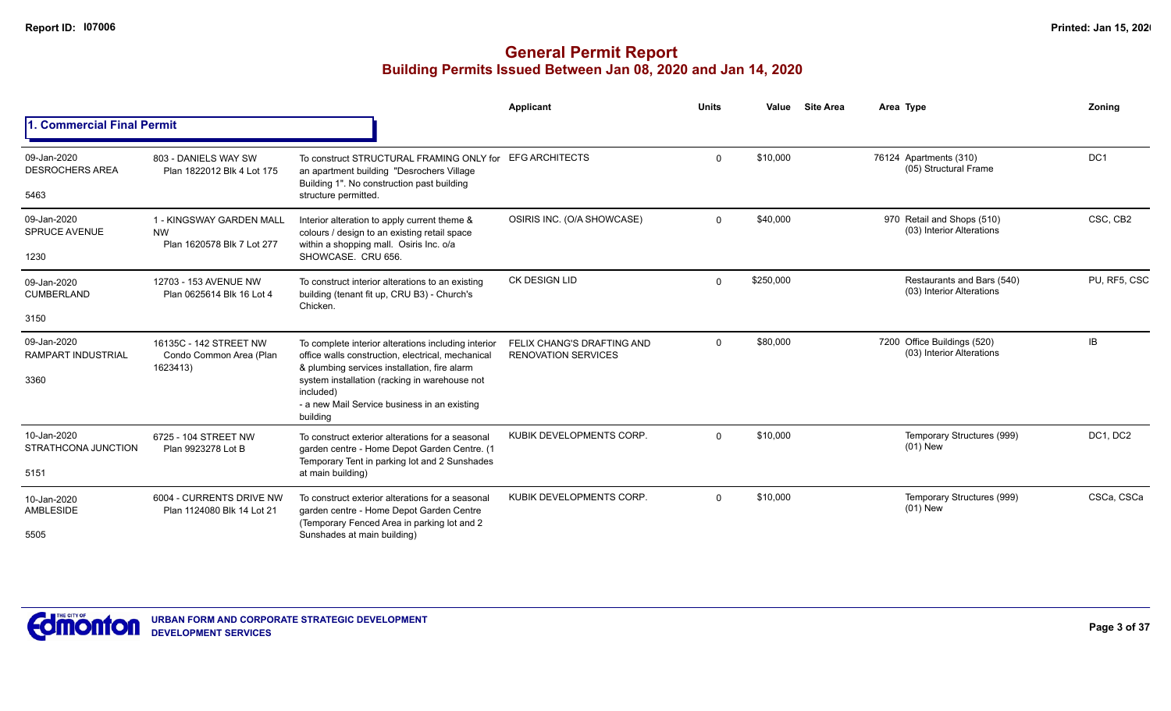|                                                  |                                                                     |                                                                                                                                                                                                                                                                                    | Applicant                                                | <b>Units</b> | Value     | <b>Site Area</b> | Area Type                                                | Zoning          |
|--------------------------------------------------|---------------------------------------------------------------------|------------------------------------------------------------------------------------------------------------------------------------------------------------------------------------------------------------------------------------------------------------------------------------|----------------------------------------------------------|--------------|-----------|------------------|----------------------------------------------------------|-----------------|
| <b>Commercial Final Permit</b>                   |                                                                     |                                                                                                                                                                                                                                                                                    |                                                          |              |           |                  |                                                          |                 |
| 09-Jan-2020<br><b>DESROCHERS AREA</b><br>5463    | 803 - DANIELS WAY SW<br>Plan 1822012 Blk 4 Lot 175                  | To construct STRUCTURAL FRAMING ONLY for<br>an apartment building "Desrochers Village<br>Building 1". No construction past building<br>structure permitted.                                                                                                                        | <b>EFG ARCHITECTS</b>                                    | $\Omega$     | \$10,000  |                  | 76124 Apartments (310)<br>(05) Structural Frame          | DC <sub>1</sub> |
| 09-Jan-2020<br><b>SPRUCE AVENUE</b><br>1230      | 1 - KINGSWAY GARDEN MALL<br><b>NW</b><br>Plan 1620578 Blk 7 Lot 277 | Interior alteration to apply current theme &<br>colours / design to an existing retail space<br>within a shopping mall. Osiris Inc. o/a<br>SHOWCASE. CRU 656.                                                                                                                      | OSIRIS INC. (O/A SHOWCASE)                               | $\Omega$     | \$40,000  |                  | 970 Retail and Shops (510)<br>(03) Interior Alterations  | CSC, CB2        |
| 09-Jan-2020<br><b>CUMBERLAND</b>                 | 12703 - 153 AVENUE NW<br>Plan 0625614 Blk 16 Lot 4                  | To construct interior alterations to an existing<br>building (tenant fit up, CRU B3) - Church's<br>Chicken.                                                                                                                                                                        | <b>CK DESIGN LID</b>                                     | $\Omega$     | \$250,000 |                  | Restaurants and Bars (540)<br>(03) Interior Alterations  | PU, RF5, CSC    |
| 3150                                             |                                                                     |                                                                                                                                                                                                                                                                                    |                                                          |              |           |                  |                                                          |                 |
| 09-Jan-2020<br><b>RAMPART INDUSTRIAL</b><br>3360 | 16135C - 142 STREET NW<br>Condo Common Area (Plan<br>1623413)       | To complete interior alterations including interior<br>office walls construction, electrical, mechanical<br>& plumbing services installation, fire alarm<br>system installation (racking in warehouse not<br>included)<br>- a new Mail Service business in an existing<br>building | FELIX CHANG'S DRAFTING AND<br><b>RENOVATION SERVICES</b> | $\Omega$     | \$80,000  |                  | 7200 Office Buildings (520)<br>(03) Interior Alterations | <b>IB</b>       |
| 10-Jan-2020<br>STRATHCONA JUNCTION<br>5151       | 6725 - 104 STREET NW<br>Plan 9923278 Lot B                          | To construct exterior alterations for a seasonal<br>garden centre - Home Depot Garden Centre. (1<br>Temporary Tent in parking lot and 2 Sunshades<br>at main building)                                                                                                             | KUBIK DEVELOPMENTS CORP.                                 | $\Omega$     | \$10,000  |                  | Temporary Structures (999)<br>$(01)$ New                 | DC1, DC2        |
| 10-Jan-2020<br><b>AMBLESIDE</b><br>5505          | 6004 - CURRENTS DRIVE NW<br>Plan 1124080 Blk 14 Lot 21              | To construct exterior alterations for a seasonal<br>garden centre - Home Depot Garden Centre<br>(Temporary Fenced Area in parking lot and 2)<br>Sunshades at main building)                                                                                                        | KUBIK DEVELOPMENTS CORP                                  | $\Omega$     | \$10,000  |                  | Temporary Structures (999)<br>$(01)$ New                 | CSCa, CSCa      |

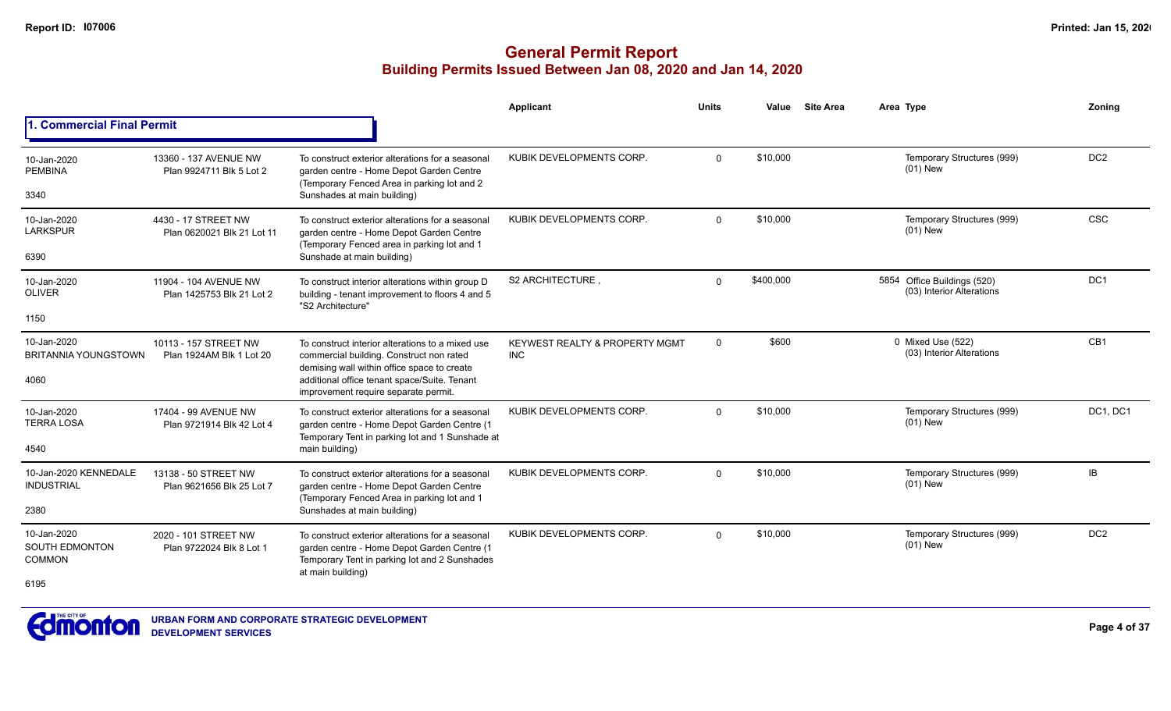|                                                        |                                                    |                                                                                                                                                                                                                                     | <b>Applicant</b>                                        | Units        | Value     | <b>Site Area</b> | Area Type                                                | Zonina          |
|--------------------------------------------------------|----------------------------------------------------|-------------------------------------------------------------------------------------------------------------------------------------------------------------------------------------------------------------------------------------|---------------------------------------------------------|--------------|-----------|------------------|----------------------------------------------------------|-----------------|
| . Commercial Final Permit                              |                                                    |                                                                                                                                                                                                                                     |                                                         |              |           |                  |                                                          |                 |
| 10-Jan-2020<br><b>PEMBINA</b><br>3340                  | 13360 - 137 AVENUE NW<br>Plan 9924711 Blk 5 Lot 2  | To construct exterior alterations for a seasonal<br>garden centre - Home Depot Garden Centre<br>(Temporary Fenced Area in parking lot and 2<br>Sunshades at main building)                                                          | KUBIK DEVELOPMENTS CORP.                                | $\mathbf{0}$ | \$10,000  |                  | Temporary Structures (999)<br>$(01)$ New                 | DC <sub>2</sub> |
| 10-Jan-2020<br><b>LARKSPUR</b><br>6390                 | 4430 - 17 STREET NW<br>Plan 0620021 Blk 21 Lot 11  | To construct exterior alterations for a seasonal<br>garden centre - Home Depot Garden Centre<br>(Temporary Fenced area in parking lot and 1<br>Sunshade at main building)                                                           | KUBIK DEVELOPMENTS CORP.                                | $\mathbf 0$  | \$10,000  |                  | Temporary Structures (999)<br>$(01)$ New                 | <b>CSC</b>      |
| 10-Jan-2020<br><b>OLIVER</b><br>1150                   | 11904 - 104 AVENUE NW<br>Plan 1425753 Blk 21 Lot 2 | To construct interior alterations within group D<br>building - tenant improvement to floors 4 and 5<br>"S2 Architecture"                                                                                                            | S2 ARCHITECTURE.                                        | $\Omega$     | \$400,000 |                  | 5854 Office Buildings (520)<br>(03) Interior Alterations | DC <sub>1</sub> |
| 10-Jan-2020<br><b>BRITANNIA YOUNGSTOWN</b><br>4060     | 10113 - 157 STREET NW<br>Plan 1924AM Blk 1 Lot 20  | To construct interior alterations to a mixed use<br>commercial building. Construct non rated<br>demising wall within office space to create<br>additional office tenant space/Suite. Tenant<br>improvement require separate permit. | <b>KEYWEST REALTY &amp; PROPERTY MGMT</b><br><b>INC</b> | $\mathbf 0$  | \$600     |                  | 0 Mixed Use (522)<br>(03) Interior Alterations           | CB1             |
| 10-Jan-2020<br><b>TERRA LOSA</b><br>4540               | 17404 - 99 AVENUE NW<br>Plan 9721914 Blk 42 Lot 4  | To construct exterior alterations for a seasonal<br>garden centre - Home Depot Garden Centre (1<br>Temporary Tent in parking lot and 1 Sunshade at<br>main building)                                                                | KUBIK DEVELOPMENTS CORP.                                | $\Omega$     | \$10,000  |                  | Temporary Structures (999)<br>$(01)$ New                 | DC1, DC1        |
| 10-Jan-2020 KENNEDALE<br><b>INDUSTRIAL</b><br>2380     | 13138 - 50 STREET NW<br>Plan 9621656 Blk 25 Lot 7  | To construct exterior alterations for a seasonal<br>garden centre - Home Depot Garden Centre<br>(Temporary Fenced Area in parking lot and 1<br>Sunshades at main building)                                                          | KUBIK DEVELOPMENTS CORP.                                | $\Omega$     | \$10,000  |                  | Temporary Structures (999)<br>$(01)$ New                 | <b>IB</b>       |
| 10-Jan-2020<br>SOUTH EDMONTON<br><b>COMMON</b><br>6195 | 2020 - 101 STREET NW<br>Plan 9722024 Blk 8 Lot 1   | To construct exterior alterations for a seasonal<br>garden centre - Home Depot Garden Centre (1<br>Temporary Tent in parking lot and 2 Sunshades<br>at main building)                                                               | KUBIK DEVELOPMENTS CORP.                                | $\Omega$     | \$10,000  |                  | Temporary Structures (999)<br>$(01)$ New                 | DC <sub>2</sub> |

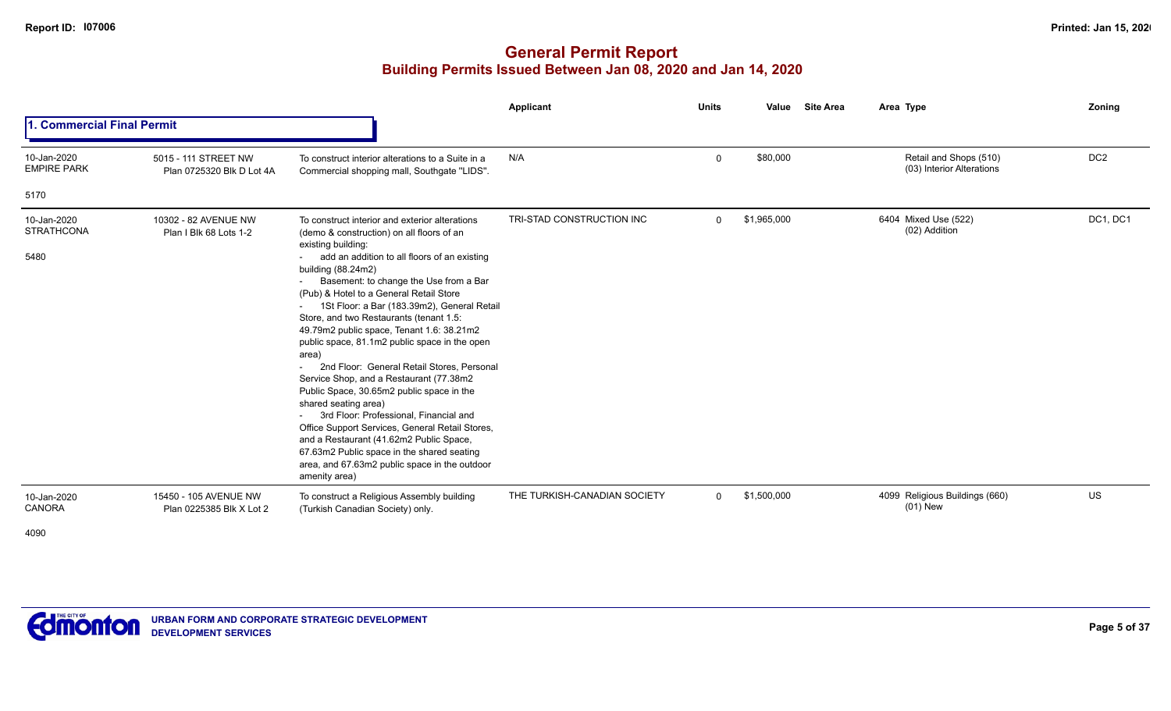|                                          |                                                   |                                                                                                                                                                                                                                                                                                                                                                                                                                                                                                                                                                                                                                                                                                                                                                                     | Applicant                    | <b>Units</b> | Value       | <b>Site Area</b> | Area Type                                           | Zoning          |
|------------------------------------------|---------------------------------------------------|-------------------------------------------------------------------------------------------------------------------------------------------------------------------------------------------------------------------------------------------------------------------------------------------------------------------------------------------------------------------------------------------------------------------------------------------------------------------------------------------------------------------------------------------------------------------------------------------------------------------------------------------------------------------------------------------------------------------------------------------------------------------------------------|------------------------------|--------------|-------------|------------------|-----------------------------------------------------|-----------------|
| . Commercial Final Permit                |                                                   |                                                                                                                                                                                                                                                                                                                                                                                                                                                                                                                                                                                                                                                                                                                                                                                     |                              |              |             |                  |                                                     |                 |
| 10-Jan-2020<br><b>EMPIRE PARK</b>        | 5015 - 111 STREET NW<br>Plan 0725320 Blk D Lot 4A | To construct interior alterations to a Suite in a<br>Commercial shopping mall, Southgate "LIDS".                                                                                                                                                                                                                                                                                                                                                                                                                                                                                                                                                                                                                                                                                    | N/A                          | 0            | \$80,000    |                  | Retail and Shops (510)<br>(03) Interior Alterations | DC <sub>2</sub> |
| 5170                                     |                                                   |                                                                                                                                                                                                                                                                                                                                                                                                                                                                                                                                                                                                                                                                                                                                                                                     |                              |              |             |                  |                                                     |                 |
| 10-Jan-2020<br><b>STRATHCONA</b><br>5480 | 10302 - 82 AVENUE NW<br>Plan I Blk 68 Lots 1-2    | To construct interior and exterior alterations<br>(demo & construction) on all floors of an<br>existing building:<br>add an addition to all floors of an existing<br>building (88.24m2)<br>Basement: to change the Use from a Bar<br>(Pub) & Hotel to a General Retail Store<br>1St Floor: a Bar (183.39m2), General Retail<br>Store, and two Restaurants (tenant 1.5:<br>49.79m2 public space, Tenant 1.6: 38.21m2<br>public space, 81.1m2 public space in the open<br>area)<br>2nd Floor: General Retail Stores, Personal<br>Service Shop, and a Restaurant (77.38m2<br>Public Space, 30.65m2 public space in the<br>shared seating area)<br>3rd Floor: Professional, Financial and<br>Office Support Services, General Retail Stores,<br>and a Restaurant (41.62m2 Public Space, | TRI-STAD CONSTRUCTION INC    | $\Omega$     | \$1,965,000 |                  | 6404 Mixed Use (522)<br>(02) Addition               | DC1, DC1        |
| 10-Jan-2020<br>CANORA                    | 15450 - 105 AVENUE NW<br>Plan 0225385 Blk X Lot 2 | 67.63m2 Public space in the shared seating<br>area, and 67.63m2 public space in the outdoor<br>amenity area)<br>To construct a Religious Assembly building<br>(Turkish Canadian Society) only.                                                                                                                                                                                                                                                                                                                                                                                                                                                                                                                                                                                      | THE TURKISH-CANADIAN SOCIETY | $\mathbf{0}$ | \$1,500,000 |                  | 4099 Religious Buildings (660)<br>$(01)$ New        | <b>US</b>       |
| 4090                                     |                                                   |                                                                                                                                                                                                                                                                                                                                                                                                                                                                                                                                                                                                                                                                                                                                                                                     |                              |              |             |                  |                                                     |                 |

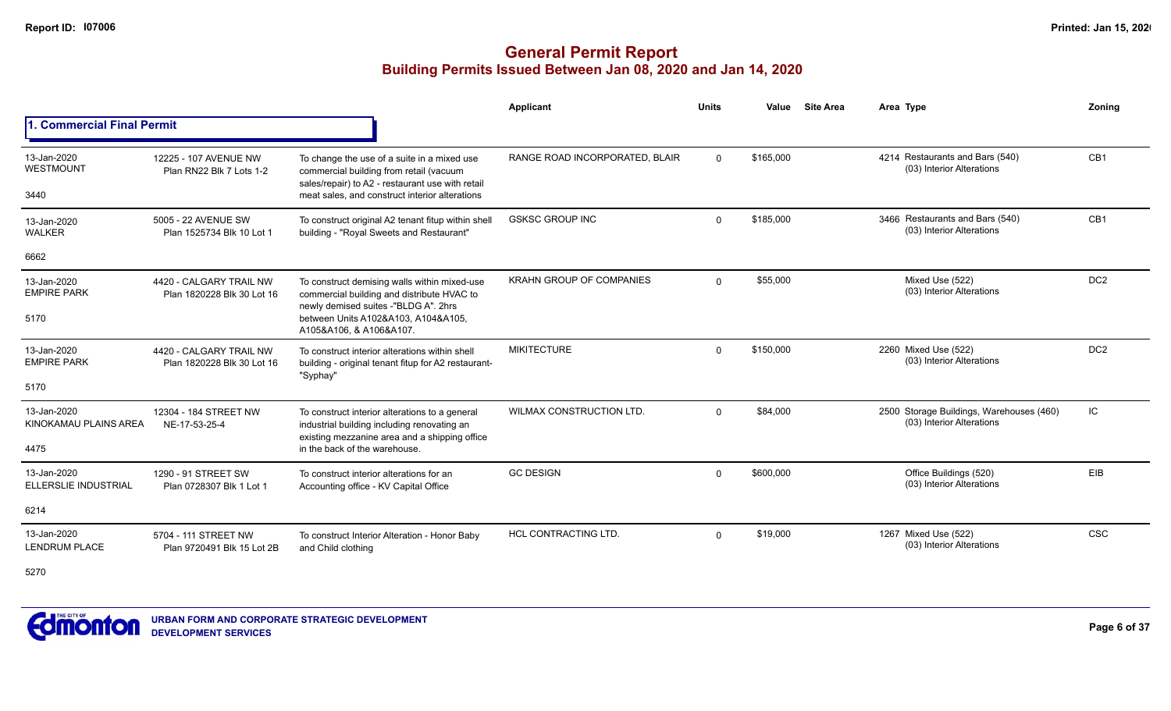## **General Permit Report Building Permits Issued Between Jan 08, 2020 and Jan 14, 2020**

|                                      |                                                       |                                                                                                                                            | Applicant                       | <b>Units</b> | Value     | <b>Site Area</b> | Area Type                                                             | Zoning          |
|--------------------------------------|-------------------------------------------------------|--------------------------------------------------------------------------------------------------------------------------------------------|---------------------------------|--------------|-----------|------------------|-----------------------------------------------------------------------|-----------------|
| <b>Commercial Final Permit</b>       |                                                       |                                                                                                                                            |                                 |              |           |                  |                                                                       |                 |
| 13-Jan-2020<br>WESTMOUNT             | 12225 - 107 AVENUE NW<br>Plan RN22 Blk 7 Lots 1-2     | To change the use of a suite in a mixed use<br>commercial building from retail (vacuum<br>sales/repair) to A2 - restaurant use with retail | RANGE ROAD INCORPORATED, BLAIR  | $\Omega$     | \$165,000 |                  | 4214 Restaurants and Bars (540)<br>(03) Interior Alterations          | CB <sub>1</sub> |
| 3440                                 |                                                       | meat sales, and construct interior alterations                                                                                             |                                 |              |           |                  |                                                                       |                 |
| 13-Jan-2020<br><b>WALKER</b>         | 5005 - 22 AVENUE SW<br>Plan 1525734 Blk 10 Lot 1      | To construct original A2 tenant fitup within shell<br>building - "Royal Sweets and Restaurant"                                             | <b>GSKSC GROUP INC</b>          | $\Omega$     | \$185,000 |                  | 3466 Restaurants and Bars (540)<br>(03) Interior Alterations          | CB <sub>1</sub> |
| 6662                                 |                                                       |                                                                                                                                            |                                 |              |           |                  |                                                                       |                 |
| 13-Jan-2020<br><b>EMPIRE PARK</b>    | 4420 - CALGARY TRAIL NW<br>Plan 1820228 Blk 30 Lot 16 | To construct demising walls within mixed-use<br>commercial building and distribute HVAC to<br>newly demised suites -"BLDG A". 2hrs         | <b>KRAHN GROUP OF COMPANIES</b> | $\Omega$     | \$55,000  |                  | Mixed Use (522)<br>(03) Interior Alterations                          | DC <sub>2</sub> |
| 5170                                 |                                                       | between Units A102&A103, A104&A105,<br>A105&A106, & A106&A107.                                                                             |                                 |              |           |                  |                                                                       |                 |
| 13-Jan-2020<br><b>EMPIRE PARK</b>    | 4420 - CALGARY TRAIL NW<br>Plan 1820228 Blk 30 Lot 16 | To construct interior alterations within shell<br>building - original tenant fitup for A2 restaurant-<br>"Syphay"                          | <b>MIKITECTURE</b>              | $\Omega$     | \$150,000 |                  | 2260 Mixed Use (522)<br>(03) Interior Alterations                     | DC <sub>2</sub> |
| 5170                                 |                                                       |                                                                                                                                            |                                 |              |           |                  |                                                                       |                 |
| 13-Jan-2020<br>KINOKAMAU PLAINS AREA | 12304 - 184 STREET NW<br>NE-17-53-25-4                | To construct interior alterations to a general<br>industrial building including renovating an                                              | <b>WILMAX CONSTRUCTION LTD.</b> | $\Omega$     | \$84,000  |                  | 2500 Storage Buildings, Warehouses (460)<br>(03) Interior Alterations | IC              |
| 4475                                 |                                                       | existing mezzanine area and a shipping office<br>in the back of the warehouse.                                                             |                                 |              |           |                  |                                                                       |                 |
| 13-Jan-2020<br>ELLERSLIE INDUSTRIAL  | 1290 - 91 STREET SW<br>Plan 0728307 Blk 1 Lot 1       | To construct interior alterations for an<br>Accounting office - KV Capital Office                                                          | <b>GC DESIGN</b>                | $\Omega$     | \$600,000 |                  | Office Buildings (520)<br>(03) Interior Alterations                   | EIB             |
| 6214                                 |                                                       |                                                                                                                                            |                                 |              |           |                  |                                                                       |                 |
| 13-Jan-2020<br><b>LENDRUM PLACE</b>  | 5704 - 111 STREET NW<br>Plan 9720491 Blk 15 Lot 2B    | To construct Interior Alteration - Honor Baby<br>and Child clothing                                                                        | <b>HCL CONTRACTING LTD.</b>     | $\Omega$     | \$19,000  |                  | 1267 Mixed Use (522)<br>(03) Interior Alterations                     | <b>CSC</b>      |

5270

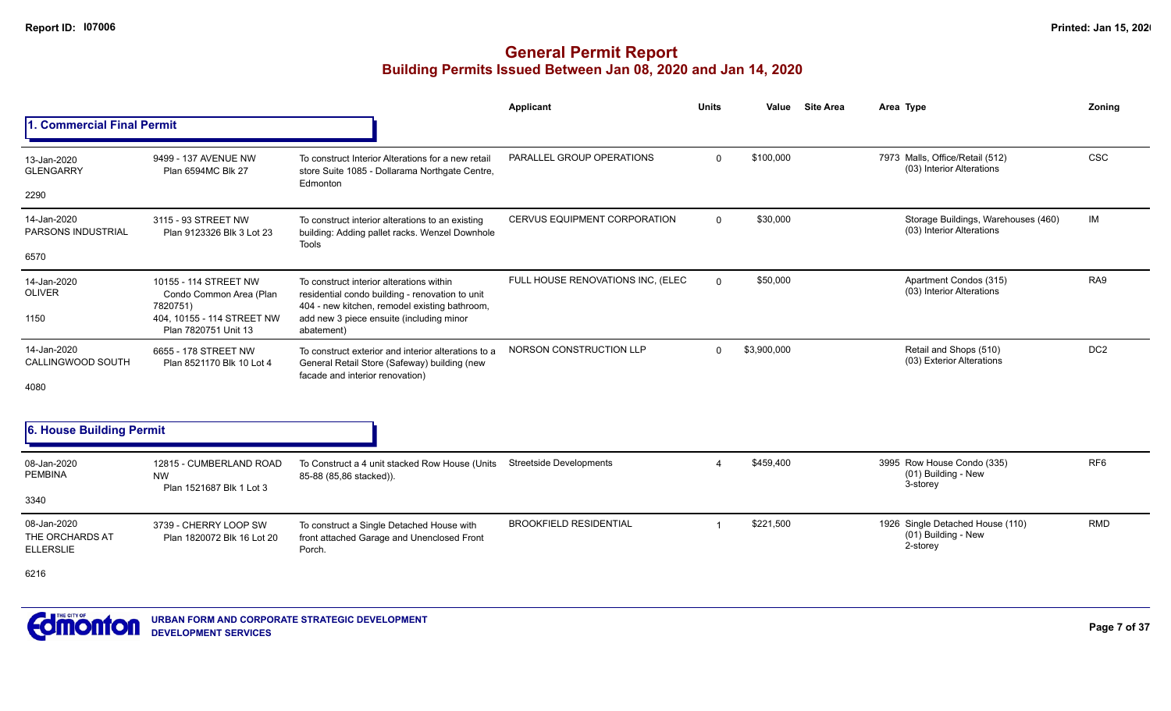## **General Permit Report Building Permits Issued Between Jan 08, 2020 and Jan 14, 2020**

|                                                    |                                                              |                                                                                                                                              | <b>Applicant</b>                  | <b>Units</b> | Value       | <b>Site Area</b> | Area Type                                                           | Zoning          |
|----------------------------------------------------|--------------------------------------------------------------|----------------------------------------------------------------------------------------------------------------------------------------------|-----------------------------------|--------------|-------------|------------------|---------------------------------------------------------------------|-----------------|
| 1. Commercial Final Permit                         |                                                              |                                                                                                                                              |                                   |              |             |                  |                                                                     |                 |
| 13-Jan-2020<br><b>GLENGARRY</b>                    | 9499 - 137 AVENUE NW<br>Plan 6594MC Blk 27                   | To construct Interior Alterations for a new retail<br>store Suite 1085 - Dollarama Northgate Centre,<br>Edmonton                             | PARALLEL GROUP OPERATIONS         | $\Omega$     | \$100,000   |                  | 7973 Malls, Office/Retail (512)<br>(03) Interior Alterations        | <b>CSC</b>      |
| 2290                                               |                                                              |                                                                                                                                              |                                   |              |             |                  |                                                                     |                 |
| 14-Jan-2020<br>PARSONS INDUSTRIAL                  | 3115 - 93 STREET NW<br>Plan 9123326 Blk 3 Lot 23             | To construct interior alterations to an existing<br>building: Adding pallet racks. Wenzel Downhole<br>Tools                                  | CERVUS EQUIPMENT CORPORATION      | $\Omega$     | \$30,000    |                  | Storage Buildings, Warehouses (460)<br>(03) Interior Alterations    | IM              |
| 6570                                               |                                                              |                                                                                                                                              |                                   |              |             |                  |                                                                     |                 |
| 14-Jan-2020<br><b>OLIVER</b>                       | 10155 - 114 STREET NW<br>Condo Common Area (Plan<br>7820751) | To construct interior alterations within<br>residential condo building - renovation to unit<br>404 - new kitchen, remodel existing bathroom, | FULL HOUSE RENOVATIONS INC, (ELEC | $\Omega$     | \$50,000    |                  | Apartment Condos (315)<br>(03) Interior Alterations                 | RA9             |
| 1150                                               | 404. 10155 - 114 STREET NW<br>Plan 7820751 Unit 13           | add new 3 piece ensuite (including minor<br>abatement)                                                                                       |                                   |              |             |                  |                                                                     |                 |
| 14-Jan-2020<br>CALLINGWOOD SOUTH                   | 6655 - 178 STREET NW<br>Plan 8521170 Blk 10 Lot 4            | To construct exterior and interior alterations to a<br>General Retail Store (Safeway) building (new<br>facade and interior renovation)       | NORSON CONSTRUCTION LLP           | $\Omega$     | \$3,900,000 |                  | Retail and Shops (510)<br>(03) Exterior Alterations                 | DC <sub>2</sub> |
| 4080                                               |                                                              |                                                                                                                                              |                                   |              |             |                  |                                                                     |                 |
| 6. House Building Permit                           |                                                              |                                                                                                                                              |                                   |              |             |                  |                                                                     |                 |
| 08-Jan-2020<br><b>PEMBINA</b>                      | 12815 - CUMBERLAND ROAD<br><b>NW</b>                         | To Construct a 4 unit stacked Row House (Units<br>85-88 (85,86 stacked)).                                                                    | <b>Streetside Developments</b>    |              | \$459.400   |                  | 3995 Row House Condo (335)<br>(01) Building - New<br>3-storey       | RF <sub>6</sub> |
| 3340                                               | Plan 1521687 Blk 1 Lot 3                                     |                                                                                                                                              |                                   |              |             |                  |                                                                     |                 |
| 08-Jan-2020<br>THE ORCHARDS AT<br><b>ELLERSLIE</b> | 3739 - CHERRY LOOP SW<br>Plan 1820072 Blk 16 Lot 20          | To construct a Single Detached House with<br>front attached Garage and Unenclosed Front<br>Porch.                                            | <b>BROOKFIELD RESIDENTIAL</b>     |              | \$221,500   |                  | 1926 Single Detached House (110)<br>(01) Building - New<br>2-storey | <b>RMD</b>      |

6216

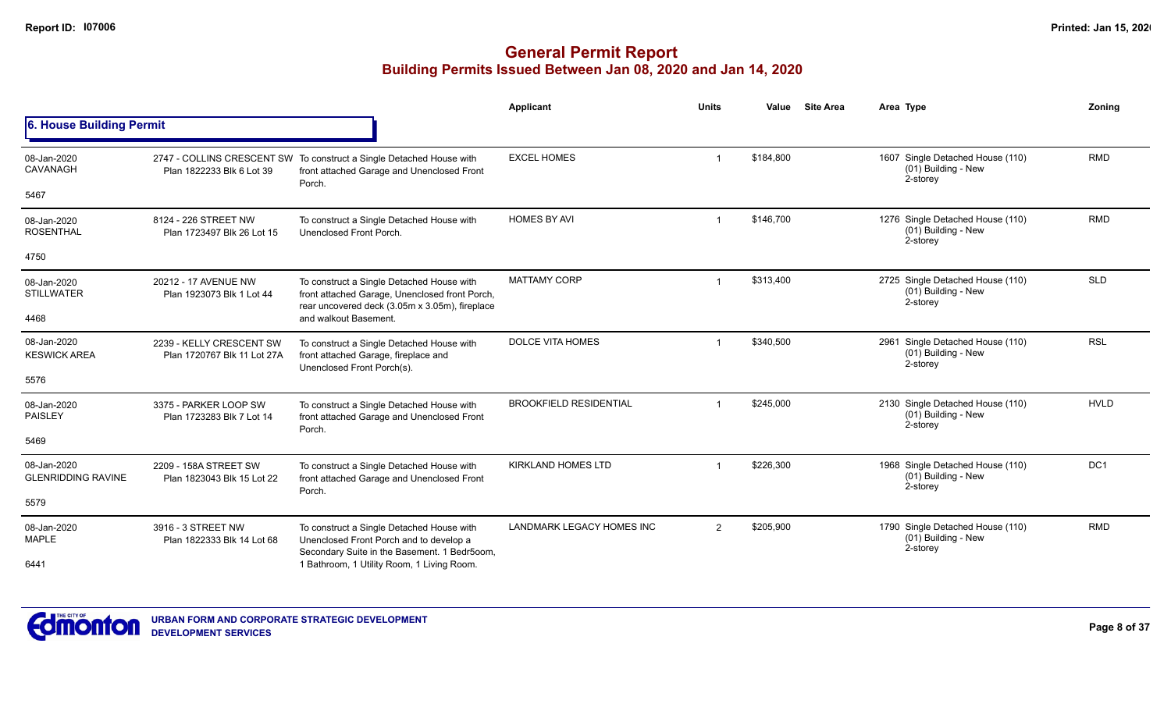|                                          |                                                         |                                                                                                                                               | Applicant                     | <b>Units</b>   | Value     | <b>Site Area</b> | Area Type                                                           | Zoning          |
|------------------------------------------|---------------------------------------------------------|-----------------------------------------------------------------------------------------------------------------------------------------------|-------------------------------|----------------|-----------|------------------|---------------------------------------------------------------------|-----------------|
| 6. House Building Permit                 |                                                         |                                                                                                                                               |                               |                |           |                  |                                                                     |                 |
| 08-Jan-2020<br>CAVANAGH                  | Plan 1822233 Blk 6 Lot 39                               | 2747 - COLLINS CRESCENT SW To construct a Single Detached House with<br>front attached Garage and Unenclosed Front<br>Porch.                  | <b>EXCEL HOMES</b>            |                | \$184,800 |                  | 1607 Single Detached House (110)<br>(01) Building - New<br>2-storey | <b>RMD</b>      |
| 5467                                     |                                                         |                                                                                                                                               |                               |                |           |                  |                                                                     |                 |
| 08-Jan-2020<br><b>ROSENTHAL</b>          | 8124 - 226 STREET NW<br>Plan 1723497 Blk 26 Lot 15      | To construct a Single Detached House with<br>Unenclosed Front Porch.                                                                          | <b>HOMES BY AVI</b>           | $\overline{1}$ | \$146,700 |                  | 1276 Single Detached House (110)<br>(01) Building - New<br>2-storey | <b>RMD</b>      |
| 4750                                     |                                                         |                                                                                                                                               |                               |                |           |                  |                                                                     |                 |
| 08-Jan-2020<br><b>STILLWATER</b>         | 20212 - 17 AVENUE NW<br>Plan 1923073 Blk 1 Lot 44       | To construct a Single Detached House with<br>front attached Garage, Unenclosed front Porch,<br>rear uncovered deck (3.05m x 3.05m), fireplace | <b>MATTAMY CORP</b>           | -1             | \$313,400 |                  | 2725 Single Detached House (110)<br>(01) Building - New<br>2-storey | <b>SLD</b>      |
| 4468                                     |                                                         | and walkout Basement.                                                                                                                         |                               |                |           |                  |                                                                     |                 |
| 08-Jan-2020<br><b>KESWICK AREA</b>       | 2239 - KELLY CRESCENT SW<br>Plan 1720767 Blk 11 Lot 27A | To construct a Single Detached House with<br>front attached Garage, fireplace and<br>Unenclosed Front Porch(s).                               | <b>DOLCE VITA HOMES</b>       |                | \$340,500 |                  | 2961 Single Detached House (110)<br>(01) Building - New<br>2-storey | <b>RSL</b>      |
| 5576                                     |                                                         |                                                                                                                                               |                               |                |           |                  |                                                                     |                 |
| 08-Jan-2020<br>PAISLEY                   | 3375 - PARKER LOOP SW<br>Plan 1723283 Blk 7 Lot 14      | To construct a Single Detached House with<br>front attached Garage and Unenclosed Front<br>Porch.                                             | <b>BROOKFIELD RESIDENTIAL</b> |                | \$245,000 |                  | 2130 Single Detached House (110)<br>(01) Building - New<br>2-storey | <b>HVLD</b>     |
| 5469                                     |                                                         |                                                                                                                                               |                               |                |           |                  |                                                                     |                 |
| 08-Jan-2020<br><b>GLENRIDDING RAVINE</b> | 2209 - 158A STREET SW<br>Plan 1823043 Blk 15 Lot 22     | To construct a Single Detached House with<br>front attached Garage and Unenclosed Front                                                       | <b>KIRKLAND HOMES LTD</b>     |                | \$226,300 |                  | 1968 Single Detached House (110)<br>(01) Building - New<br>2-storey | DC <sub>1</sub> |
| 5579                                     | Porch.                                                  |                                                                                                                                               |                               |                |           |                  |                                                                     |                 |
| 08-Jan-2020<br><b>MAPLE</b>              | 3916 - 3 STREET NW<br>Plan 1822333 Blk 14 Lot 68        | To construct a Single Detached House with<br>Unenclosed Front Porch and to develop a<br>Secondary Suite in the Basement. 1 Bedr5oom,          | LANDMARK LEGACY HOMES INC     | $\overline{2}$ | \$205,900 |                  | 1790 Single Detached House (110)<br>(01) Building - New<br>2-storey | <b>RMD</b>      |
| 6441                                     |                                                         | 1 Bathroom, 1 Utility Room, 1 Living Room.                                                                                                    |                               |                |           |                  |                                                                     |                 |

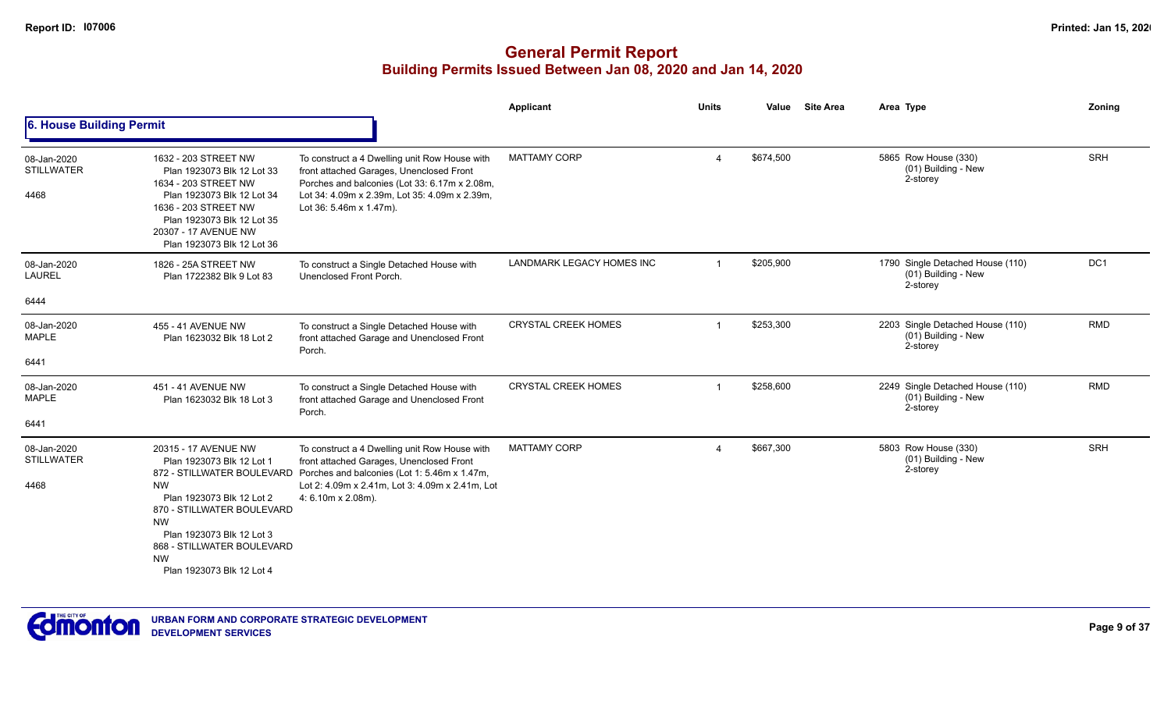## **General Permit Report Building Permits Issued Between Jan 08, 2020 and Jan 14, 2020**

|                                          |                                                                                                                                                                                                                      |                                                                                                                                                                                                                        | Applicant                  | <b>Units</b>          | Value     | <b>Site Area</b> | Area Type                                                           | Zoning     |
|------------------------------------------|----------------------------------------------------------------------------------------------------------------------------------------------------------------------------------------------------------------------|------------------------------------------------------------------------------------------------------------------------------------------------------------------------------------------------------------------------|----------------------------|-----------------------|-----------|------------------|---------------------------------------------------------------------|------------|
| 6. House Building Permit                 |                                                                                                                                                                                                                      |                                                                                                                                                                                                                        |                            |                       |           |                  |                                                                     |            |
| 08-Jan-2020<br><b>STILLWATER</b><br>4468 | 1632 - 203 STREET NW<br>Plan 1923073 Blk 12 Lot 33<br>1634 - 203 STREET NW<br>Plan 1923073 Blk 12 Lot 34<br>1636 - 203 STREET NW<br>Plan 1923073 Blk 12 Lot 35<br>20307 - 17 AVENUE NW<br>Plan 1923073 Blk 12 Lot 36 | To construct a 4 Dwelling unit Row House with<br>front attached Garages, Unenclosed Front<br>Porches and balconies (Lot 33: 6.17m x 2.08m,<br>Lot 34: 4.09m x 2.39m, Lot 35: 4.09m x 2.39m,<br>Lot 36: 5.46m x 1.47m). | <b>MATTAMY CORP</b>        | $\boldsymbol{\Delta}$ | \$674,500 |                  | 5865 Row House (330)<br>(01) Building - New<br>2-storey             | <b>SRH</b> |
| 08-Jan-2020<br><b>LAUREL</b>             | 1826 - 25A STREET NW<br>Plan 1722382 Blk 9 Lot 83                                                                                                                                                                    | To construct a Single Detached House with<br>Unenclosed Front Porch.                                                                                                                                                   | LANDMARK LEGACY HOMES INC  | $\overline{1}$        | \$205,900 |                  | 1790 Single Detached House (110)<br>(01) Building - New<br>2-storey | DC1        |
| 6444                                     |                                                                                                                                                                                                                      |                                                                                                                                                                                                                        |                            |                       |           |                  |                                                                     |            |
| 08-Jan-2020<br><b>MAPLE</b>              | 455 - 41 AVENUE NW<br>Plan 1623032 Blk 18 Lot 2                                                                                                                                                                      | To construct a Single Detached House with<br>front attached Garage and Unenclosed Front<br>Porch.                                                                                                                      | <b>CRYSTAL CREEK HOMES</b> |                       | \$253,300 |                  | 2203 Single Detached House (110)<br>(01) Building - New<br>2-storey | <b>RMD</b> |
| 6441                                     |                                                                                                                                                                                                                      |                                                                                                                                                                                                                        |                            |                       |           |                  |                                                                     |            |
| 08-Jan-2020<br><b>MAPLE</b>              | 451 - 41 AVENUE NW<br>Plan 1623032 Blk 18 Lot 3                                                                                                                                                                      | To construct a Single Detached House with<br>front attached Garage and Unenclosed Front<br>Porch.                                                                                                                      | <b>CRYSTAL CREEK HOMES</b> | $\overline{1}$        | \$258,600 |                  | 2249 Single Detached House (110)<br>(01) Building - New<br>2-storey | <b>RMD</b> |
| 6441                                     |                                                                                                                                                                                                                      |                                                                                                                                                                                                                        |                            |                       |           |                  |                                                                     |            |
| 08-Jan-2020<br><b>STILLWATER</b>         | 20315 - 17 AVENUE NW<br>Plan 1923073 Blk 12 Lot 1<br>872 - STILLWATER BOULEVARD                                                                                                                                      | To construct a 4 Dwelling unit Row House with<br>front attached Garages, Unenclosed Front<br>Porches and balconies (Lot 1: 5.46m x 1.47m,                                                                              | <b>MATTAMY CORP</b>        | $\overline{4}$        | \$667,300 |                  | 5803 Row House (330)<br>(01) Building - New<br>2-storey             | <b>SRH</b> |
| 4468                                     | <b>NW</b><br>Plan 1923073 Blk 12 Lot 2<br>870 - STILLWATER BOULEVARD<br><b>NW</b><br>Plan 1923073 Blk 12 Lot 3<br>868 - STILLWATER BOULEVARD<br><b>NW</b><br>Plan 1923073 Blk 12 Lot 4                               | Lot 2: 4.09m x 2.41m, Lot 3: 4.09m x 2.41m, Lot<br>4: 6.10m x 2.08m).                                                                                                                                                  |                            |                       |           |                  |                                                                     |            |



**Page 9 of 37**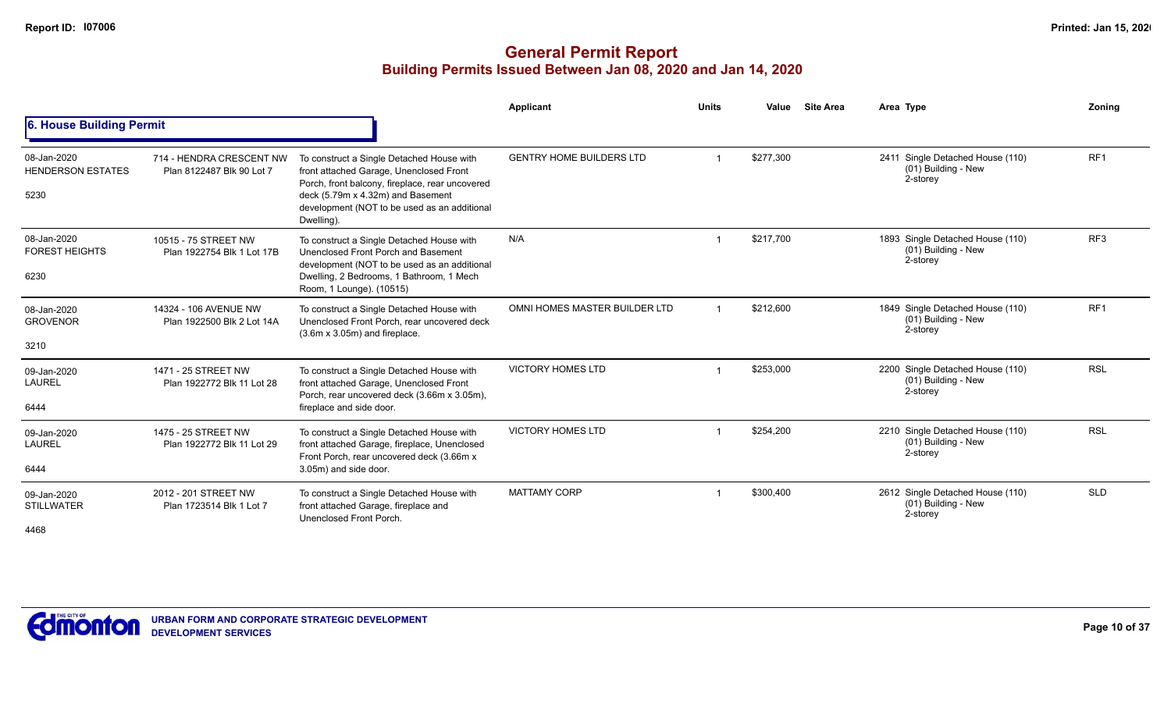|                                                 |                                                       |                                                                                                                                                                                                                                            | Applicant                       | <b>Units</b> | Value     | <b>Site Area</b> | Area Type                                                             | Zoning          |
|-------------------------------------------------|-------------------------------------------------------|--------------------------------------------------------------------------------------------------------------------------------------------------------------------------------------------------------------------------------------------|---------------------------------|--------------|-----------|------------------|-----------------------------------------------------------------------|-----------------|
| 6. House Building Permit                        |                                                       |                                                                                                                                                                                                                                            |                                 |              |           |                  |                                                                       |                 |
| 08-Jan-2020<br><b>HENDERSON ESTATES</b><br>5230 | 714 - HENDRA CRESCENT NW<br>Plan 8122487 Blk 90 Lot 7 | To construct a Single Detached House with<br>front attached Garage, Unenclosed Front<br>Porch, front balcony, fireplace, rear uncovered<br>deck (5.79m x 4.32m) and Basement<br>development (NOT to be used as an additional<br>Dwelling). | <b>GENTRY HOME BUILDERS LTD</b> |              | \$277,300 |                  | 2411 Single Detached House (110)<br>$(01)$ Building - New<br>2-storey | RF <sub>1</sub> |
| 08-Jan-2020<br><b>FOREST HEIGHTS</b><br>6230    | 10515 - 75 STREET NW<br>Plan 1922754 Blk 1 Lot 17B    | To construct a Single Detached House with<br>Unenclosed Front Porch and Basement<br>development (NOT to be used as an additional<br>Dwelling, 2 Bedrooms, 1 Bathroom, 1 Mech<br>Room, 1 Lounge). (10515)                                   | N/A                             |              | \$217,700 |                  | 1893 Single Detached House (110)<br>(01) Building - New<br>2-storey   | RF <sub>3</sub> |
| 08-Jan-2020<br><b>GROVENOR</b><br>3210          | 14324 - 106 AVENUE NW<br>Plan 1922500 Blk 2 Lot 14A   | To construct a Single Detached House with<br>Unenclosed Front Porch, rear uncovered deck<br>$(3.6m \times 3.05m)$ and fireplace.                                                                                                           | OMNI HOMES MASTER BUILDER LTD   |              | \$212,600 |                  | 1849 Single Detached House (110)<br>(01) Building - New<br>2-storey   | RF <sub>1</sub> |
| 09-Jan-2020<br><b>LAUREL</b><br>6444            | 1471 - 25 STREET NW<br>Plan 1922772 Blk 11 Lot 28     | To construct a Single Detached House with<br>front attached Garage, Unenclosed Front<br>Porch, rear uncovered deck (3.66m x 3.05m),<br>fireplace and side door.                                                                            | <b>VICTORY HOMES LTD</b>        |              | \$253,000 |                  | 2200 Single Detached House (110)<br>(01) Building - New<br>2-storey   | <b>RSL</b>      |
| 09-Jan-2020<br><b>LAUREL</b><br>6444            | 1475 - 25 STREET NW<br>Plan 1922772 Blk 11 Lot 29     | To construct a Single Detached House with<br>front attached Garage, fireplace, Unenclosed<br>Front Porch, rear uncovered deck (3.66m x<br>3.05m) and side door.                                                                            | <b>VICTORY HOMES LTD</b>        |              | \$254,200 |                  | 2210 Single Detached House (110)<br>(01) Building - New<br>2-storey   | <b>RSL</b>      |
| 09-Jan-2020<br><b>STILLWATER</b><br>4468        | 2012 - 201 STREET NW<br>Plan 1723514 Blk 1 Lot 7      | To construct a Single Detached House with<br>front attached Garage, fireplace and<br>Unenclosed Front Porch.                                                                                                                               | <b>MATTAMY CORP</b>             |              | \$300,400 |                  | 2612 Single Detached House (110)<br>(01) Building - New<br>2-storey   | <b>SLD</b>      |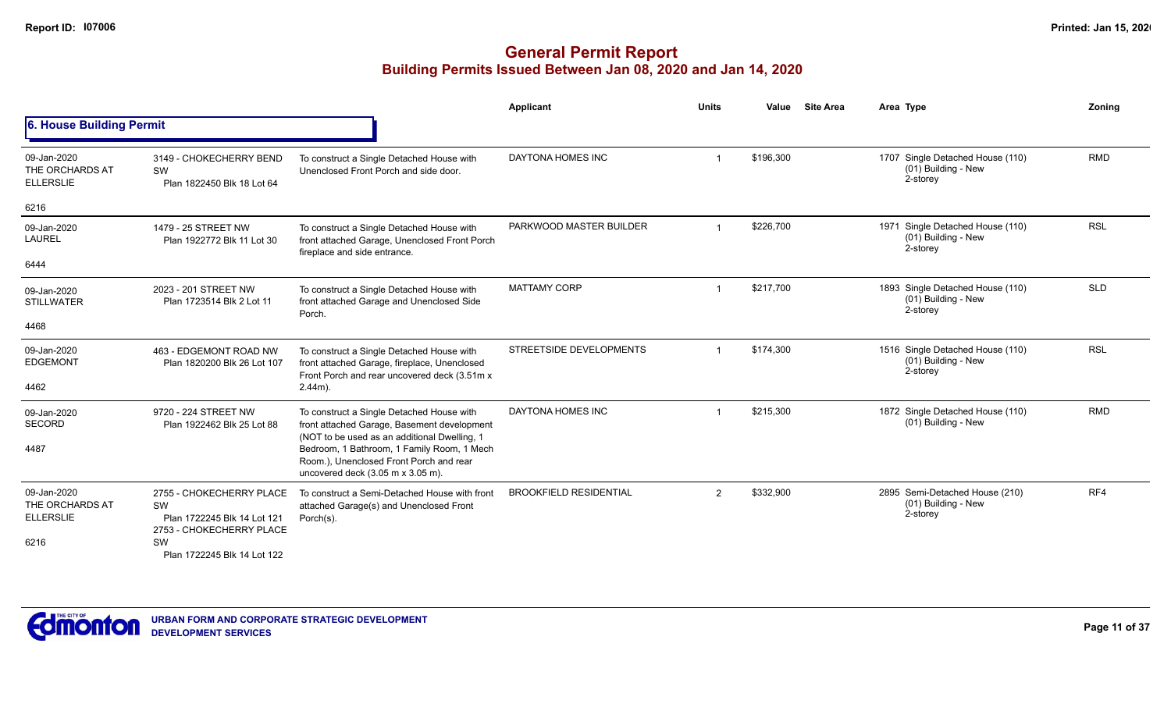|                                                    |                                                                                                 |                                                                                                                                                                                                    | <b>Applicant</b>              | <b>Units</b> | Value     | <b>Site Area</b> | Area Type                                                           | Zoning     |
|----------------------------------------------------|-------------------------------------------------------------------------------------------------|----------------------------------------------------------------------------------------------------------------------------------------------------------------------------------------------------|-------------------------------|--------------|-----------|------------------|---------------------------------------------------------------------|------------|
| 6. House Building Permit                           |                                                                                                 |                                                                                                                                                                                                    |                               |              |           |                  |                                                                     |            |
| 09-Jan-2020<br>THE ORCHARDS AT<br><b>ELLERSLIE</b> | 3149 - CHOKECHERRY BEND<br>SW<br>Plan 1822450 Blk 18 Lot 64                                     | To construct a Single Detached House with<br>Unenclosed Front Porch and side door.                                                                                                                 | DAYTONA HOMES INC             |              | \$196,300 |                  | 1707 Single Detached House (110)<br>(01) Building - New<br>2-storey | <b>RMD</b> |
| 6216                                               |                                                                                                 |                                                                                                                                                                                                    |                               |              |           |                  |                                                                     |            |
| 09-Jan-2020<br><b>LAUREL</b>                       | 1479 - 25 STREET NW<br>Plan 1922772 Blk 11 Lot 30                                               | To construct a Single Detached House with<br>front attached Garage, Unenclosed Front Porch<br>fireplace and side entrance.                                                                         | PARKWOOD MASTER BUILDER       |              | \$226,700 |                  | 1971 Single Detached House (110)<br>(01) Building - New<br>2-storey | <b>RSL</b> |
| 6444                                               |                                                                                                 |                                                                                                                                                                                                    |                               |              |           |                  |                                                                     |            |
| 09-Jan-2020<br><b>STILLWATER</b>                   | 2023 - 201 STREET NW<br>Plan 1723514 Blk 2 Lot 11                                               | To construct a Single Detached House with<br>front attached Garage and Unenclosed Side<br>Porch.                                                                                                   | <b>MATTAMY CORP</b>           |              | \$217,700 |                  | 1893 Single Detached House (110)<br>(01) Building - New<br>2-storey | <b>SLD</b> |
| 4468                                               |                                                                                                 |                                                                                                                                                                                                    |                               |              |           |                  |                                                                     |            |
| 09-Jan-2020<br><b>EDGEMONT</b>                     | 463 - EDGEMONT ROAD NW<br>Plan 1820200 Blk 26 Lot 107                                           | To construct a Single Detached House with<br>front attached Garage, fireplace, Unenclosed<br>Front Porch and rear uncovered deck (3.51m x                                                          | STREETSIDE DEVELOPMENTS       |              | \$174,300 |                  | 1516 Single Detached House (110)<br>(01) Building - New<br>2-storey | <b>RSL</b> |
| 4462                                               |                                                                                                 | $2.44m$ ).                                                                                                                                                                                         |                               |              |           |                  |                                                                     |            |
| 09-Jan-2020<br><b>SECORD</b>                       | 9720 - 224 STREET NW<br>Plan 1922462 Blk 25 Lot 88                                              | To construct a Single Detached House with<br>front attached Garage, Basement development                                                                                                           | DAYTONA HOMES INC             |              | \$215,300 |                  | 1872 Single Detached House (110)<br>(01) Building - New             | <b>RMD</b> |
| 4487                                               |                                                                                                 | (NOT to be used as an additional Dwelling, 1<br>Bedroom, 1 Bathroom, 1 Family Room, 1 Mech<br>Room.), Unenclosed Front Porch and rear<br>uncovered deck $(3.05 \text{ m} \times 3.05 \text{ m})$ . |                               |              |           |                  |                                                                     |            |
| 09-Jan-2020<br>THE ORCHARDS AT<br><b>ELLERSLIE</b> | 2755 - CHOKECHERRY PLACE<br>SW<br>Plan 1722245 Blk 14 Lot 121<br>2753 - CHOKECHERRY PLACE<br>SW | To construct a Semi-Detached House with front<br>attached Garage(s) and Unenclosed Front<br>Porch(s).                                                                                              | <b>BROOKFIELD RESIDENTIAL</b> | 2            | \$332,900 |                  | 2895 Semi-Detached House (210)<br>(01) Building - New<br>2-storey   | RF4        |
| 6216                                               | Plan 1722245 Blk 14 Lot 122                                                                     |                                                                                                                                                                                                    |                               |              |           |                  |                                                                     |            |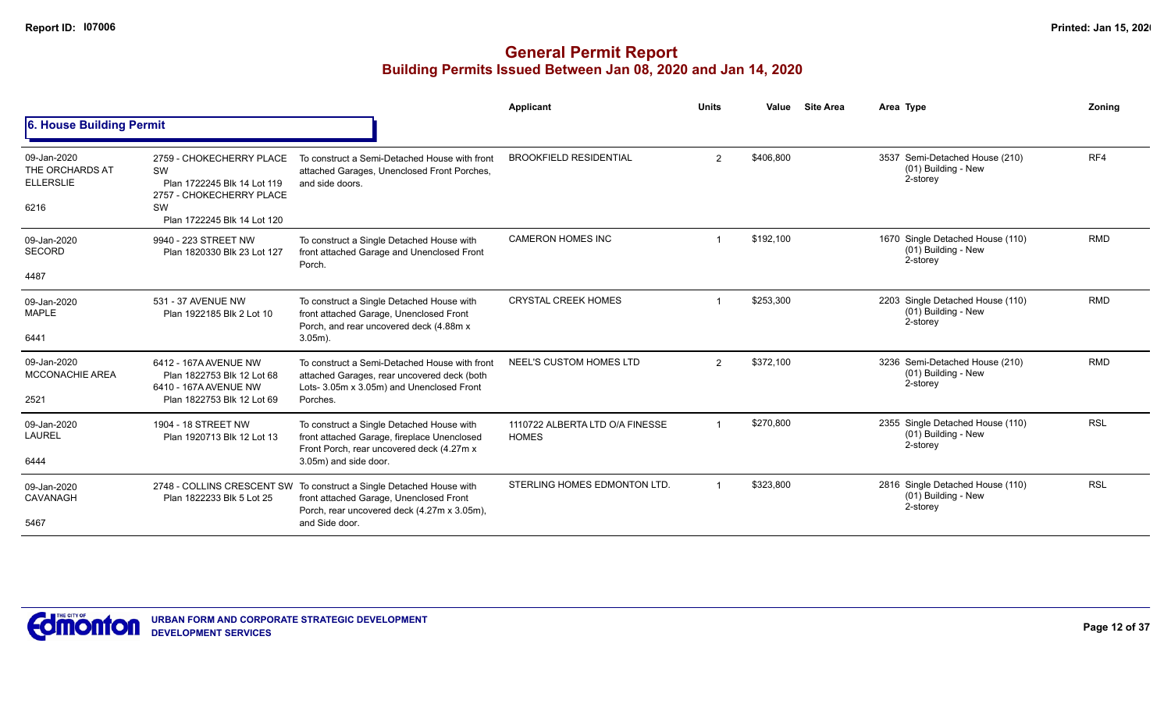|                                                            |                                                                                                                                |                                                                                                                                                                | Applicant                                       | <b>Units</b>   | Value     | <b>Site Area</b> | Area Type                                                             | Zoning     |
|------------------------------------------------------------|--------------------------------------------------------------------------------------------------------------------------------|----------------------------------------------------------------------------------------------------------------------------------------------------------------|-------------------------------------------------|----------------|-----------|------------------|-----------------------------------------------------------------------|------------|
| 6. House Building Permit                                   |                                                                                                                                |                                                                                                                                                                |                                                 |                |           |                  |                                                                       |            |
| 09-Jan-2020<br>THE ORCHARDS AT<br><b>ELLERSLIE</b><br>6216 | 2759 - CHOKECHERRY PLACE<br>SW<br>Plan 1722245 Blk 14 Lot 119<br>2757 - CHOKECHERRY PLACE<br>SW<br>Plan 1722245 Blk 14 Lot 120 | To construct a Semi-Detached House with front<br>attached Garages, Unenclosed Front Porches,<br>and side doors.                                                | <b>BROOKFIELD RESIDENTIAL</b>                   | $\overline{2}$ | \$406,800 |                  | 3537 Semi-Detached House (210)<br>(01) Building - New<br>2-storey     | RF4        |
| 09-Jan-2020<br><b>SECORD</b><br>4487                       | 9940 - 223 STREET NW<br>Plan 1820330 Blk 23 Lot 127                                                                            | To construct a Single Detached House with<br>front attached Garage and Unenclosed Front<br>Porch.                                                              | <b>CAMERON HOMES INC</b>                        |                | \$192,100 |                  | 1670 Single Detached House (110)<br>(01) Building - New<br>2-storey   | <b>RMD</b> |
| 09-Jan-2020<br><b>MAPLE</b><br>6441                        | 531 - 37 AVENUE NW<br>Plan 1922185 Blk 2 Lot 10                                                                                | To construct a Single Detached House with<br>front attached Garage, Unenclosed Front<br>Porch, and rear uncovered deck (4.88m x<br>$3.05m$ ).                  | <b>CRYSTAL CREEK HOMES</b>                      |                | \$253,300 |                  | 2203 Single Detached House (110)<br>(01) Building - New<br>2-storey   | <b>RMD</b> |
| 09-Jan-2020<br><b>MCCONACHIE AREA</b><br>2521              | 6412 - 167A AVENUE NW<br>Plan 1822753 Blk 12 Lot 68<br>6410 - 167A AVENUE NW<br>Plan 1822753 Blk 12 Lot 69                     | To construct a Semi-Detached House with front<br>attached Garages, rear uncovered deck (both<br>Lots- 3.05m x 3.05m) and Unenclosed Front<br>Porches.          | NEEL'S CUSTOM HOMES LTD                         | 2              | \$372,100 |                  | 3236 Semi-Detached House (210)<br>(01) Building - New<br>2-storey     | <b>RMD</b> |
| 09-Jan-2020<br><b>LAUREL</b><br>6444                       | 1904 - 18 STREET NW<br>Plan 1920713 Blk 12 Lot 13                                                                              | To construct a Single Detached House with<br>front attached Garage, fireplace Unenclosed<br>Front Porch, rear uncovered deck (4.27m x<br>3.05m) and side door. | 1110722 ALBERTA LTD O/A FINESSE<br><b>HOMES</b> |                | \$270,800 |                  | 2355 Single Detached House (110)<br>$(01)$ Building - New<br>2-storey | <b>RSL</b> |
| 09-Jan-2020<br>CAVANAGH<br>5467                            | 2748 - COLLINS CRESCENT SW<br>Plan 1822233 Blk 5 Lot 25                                                                        | To construct a Single Detached House with<br>front attached Garage, Unenclosed Front<br>Porch, rear uncovered deck (4.27m x 3.05m),<br>and Side door.          | STERLING HOMES EDMONTON LTD.                    |                | \$323,800 |                  | 2816 Single Detached House (110)<br>(01) Building - New<br>2-storey   | <b>RSL</b> |

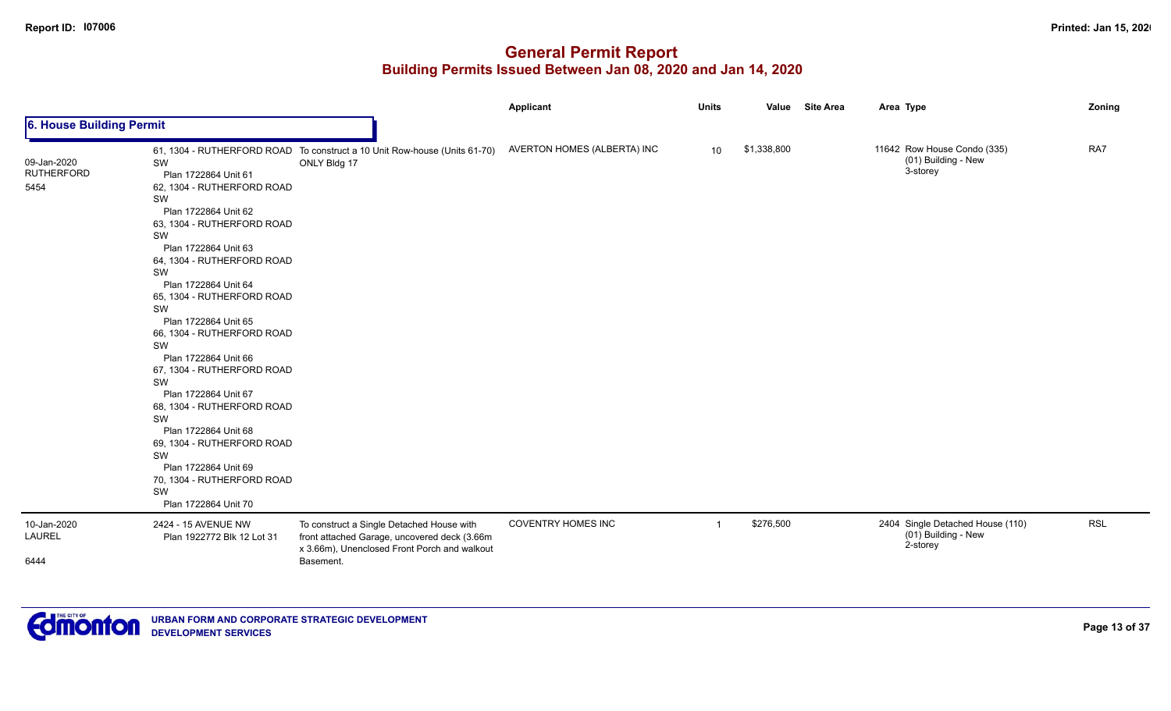|                                          |                                                                                                                                                                                                                                                                                                                                                                                                                                                                                                                                                                                        |                                                                                                                                                        | <b>Applicant</b>            | <b>Units</b>   | Value       | <b>Site Area</b> | Area Type                                                           | Zoning     |
|------------------------------------------|----------------------------------------------------------------------------------------------------------------------------------------------------------------------------------------------------------------------------------------------------------------------------------------------------------------------------------------------------------------------------------------------------------------------------------------------------------------------------------------------------------------------------------------------------------------------------------------|--------------------------------------------------------------------------------------------------------------------------------------------------------|-----------------------------|----------------|-------------|------------------|---------------------------------------------------------------------|------------|
| 6. House Building Permit                 |                                                                                                                                                                                                                                                                                                                                                                                                                                                                                                                                                                                        |                                                                                                                                                        |                             |                |             |                  |                                                                     |            |
| 09-Jan-2020<br><b>RUTHERFORD</b><br>5454 | SW<br>Plan 1722864 Unit 61<br>62, 1304 - RUTHERFORD ROAD<br>SW<br>Plan 1722864 Unit 62<br>63, 1304 - RUTHERFORD ROAD<br>SW<br>Plan 1722864 Unit 63<br>64, 1304 - RUTHERFORD ROAD<br>SW<br>Plan 1722864 Unit 64<br>65, 1304 - RUTHERFORD ROAD<br>SW<br>Plan 1722864 Unit 65<br>66, 1304 - RUTHERFORD ROAD<br>SW<br>Plan 1722864 Unit 66<br>67, 1304 - RUTHERFORD ROAD<br>SW<br>Plan 1722864 Unit 67<br>68, 1304 - RUTHERFORD ROAD<br>SW<br>Plan 1722864 Unit 68<br>69, 1304 - RUTHERFORD ROAD<br>SW<br>Plan 1722864 Unit 69<br>70, 1304 - RUTHERFORD ROAD<br>SW<br>Plan 1722864 Unit 70 | 61, 1304 - RUTHERFORD ROAD To construct a 10 Unit Row-house (Units 61-70)<br>ONLY Bldg 17                                                              | AVERTON HOMES (ALBERTA) INC | 10             | \$1,338,800 |                  | 11642 Row House Condo (335)<br>(01) Building - New<br>3-storey      | RA7        |
| 10-Jan-2020<br>LAUREL<br>6444            | 2424 - 15 AVENUE NW<br>Plan 1922772 Blk 12 Lot 31                                                                                                                                                                                                                                                                                                                                                                                                                                                                                                                                      | To construct a Single Detached House with<br>front attached Garage, uncovered deck (3.66m<br>x 3.66m), Unenclosed Front Porch and walkout<br>Basement. | <b>COVENTRY HOMES INC</b>   | $\overline{1}$ | \$276,500   |                  | 2404 Single Detached House (110)<br>(01) Building - New<br>2-storey | <b>RSL</b> |

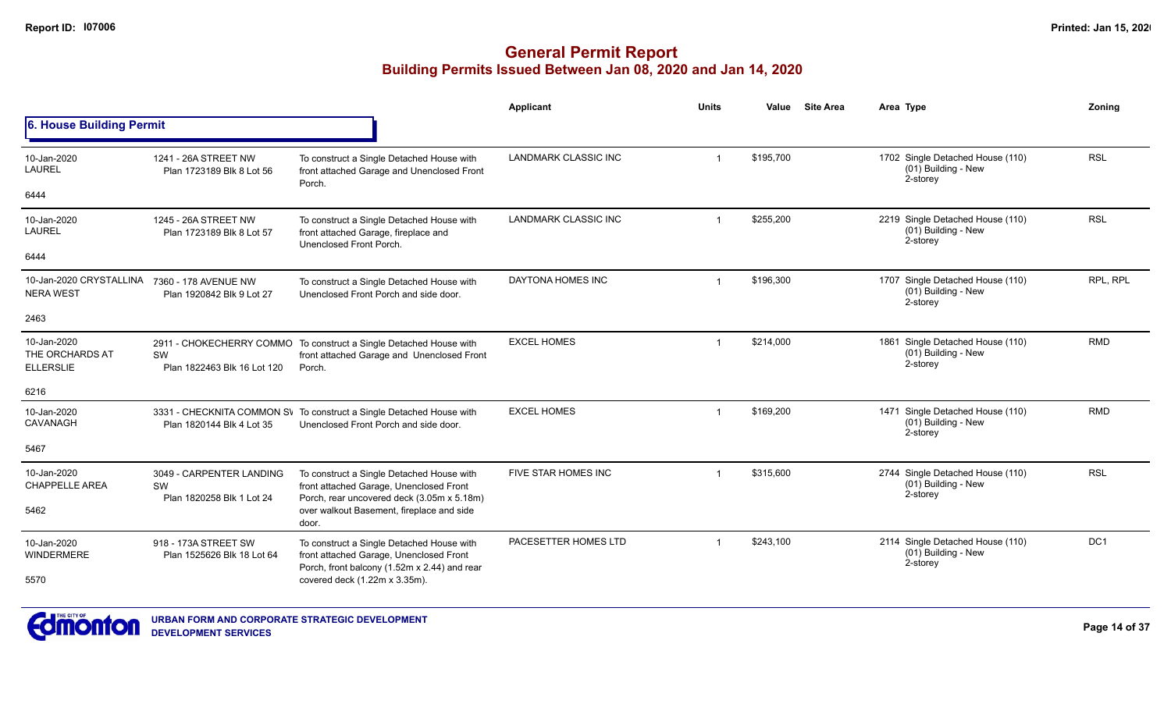|                                                    |                                                    |                                                                                                                                      | <b>Applicant</b>            | <b>Units</b>   | Value     | <b>Site Area</b> | Area Type                                                           | Zonina     |
|----------------------------------------------------|----------------------------------------------------|--------------------------------------------------------------------------------------------------------------------------------------|-----------------------------|----------------|-----------|------------------|---------------------------------------------------------------------|------------|
| 6. House Building Permit                           |                                                    |                                                                                                                                      |                             |                |           |                  |                                                                     |            |
| 10-Jan-2020<br><b>LAUREL</b>                       | 1241 - 26A STREET NW<br>Plan 1723189 Blk 8 Lot 56  | To construct a Single Detached House with<br>front attached Garage and Unenclosed Front<br>Porch.                                    | <b>LANDMARK CLASSIC INC</b> |                | \$195,700 |                  | 1702 Single Detached House (110)<br>(01) Building - New<br>2-storey | <b>RSL</b> |
| 6444                                               |                                                    |                                                                                                                                      |                             |                |           |                  |                                                                     |            |
| 10-Jan-2020<br><b>LAUREL</b>                       | 1245 - 26A STREET NW<br>Plan 1723189 Blk 8 Lot 57  | To construct a Single Detached House with<br>front attached Garage, fireplace and<br>Unenclosed Front Porch.                         | <b>LANDMARK CLASSIC INC</b> | $\overline{1}$ | \$255,200 |                  | 2219 Single Detached House (110)<br>(01) Building - New<br>2-storey | <b>RSL</b> |
| 6444                                               |                                                    |                                                                                                                                      |                             |                |           |                  |                                                                     |            |
| 10-Jan-2020 CRYSTALLINA<br><b>NERA WEST</b>        | 7360 - 178 AVENUE NW<br>Plan 1920842 Blk 9 Lot 27  | To construct a Single Detached House with<br>Unenclosed Front Porch and side door.                                                   | DAYTONA HOMES INC           | $\overline{1}$ | \$196,300 |                  | 1707 Single Detached House (110)<br>(01) Building - New<br>2-storey | RPL, RPL   |
| 2463                                               |                                                    |                                                                                                                                      |                             |                |           |                  |                                                                     |            |
| 10-Jan-2020<br>THE ORCHARDS AT<br><b>ELLERSLIE</b> | SW<br>Plan 1822463 Blk 16 Lot 120                  | 2911 - CHOKECHERRY COMMO To construct a Single Detached House with<br>front attached Garage and Unenclosed Front<br>Porch.           | <b>EXCEL HOMES</b>          | -1             | \$214,000 |                  | 1861 Single Detached House (110)<br>(01) Building - New<br>2-storey | <b>RMD</b> |
| 6216                                               |                                                    |                                                                                                                                      |                             |                |           |                  |                                                                     |            |
| 10-Jan-2020<br>CAVANAGH                            | Plan 1820144 Blk 4 Lot 35                          | 3331 - CHECKNITA COMMON SV To construct a Single Detached House with<br>Unenclosed Front Porch and side door.                        | <b>EXCEL HOMES</b>          | -1             | \$169,200 |                  | 1471 Single Detached House (110)<br>(01) Building - New<br>2-storey | <b>RMD</b> |
| 5467                                               |                                                    |                                                                                                                                      |                             |                |           |                  |                                                                     |            |
| 10-Jan-2020<br><b>CHAPPELLE AREA</b>               | 3049 - CARPENTER LANDING<br>SW                     | To construct a Single Detached House with<br>front attached Garage, Unenclosed Front                                                 | FIVE STAR HOMES INC         | -1             | \$315,600 |                  | 2744 Single Detached House (110)<br>(01) Building - New<br>2-storey | <b>RSL</b> |
| 5462                                               | Plan 1820258 Blk 1 Lot 24                          | Porch, rear uncovered deck (3.05m x 5.18m)<br>over walkout Basement, fireplace and side<br>door.                                     |                             |                |           |                  |                                                                     |            |
| 10-Jan-2020<br>WINDERMERE                          | 918 - 173A STREET SW<br>Plan 1525626 Blk 18 Lot 64 | To construct a Single Detached House with<br>front attached Garage, Unenclosed Front<br>Porch, front balcony (1.52m x 2.44) and rear | PACESETTER HOMES LTD        |                | \$243,100 |                  | 2114 Single Detached House (110)<br>(01) Building - New<br>2-storey | DC1        |
| 5570                                               |                                                    | covered deck (1.22m x 3.35m).                                                                                                        |                             |                |           |                  |                                                                     |            |

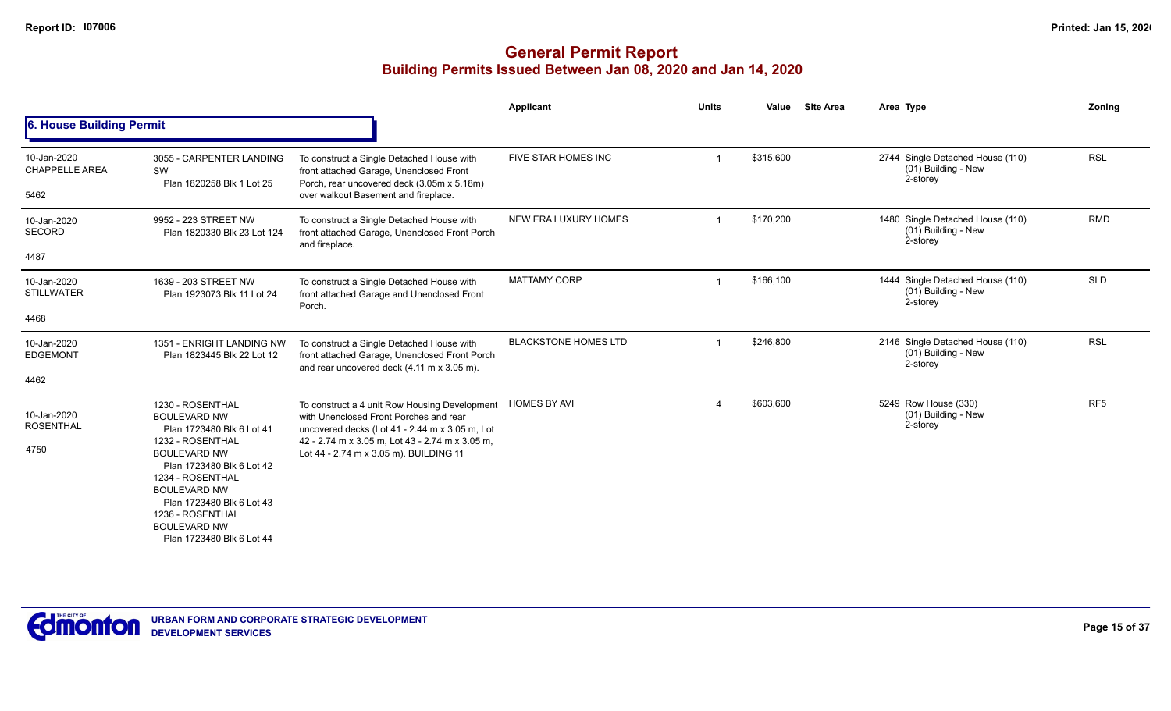|                                              |                                                                                                                                                                                                                                                                                              |                                                                                                                                                                                                                                        | Applicant                   | <b>Units</b> | <b>Site Area</b><br>Value | Area Type                                                           | Zoning          |
|----------------------------------------------|----------------------------------------------------------------------------------------------------------------------------------------------------------------------------------------------------------------------------------------------------------------------------------------------|----------------------------------------------------------------------------------------------------------------------------------------------------------------------------------------------------------------------------------------|-----------------------------|--------------|---------------------------|---------------------------------------------------------------------|-----------------|
| 6. House Building Permit                     |                                                                                                                                                                                                                                                                                              |                                                                                                                                                                                                                                        |                             |              |                           |                                                                     |                 |
| 10-Jan-2020<br><b>CHAPPELLE AREA</b><br>5462 | 3055 - CARPENTER LANDING<br>SW<br>Plan 1820258 Blk 1 Lot 25                                                                                                                                                                                                                                  | To construct a Single Detached House with<br>front attached Garage, Unenclosed Front<br>Porch, rear uncovered deck (3.05m x 5.18m)<br>over walkout Basement and fireplace.                                                             | FIVE STAR HOMES INC         |              | \$315,600                 | 2744 Single Detached House (110)<br>(01) Building - New<br>2-storey | <b>RSL</b>      |
| 10-Jan-2020<br><b>SECORD</b><br>4487         | 9952 - 223 STREET NW<br>Plan 1820330 Blk 23 Lot 124                                                                                                                                                                                                                                          | To construct a Single Detached House with<br>front attached Garage, Unenclosed Front Porch<br>and fireplace.                                                                                                                           | NEW ERA LUXURY HOMES        |              | \$170,200                 | 1480 Single Detached House (110)<br>(01) Building - New<br>2-storey | <b>RMD</b>      |
| 10-Jan-2020<br><b>STILLWATER</b><br>4468     | 1639 - 203 STREET NW<br>Plan 1923073 Blk 11 Lot 24                                                                                                                                                                                                                                           | To construct a Single Detached House with<br>front attached Garage and Unenclosed Front<br>Porch.                                                                                                                                      | <b>MATTAMY CORP</b>         |              | \$166,100                 | 1444 Single Detached House (110)<br>(01) Building - New<br>2-storey | <b>SLD</b>      |
| 10-Jan-2020<br><b>EDGEMONT</b><br>4462       | 1351 - ENRIGHT LANDING NW<br>Plan 1823445 Blk 22 Lot 12                                                                                                                                                                                                                                      | To construct a Single Detached House with<br>front attached Garage, Unenclosed Front Porch<br>and rear uncovered deck (4.11 m x 3.05 m).                                                                                               | <b>BLACKSTONE HOMES LTD</b> |              | \$246,800                 | 2146 Single Detached House (110)<br>(01) Building - New<br>2-storey | <b>RSL</b>      |
| 10-Jan-2020<br><b>ROSENTHAL</b><br>4750      | 1230 - ROSENTHAL<br><b>BOULEVARD NW</b><br>Plan 1723480 Blk 6 Lot 41<br>1232 - ROSENTHAL<br><b>BOULEVARD NW</b><br>Plan 1723480 Blk 6 Lot 42<br>1234 - ROSENTHAL<br><b>BOULEVARD NW</b><br>Plan 1723480 Blk 6 Lot 43<br>1236 - ROSENTHAL<br><b>BOULEVARD NW</b><br>Plan 1723480 Blk 6 Lot 44 | To construct a 4 unit Row Housing Development<br>with Unenclosed Front Porches and rear<br>uncovered decks (Lot 41 - 2.44 m x 3.05 m, Lot<br>42 - 2.74 m x 3.05 m, Lot 43 - 2.74 m x 3.05 m,<br>Lot 44 - 2.74 m x 3.05 m). BUILDING 11 | <b>HOMES BY AVI</b>         |              | \$603,600                 | 5249 Row House (330)<br>(01) Building - New<br>2-storey             | RF <sub>5</sub> |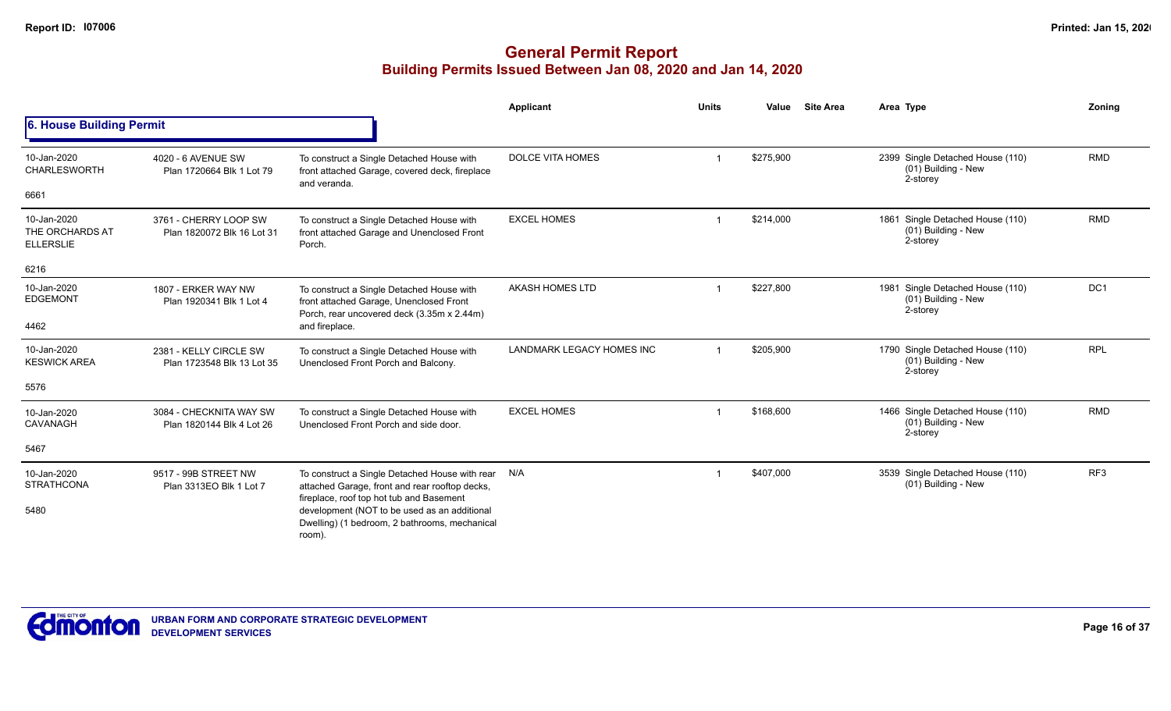|                                                    |                                                      |                                                                                                                                              | Applicant                 | <b>Units</b> | Value     | <b>Site Area</b> | Area Type                                                           | Zoning          |
|----------------------------------------------------|------------------------------------------------------|----------------------------------------------------------------------------------------------------------------------------------------------|---------------------------|--------------|-----------|------------------|---------------------------------------------------------------------|-----------------|
| 6. House Building Permit                           |                                                      |                                                                                                                                              |                           |              |           |                  |                                                                     |                 |
| 10-Jan-2020<br><b>CHARLESWORTH</b>                 | 4020 - 6 AVENUE SW<br>Plan 1720664 Blk 1 Lot 79      | To construct a Single Detached House with<br>front attached Garage, covered deck, fireplace<br>and veranda.                                  | <b>DOLCE VITA HOMES</b>   |              | \$275,900 |                  | 2399 Single Detached House (110)<br>(01) Building - New<br>2-storey | <b>RMD</b>      |
| 6661                                               |                                                      |                                                                                                                                              |                           |              |           |                  |                                                                     |                 |
| 10-Jan-2020<br>THE ORCHARDS AT<br><b>ELLERSLIE</b> | 3761 - CHERRY LOOP SW<br>Plan 1820072 Blk 16 Lot 31  | To construct a Single Detached House with<br>front attached Garage and Unenclosed Front<br>Porch.                                            | <b>EXCEL HOMES</b>        |              | \$214,000 |                  | 1861 Single Detached House (110)<br>(01) Building - New<br>2-storey | <b>RMD</b>      |
| 6216                                               |                                                      |                                                                                                                                              |                           |              |           |                  |                                                                     |                 |
| 10-Jan-2020<br><b>EDGEMONT</b>                     | 1807 - ERKER WAY NW<br>Plan 1920341 Blk 1 Lot 4      | To construct a Single Detached House with<br>front attached Garage, Unenclosed Front<br>Porch, rear uncovered deck (3.35m x 2.44m)           | AKASH HOMES LTD           |              | \$227,800 |                  | 1981 Single Detached House (110)<br>(01) Building - New<br>2-storey | DC <sub>1</sub> |
| 4462                                               |                                                      | and fireplace.                                                                                                                               |                           |              |           |                  |                                                                     |                 |
| 10-Jan-2020<br><b>KESWICK AREA</b>                 | 2381 - KELLY CIRCLE SW<br>Plan 1723548 Blk 13 Lot 35 | To construct a Single Detached House with<br>Unenclosed Front Porch and Balcony.                                                             | LANDMARK LEGACY HOMES INC |              | \$205,900 |                  | 1790 Single Detached House (110)<br>(01) Building - New<br>2-storey | <b>RPL</b>      |
| 5576                                               |                                                      |                                                                                                                                              |                           |              |           |                  |                                                                     |                 |
| 10-Jan-2020<br>CAVANAGH                            | 3084 - CHECKNITA WAY SW<br>Plan 1820144 Blk 4 Lot 26 | To construct a Single Detached House with<br>Unenclosed Front Porch and side door.                                                           | <b>EXCEL HOMES</b>        |              | \$168,600 |                  | 1466 Single Detached House (110)<br>(01) Building - New<br>2-storey | <b>RMD</b>      |
| 5467                                               |                                                      |                                                                                                                                              |                           |              |           |                  |                                                                     |                 |
| 10-Jan-2020<br><b>STRATHCONA</b>                   | 9517 - 99B STREET NW<br>Plan 3313EO Blk 1 Lot 7      | To construct a Single Detached House with rear<br>attached Garage, front and rear rooftop decks,<br>fireplace, roof top hot tub and Basement | N/A                       |              | \$407,000 |                  | 3539 Single Detached House (110)<br>(01) Building - New             | RF3             |
| 5480                                               |                                                      | development (NOT to be used as an additional<br>Dwelling) (1 bedroom, 2 bathrooms, mechanical<br>room).                                      |                           |              |           |                  |                                                                     |                 |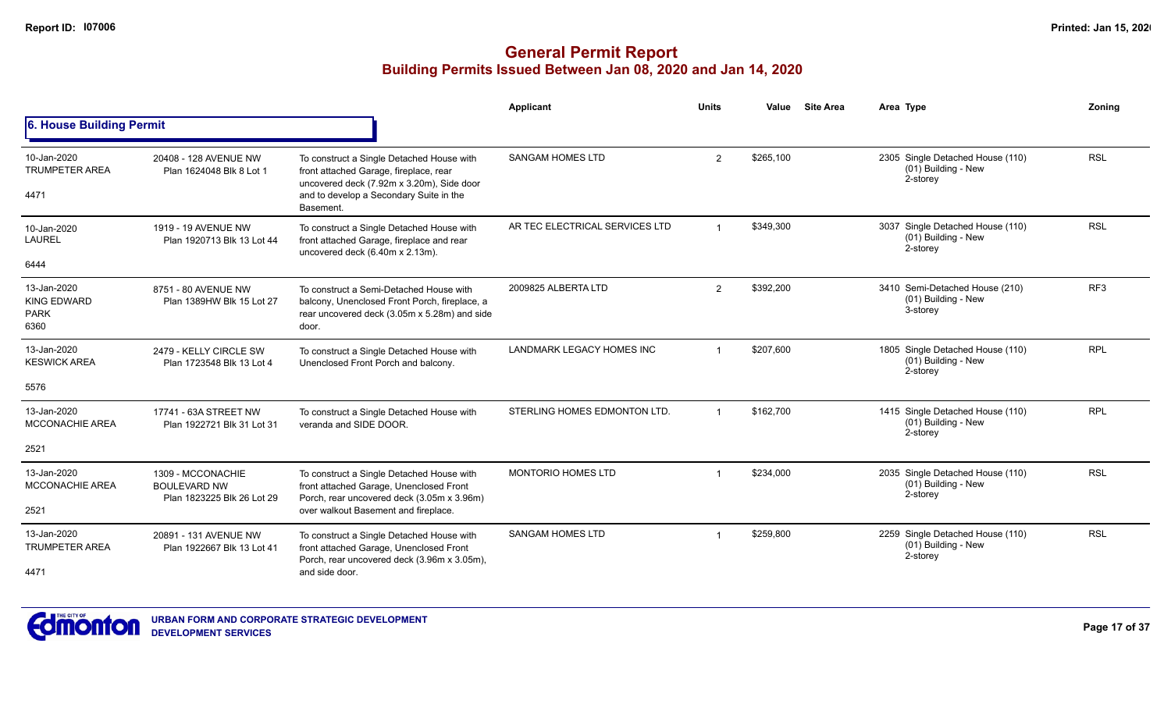|                                                          |                                                                        |                                                                                                                                                                                          | Applicant                      | <b>Units</b> | Value     | <b>Site Area</b> | Area Type                                                             | Zonina          |
|----------------------------------------------------------|------------------------------------------------------------------------|------------------------------------------------------------------------------------------------------------------------------------------------------------------------------------------|--------------------------------|--------------|-----------|------------------|-----------------------------------------------------------------------|-----------------|
| 6. House Building Permit                                 |                                                                        |                                                                                                                                                                                          |                                |              |           |                  |                                                                       |                 |
| 10-Jan-2020<br><b>TRUMPETER AREA</b><br>4471             | 20408 - 128 AVENUE NW<br>Plan 1624048 Blk 8 Lot 1                      | To construct a Single Detached House with<br>front attached Garage, fireplace, rear<br>uncovered deck (7.92m x 3.20m), Side door<br>and to develop a Secondary Suite in the<br>Basement. | <b>SANGAM HOMES LTD</b>        | 2            | \$265,100 |                  | 2305 Single Detached House (110)<br>(01) Building - New<br>2-storey   | <b>RSL</b>      |
| 10-Jan-2020<br><b>LAUREL</b><br>6444                     | 1919 - 19 AVENUE NW<br>Plan 1920713 Blk 13 Lot 44                      | To construct a Single Detached House with<br>front attached Garage, fireplace and rear<br>uncovered deck (6.40m x 2.13m).                                                                | AR TEC ELECTRICAL SERVICES LTD |              | \$349,300 |                  | 3037 Single Detached House (110)<br>(01) Building - New<br>2-storey   | <b>RSL</b>      |
| 13-Jan-2020<br><b>KING EDWARD</b><br><b>PARK</b><br>6360 | 8751 - 80 AVENUE NW<br>Plan 1389HW Blk 15 Lot 27                       | To construct a Semi-Detached House with<br>balcony, Unenclosed Front Porch, fireplace, a<br>rear uncovered deck (3.05m x 5.28m) and side<br>door.                                        | 2009825 ALBERTA LTD            | 2            | \$392,200 |                  | 3410 Semi-Detached House (210)<br>(01) Building - New<br>3-storey     | RF <sub>3</sub> |
| 13-Jan-2020<br><b>KESWICK AREA</b><br>5576               | 2479 - KELLY CIRCLE SW<br>Plan 1723548 Blk 13 Lot 4                    | To construct a Single Detached House with<br>Unenclosed Front Porch and balcony.                                                                                                         | LANDMARK LEGACY HOMES INC      |              | \$207.600 |                  | 1805 Single Detached House (110)<br>$(01)$ Building - New<br>2-storey | <b>RPL</b>      |
| 13-Jan-2020<br><b>MCCONACHIE AREA</b><br>2521            | 17741 - 63A STREET NW<br>Plan 1922721 Blk 31 Lot 31                    | To construct a Single Detached House with<br>veranda and SIDE DOOR.                                                                                                                      | STERLING HOMES EDMONTON LTD.   |              | \$162,700 |                  | 1415 Single Detached House (110)<br>$(01)$ Building - New<br>2-storey | <b>RPL</b>      |
| 13-Jan-2020<br><b>MCCONACHIE AREA</b><br>2521            | 1309 - MCCONACHIE<br><b>BOULEVARD NW</b><br>Plan 1823225 Blk 26 Lot 29 | To construct a Single Detached House with<br>front attached Garage, Unenclosed Front<br>Porch, rear uncovered deck (3.05m x 3.96m)<br>over walkout Basement and fireplace.               | <b>MONTORIO HOMES LTD</b>      |              | \$234,000 |                  | 2035 Single Detached House (110)<br>(01) Building - New<br>2-storey   | <b>RSL</b>      |
| 13-Jan-2020<br><b>TRUMPETER AREA</b><br>4471             | 20891 - 131 AVENUE NW<br>Plan 1922667 Blk 13 Lot 41                    | To construct a Single Detached House with<br>front attached Garage, Unenclosed Front<br>Porch, rear uncovered deck (3.96m x 3.05m),<br>and side door.                                    | <b>SANGAM HOMES LTD</b>        |              | \$259,800 |                  | 2259 Single Detached House (110)<br>(01) Building - New<br>2-storey   | <b>RSL</b>      |

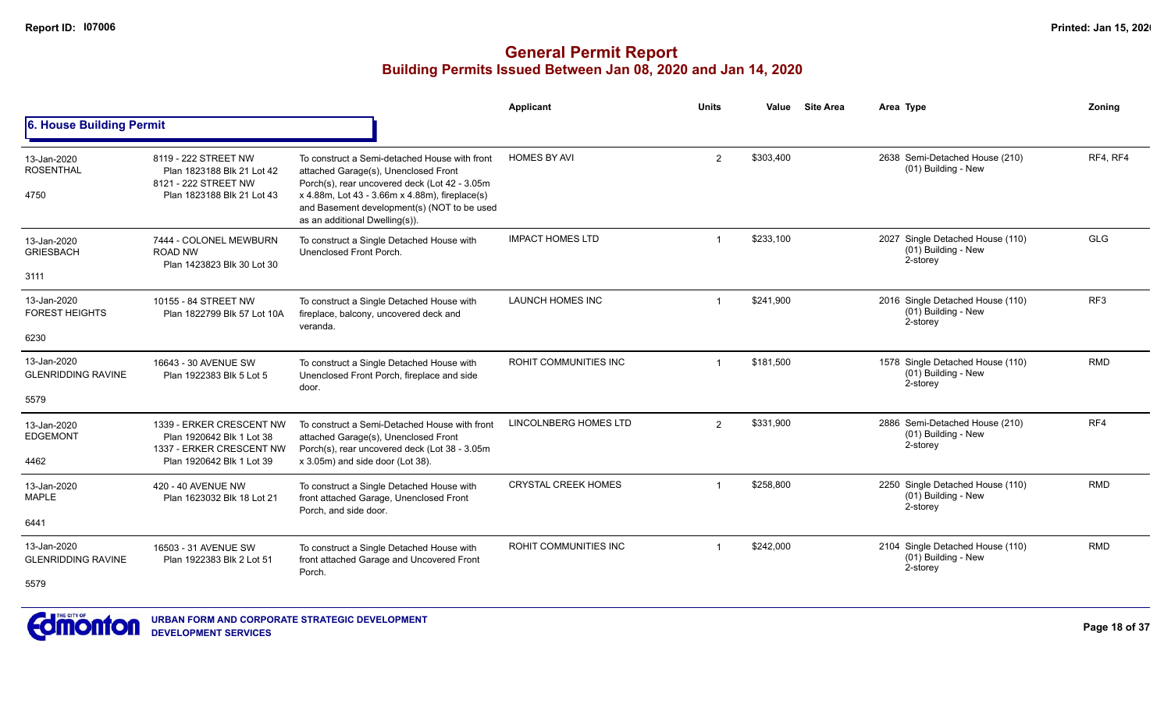## **General Permit Report Building Permits Issued Between Jan 08, 2020 and Jan 14, 2020**

|                                                  |                                                                                                                |                                                                                                                                                                                                                                                                           | <b>Applicant</b>             | <b>Units</b> | Value     | <b>Site Area</b> | Area Type                                                           | Zoning     |
|--------------------------------------------------|----------------------------------------------------------------------------------------------------------------|---------------------------------------------------------------------------------------------------------------------------------------------------------------------------------------------------------------------------------------------------------------------------|------------------------------|--------------|-----------|------------------|---------------------------------------------------------------------|------------|
| 6. House Building Permit                         |                                                                                                                |                                                                                                                                                                                                                                                                           |                              |              |           |                  |                                                                     |            |
| 13-Jan-2020<br><b>ROSENTHAL</b><br>4750          | 8119 - 222 STREET NW<br>Plan 1823188 Blk 21 Lot 42<br>8121 - 222 STREET NW<br>Plan 1823188 Blk 21 Lot 43       | To construct a Semi-detached House with front<br>attached Garage(s), Unenclosed Front<br>Porch(s), rear uncovered deck (Lot 42 - 3.05m<br>x 4.88m, Lot 43 - 3.66m x 4.88m), fireplace(s)<br>and Basement development(s) (NOT to be used<br>as an additional Dwelling(s)). | <b>HOMES BY AVI</b>          | 2            | \$303,400 |                  | 2638 Semi-Detached House (210)<br>(01) Building - New               | RF4, RF4   |
| 13-Jan-2020<br><b>GRIESBACH</b><br>3111          | 7444 - COLONEL MEWBURN<br><b>ROAD NW</b><br>Plan 1423823 Blk 30 Lot 30                                         | To construct a Single Detached House with<br>Unenclosed Front Porch.                                                                                                                                                                                                      | <b>IMPACT HOMES LTD</b>      |              | \$233,100 |                  | 2027 Single Detached House (110)<br>(01) Building - New<br>2-storey | <b>GLG</b> |
| 13-Jan-2020<br><b>FOREST HEIGHTS</b><br>6230     | 10155 - 84 STREET NW<br>Plan 1822799 Blk 57 Lot 10A                                                            | To construct a Single Detached House with<br>fireplace, balcony, uncovered deck and<br>veranda.                                                                                                                                                                           | <b>LAUNCH HOMES INC</b>      |              | \$241,900 |                  | 2016 Single Detached House (110)<br>(01) Building - New<br>2-storey | RF3        |
| 13-Jan-2020<br><b>GLENRIDDING RAVINE</b><br>5579 | 16643 - 30 AVENUE SW<br>Plan 1922383 Blk 5 Lot 5                                                               | To construct a Single Detached House with<br>Unenclosed Front Porch, fireplace and side<br>door.                                                                                                                                                                          | ROHIT COMMUNITIES INC        |              | \$181,500 |                  | 1578 Single Detached House (110)<br>(01) Building - New<br>2-storey | <b>RMD</b> |
| 13-Jan-2020<br><b>EDGEMONT</b><br>4462           | 1339 - ERKER CRESCENT NW<br>Plan 1920642 Blk 1 Lot 38<br>1337 - ERKER CRESCENT NW<br>Plan 1920642 Blk 1 Lot 39 | To construct a Semi-Detached House with front<br>attached Garage(s), Unenclosed Front<br>Porch(s), rear uncovered deck (Lot 38 - 3.05m<br>x 3.05m) and side door (Lot 38).                                                                                                | <b>LINCOLNBERG HOMES LTD</b> | 2            | \$331,900 |                  | 2886 Semi-Detached House (210)<br>(01) Building - New<br>2-storey   | RF4        |
| 13-Jan-2020<br><b>MAPLE</b><br>6441              | 420 - 40 AVENUE NW<br>Plan 1623032 Blk 18 Lot 21                                                               | To construct a Single Detached House with<br>front attached Garage, Unenclosed Front<br>Porch, and side door.                                                                                                                                                             | <b>CRYSTAL CREEK HOMES</b>   |              | \$258,800 |                  | 2250 Single Detached House (110)<br>(01) Building - New<br>2-storey | <b>RMD</b> |
| 13-Jan-2020<br><b>GLENRIDDING RAVINE</b><br>5579 | 16503 - 31 AVENUE SW<br>Plan 1922383 Blk 2 Lot 51                                                              | To construct a Single Detached House with<br>front attached Garage and Uncovered Front<br>Porch.                                                                                                                                                                          | <b>ROHIT COMMUNITIES INC</b> |              | \$242,000 |                  | 2104 Single Detached House (110)<br>(01) Building - New<br>2-storey | <b>RMD</b> |



**URBAN FORM AND CORPORATE STRATEGIC DEVELOPMENT DEVELOPMENT SERVICES**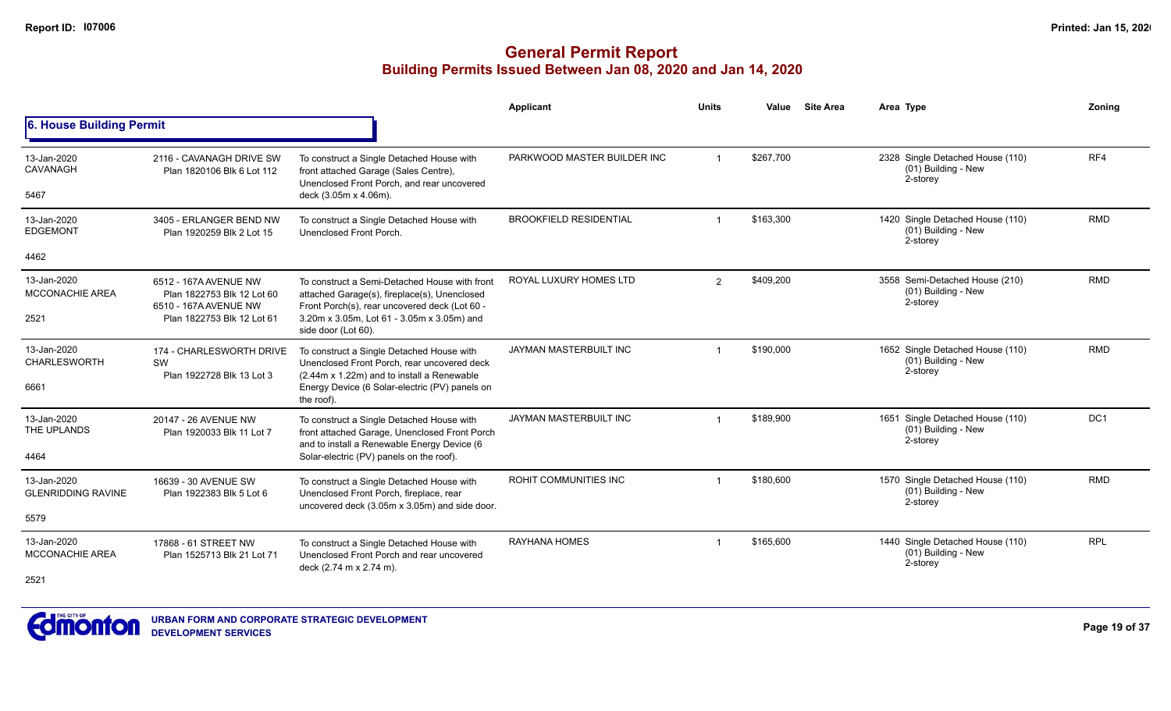|                                                  |                                                                                                            |                                                                                                                                                                                                                     | Applicant                     | <b>Units</b>   | Value     | <b>Site Area</b> | Area Type                                                           | Zonina     |
|--------------------------------------------------|------------------------------------------------------------------------------------------------------------|---------------------------------------------------------------------------------------------------------------------------------------------------------------------------------------------------------------------|-------------------------------|----------------|-----------|------------------|---------------------------------------------------------------------|------------|
| 6. House Building Permit                         |                                                                                                            |                                                                                                                                                                                                                     |                               |                |           |                  |                                                                     |            |
| 13-Jan-2020<br><b>CAVANAGH</b><br>5467           | 2116 - CAVANAGH DRIVE SW<br>Plan 1820106 Blk 6 Lot 112                                                     | To construct a Single Detached House with<br>front attached Garage (Sales Centre),<br>Unenclosed Front Porch, and rear uncovered<br>deck (3.05m x 4.06m).                                                           | PARKWOOD MASTER BUILDER INC   |                | \$267,700 |                  | 2328 Single Detached House (110)<br>(01) Building - New<br>2-storey | RF4        |
| 13-Jan-2020<br><b>EDGEMONT</b><br>4462           | 3405 - ERLANGER BEND NW<br>Plan 1920259 Blk 2 Lot 15                                                       | To construct a Single Detached House with<br>Unenclosed Front Porch.                                                                                                                                                | <b>BROOKFIELD RESIDENTIAL</b> |                | \$163,300 |                  | 1420 Single Detached House (110)<br>(01) Building - New<br>2-storey | <b>RMD</b> |
| 13-Jan-2020<br><b>MCCONACHIE AREA</b><br>2521    | 6512 - 167A AVENUE NW<br>Plan 1822753 Blk 12 Lot 60<br>6510 - 167A AVENUE NW<br>Plan 1822753 Blk 12 Lot 61 | To construct a Semi-Detached House with front<br>attached Garage(s), fireplace(s), Unenclosed<br>Front Porch(s), rear uncovered deck (Lot 60 -<br>3.20m x 3.05m, Lot 61 - 3.05m x 3.05m) and<br>side door (Lot 60). | ROYAL LUXURY HOMES LTD        | $\overline{2}$ | \$409,200 |                  | 3558 Semi-Detached House (210)<br>(01) Building - New<br>2-storey   | <b>RMD</b> |
| 13-Jan-2020<br><b>CHARLESWORTH</b><br>6661       | 174 - CHARLESWORTH DRIVE<br>SW<br>Plan 1922728 Blk 13 Lot 3                                                | To construct a Single Detached House with<br>Unenclosed Front Porch, rear uncovered deck<br>(2.44m x 1.22m) and to install a Renewable<br>Energy Device (6 Solar-electric (PV) panels on<br>the roof).              | JAYMAN MASTERBUILT INC        |                | \$190,000 |                  | 1652 Single Detached House (110)<br>(01) Building - New<br>2-storey | <b>RMD</b> |
| 13-Jan-2020<br>THE UPLANDS<br>4464               | 20147 - 26 AVENUE NW<br>Plan 1920033 Blk 11 Lot 7                                                          | To construct a Single Detached House with<br>front attached Garage, Unenclosed Front Porch<br>and to install a Renewable Energy Device (6<br>Solar-electric (PV) panels on the roof).                               | JAYMAN MASTERBUILT INC        |                | \$189,900 |                  | 1651 Single Detached House (110)<br>(01) Building - New<br>2-storey | DC1        |
| 13-Jan-2020<br><b>GLENRIDDING RAVINE</b><br>5579 | 16639 - 30 AVENUE SW<br>Plan 1922383 Blk 5 Lot 6                                                           | To construct a Single Detached House with<br>Unenclosed Front Porch, fireplace, rear<br>uncovered deck (3.05m x 3.05m) and side door.                                                                               | ROHIT COMMUNITIES INC         |                | \$180,600 |                  | 1570 Single Detached House (110)<br>(01) Building - New<br>2-storey | <b>RMD</b> |
| 13-Jan-2020<br><b>MCCONACHIE AREA</b><br>2521    | 17868 - 61 STREET NW<br>Plan 1525713 Blk 21 Lot 71                                                         | To construct a Single Detached House with<br>Unenclosed Front Porch and rear uncovered<br>deck (2.74 m x 2.74 m).                                                                                                   | <b>RAYHANA HOMES</b>          |                | \$165,600 |                  | 1440 Single Detached House (110)<br>(01) Building - New<br>2-storey | <b>RPL</b> |

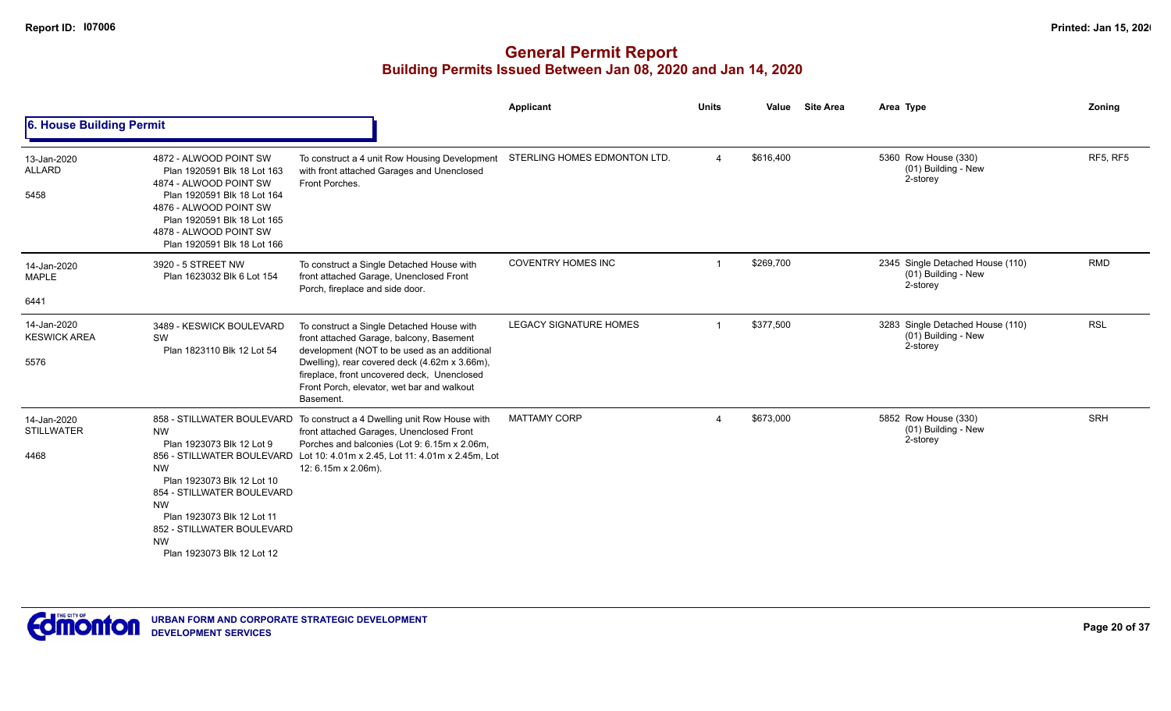|                                            |                                                                                                                                                                                                                                                            |                                                                                                                                                                                                                                                                                                        | Applicant                     | <b>Units</b>            | Value     | <b>Site Area</b> | Area Type                                                           | Zoning          |
|--------------------------------------------|------------------------------------------------------------------------------------------------------------------------------------------------------------------------------------------------------------------------------------------------------------|--------------------------------------------------------------------------------------------------------------------------------------------------------------------------------------------------------------------------------------------------------------------------------------------------------|-------------------------------|-------------------------|-----------|------------------|---------------------------------------------------------------------|-----------------|
| 6. House Building Permit                   |                                                                                                                                                                                                                                                            |                                                                                                                                                                                                                                                                                                        |                               |                         |           |                  |                                                                     |                 |
| 13-Jan-2020<br><b>ALLARD</b><br>5458       | 4872 - ALWOOD POINT SW<br>Plan 1920591 Blk 18 Lot 163<br>4874 - ALWOOD POINT SW<br>Plan 1920591 Blk 18 Lot 164<br>4876 - ALWOOD POINT SW<br>Plan 1920591 Blk 18 Lot 165<br>4878 - ALWOOD POINT SW<br>Plan 1920591 Blk 18 Lot 166                           | To construct a 4 unit Row Housing Development<br>with front attached Garages and Unenclosed<br>Front Porches.                                                                                                                                                                                          | STERLING HOMES EDMONTON LTD.  |                         | \$616,400 |                  | 5360 Row House (330)<br>(01) Building - New<br>2-storey             | <b>RF5, RF5</b> |
| 14-Jan-2020<br><b>MAPLE</b>                | 3920 - 5 STREET NW<br>Plan 1623032 Blk 6 Lot 154                                                                                                                                                                                                           | To construct a Single Detached House with<br>front attached Garage, Unenclosed Front<br>Porch, fireplace and side door.                                                                                                                                                                                | <b>COVENTRY HOMES INC</b>     |                         | \$269,700 |                  | 2345 Single Detached House (110)<br>(01) Building - New<br>2-storey | <b>RMD</b>      |
| 6441                                       |                                                                                                                                                                                                                                                            |                                                                                                                                                                                                                                                                                                        |                               |                         |           |                  |                                                                     |                 |
| 14-Jan-2020<br><b>KESWICK AREA</b><br>5576 | 3489 - KESWICK BOULEVARD<br>SW<br>Plan 1823110 Blk 12 Lot 54                                                                                                                                                                                               | To construct a Single Detached House with<br>front attached Garage, balcony, Basement<br>development (NOT to be used as an additional<br>Dwelling), rear covered deck (4.62m x 3.66m),<br>fireplace, front uncovered deck, Unenclosed<br>Front Porch, elevator, wet bar and walkout<br><b>Basement</b> | <b>LEGACY SIGNATURE HOMES</b> |                         | \$377,500 |                  | 3283 Single Detached House (110)<br>(01) Building - New<br>2-storey | <b>RSL</b>      |
| 14-Jan-2020<br><b>STILLWATER</b><br>4468   | NW<br>Plan 1923073 Blk 12 Lot 9<br>856 - STILLWATER BOULEVARD<br><b>NW</b><br>Plan 1923073 Blk 12 Lot 10<br>854 - STILLWATER BOULEVARD<br><b>NW</b><br>Plan 1923073 Blk 12 Lot 11<br>852 - STILLWATER BOULEVARD<br><b>NW</b><br>Plan 1923073 Blk 12 Lot 12 | 858 - STILLWATER BOULEVARD To construct a 4 Dwelling unit Row House with<br>front attached Garages, Unenclosed Front<br>Porches and balconies (Lot 9: 6.15m x 2.06m,<br>Lot 10: 4.01m x 2.45, Lot 11: 4.01m x 2.45m, Lot<br>12: 6.15m x 2.06m).                                                        | <b>MATTAMY CORP</b>           | $\overline{\mathbf{4}}$ | \$673,000 |                  | 5852 Row House (330)<br>(01) Building - New<br>2-storey             | <b>SRH</b>      |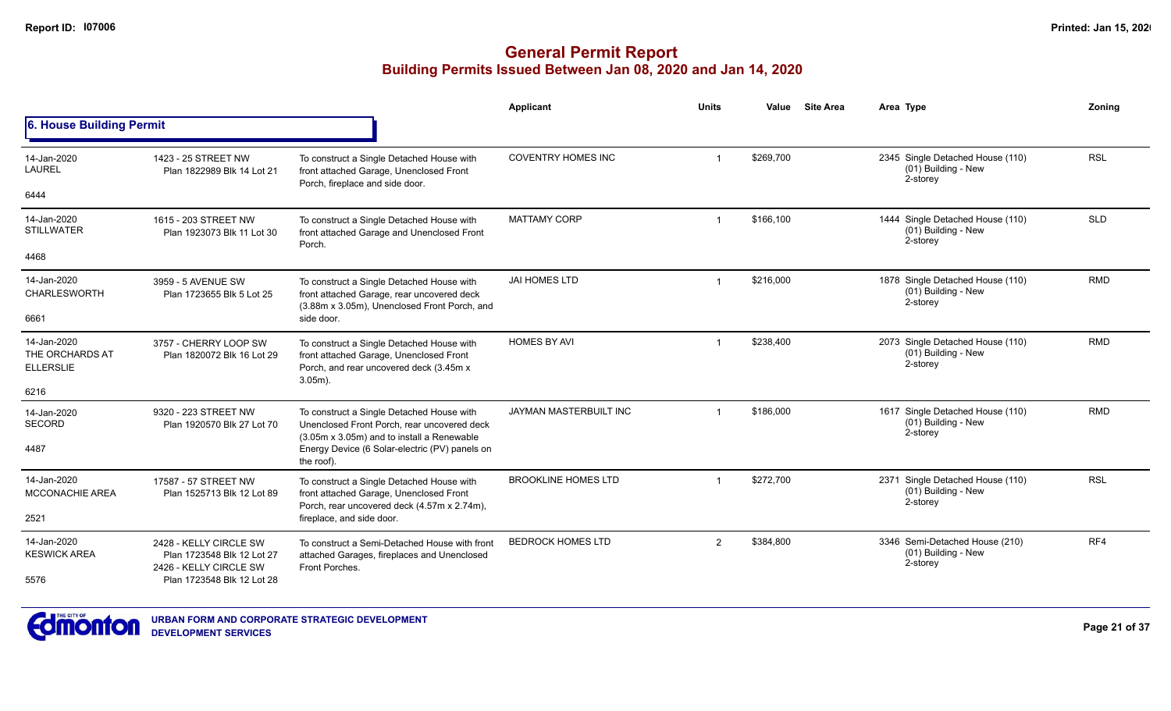|                                                    |                                                                          |                                                                                                                                                | Applicant                     | <b>Units</b>            | Value     | <b>Site Area</b> | Area Type                                                           | Zonina     |
|----------------------------------------------------|--------------------------------------------------------------------------|------------------------------------------------------------------------------------------------------------------------------------------------|-------------------------------|-------------------------|-----------|------------------|---------------------------------------------------------------------|------------|
| 6. House Building Permit                           |                                                                          |                                                                                                                                                |                               |                         |           |                  |                                                                     |            |
| 14-Jan-2020<br><b>LAUREL</b>                       | 1423 - 25 STREET NW<br>Plan 1822989 Blk 14 Lot 21                        | To construct a Single Detached House with<br>front attached Garage, Unenclosed Front<br>Porch, fireplace and side door.                        | <b>COVENTRY HOMES INC</b>     | $\overline{\mathbf{1}}$ | \$269,700 |                  | 2345 Single Detached House (110)<br>(01) Building - New<br>2-storey | <b>RSL</b> |
| 6444                                               |                                                                          |                                                                                                                                                |                               |                         |           |                  |                                                                     |            |
| 14-Jan-2020<br><b>STILLWATER</b>                   | 1615 - 203 STREET NW<br>Plan 1923073 Blk 11 Lot 30                       | To construct a Single Detached House with<br>front attached Garage and Unenclosed Front<br>Porch.                                              | <b>MATTAMY CORP</b>           | $\overline{\mathbf{1}}$ | \$166,100 |                  | 1444 Single Detached House (110)<br>(01) Building - New<br>2-storey | <b>SLD</b> |
| 4468                                               |                                                                          |                                                                                                                                                |                               |                         |           |                  |                                                                     |            |
| 14-Jan-2020<br><b>CHARLESWORTH</b>                 | 3959 - 5 AVENUE SW<br>Plan 1723655 Blk 5 Lot 25                          | To construct a Single Detached House with<br>front attached Garage, rear uncovered deck<br>(3.88m x 3.05m), Unenclosed Front Porch, and        | <b>JAI HOMES LTD</b>          | $\overline{1}$          | \$216,000 |                  | 1878 Single Detached House (110)<br>(01) Building - New<br>2-storey | <b>RMD</b> |
| 6661                                               |                                                                          | side door.                                                                                                                                     |                               |                         |           |                  |                                                                     |            |
| 14-Jan-2020<br>THE ORCHARDS AT<br><b>ELLERSLIE</b> | 3757 - CHERRY LOOP SW<br>Plan 1820072 Blk 16 Lot 29                      | To construct a Single Detached House with<br>front attached Garage, Unenclosed Front<br>Porch, and rear uncovered deck (3.45m x)<br>$3.05m$ ). | <b>HOMES BY AVI</b>           | -1                      | \$238,400 |                  | 2073 Single Detached House (110)<br>(01) Building - New<br>2-storey | <b>RMD</b> |
| 6216                                               |                                                                          |                                                                                                                                                |                               |                         |           |                  |                                                                     |            |
| 14-Jan-2020<br><b>SECORD</b>                       | 9320 - 223 STREET NW<br>Plan 1920570 Blk 27 Lot 70                       | To construct a Single Detached House with<br>Unenclosed Front Porch, rear uncovered deck<br>(3.05m x 3.05m) and to install a Renewable         | <b>JAYMAN MASTERBUILT INC</b> | $\overline{1}$          | \$186,000 |                  | 1617 Single Detached House (110)<br>(01) Building - New<br>2-storey | <b>RMD</b> |
| 4487                                               |                                                                          | Energy Device (6 Solar-electric (PV) panels on<br>the roof).                                                                                   |                               |                         |           |                  |                                                                     |            |
| 14-Jan-2020<br><b>MCCONACHIE AREA</b>              | 17587 - 57 STREET NW<br>Plan 1525713 Blk 12 Lot 89                       | To construct a Single Detached House with<br>front attached Garage, Unenclosed Front                                                           | <b>BROOKLINE HOMES LTD</b>    | -1                      | \$272,700 |                  | 2371 Single Detached House (110)<br>(01) Building - New             | <b>RSL</b> |
| 2521                                               | Porch, rear uncovered deck (4.57m x 2.74m),<br>fireplace, and side door. |                                                                                                                                                |                               |                         |           | 2-storey         |                                                                     |            |
| 14-Jan-2020<br><b>KESWICK AREA</b>                 | 2428 - KELLY CIRCLE SW<br>Plan 1723548 Blk 12 Lot 27                     | To construct a Semi-Detached House with front<br>attached Garages, fireplaces and Unenclosed                                                   | <b>BEDROCK HOMES LTD</b>      | $\overline{2}$          | \$384,800 |                  | 3346 Semi-Detached House (210)<br>(01) Building - New               | RF4        |
| 5576                                               | 2426 - KELLY CIRCLE SW<br>Front Porches.<br>Plan 1723548 Blk 12 Lot 28   |                                                                                                                                                |                               |                         |           |                  | 2-storey                                                            |            |

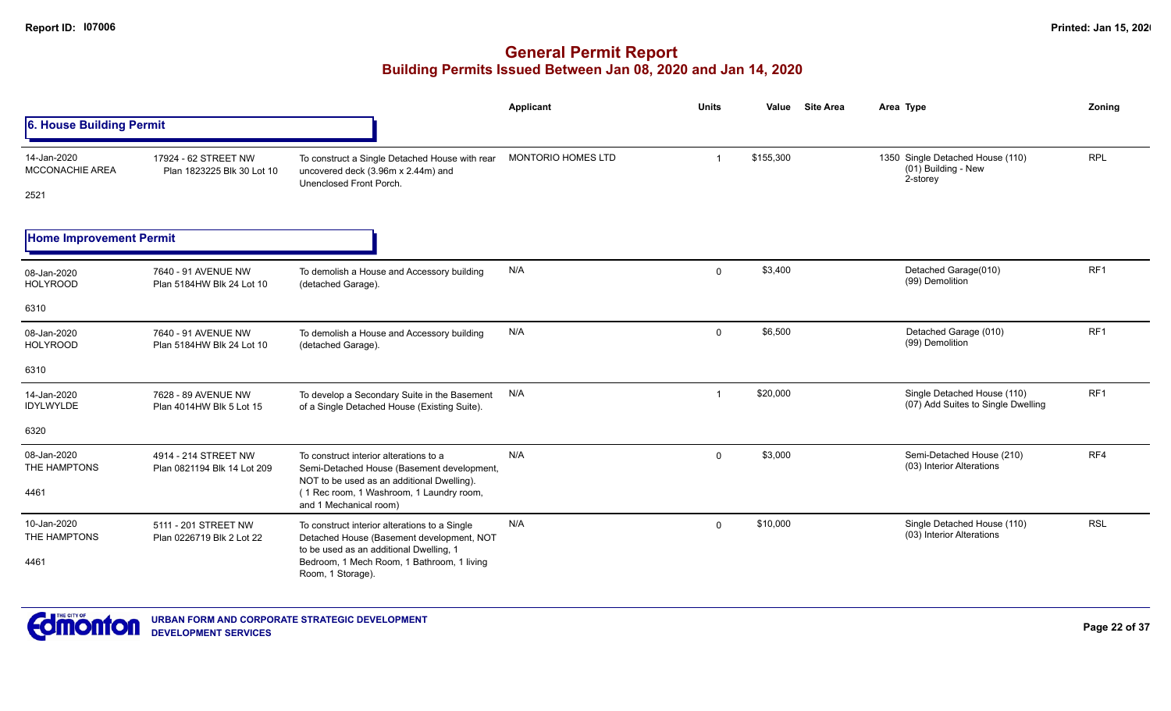|                                        |                                                                                                                  |                                                                                                                                       | Applicant          | <b>Units</b> | Value     | <b>Site Area</b> | Area Type                                                             | Zoning          |
|----------------------------------------|------------------------------------------------------------------------------------------------------------------|---------------------------------------------------------------------------------------------------------------------------------------|--------------------|--------------|-----------|------------------|-----------------------------------------------------------------------|-----------------|
| 6. House Building Permit               |                                                                                                                  |                                                                                                                                       |                    |              |           |                  |                                                                       |                 |
| 14-Jan-2020<br>MCCONACHIE AREA<br>2521 | 17924 - 62 STREET NW<br>Plan 1823225 Blk 30 Lot 10                                                               | To construct a Single Detached House with rear<br>uncovered deck (3.96m x 2.44m) and<br>Unenclosed Front Porch.                       | MONTORIO HOMES LTD |              | \$155,300 |                  | 1350 Single Detached House (110)<br>$(01)$ Building - New<br>2-storey | <b>RPL</b>      |
| <b>Home Improvement Permit</b>         |                                                                                                                  |                                                                                                                                       |                    |              |           |                  |                                                                       |                 |
| 08-Jan-2020<br><b>HOLYROOD</b>         | 7640 - 91 AVENUE NW<br>Plan 5184HW Blk 24 Lot 10                                                                 | To demolish a House and Accessory building<br>(detached Garage).                                                                      | N/A                | $\mathbf{0}$ | \$3,400   |                  | Detached Garage(010)<br>(99) Demolition                               | RF1             |
| 6310                                   |                                                                                                                  |                                                                                                                                       |                    |              |           |                  |                                                                       |                 |
| 08-Jan-2020<br><b>HOLYROOD</b>         | 7640 - 91 AVENUE NW<br>Plan 5184HW Blk 24 Lot 10                                                                 | To demolish a House and Accessory building<br>(detached Garage).                                                                      | N/A                | $\mathbf{0}$ | \$6,500   |                  | Detached Garage (010)<br>(99) Demolition                              | RF <sub>1</sub> |
| 6310                                   |                                                                                                                  |                                                                                                                                       |                    |              |           |                  |                                                                       |                 |
| 14-Jan-2020<br>IDYLWYLDE               | 7628 - 89 AVENUE NW<br>Plan 4014HW Blk 5 Lot 15                                                                  | To develop a Secondary Suite in the Basement<br>of a Single Detached House (Existing Suite).                                          | N/A                |              | \$20,000  |                  | Single Detached House (110)<br>(07) Add Suites to Single Dwelling     | RF <sub>1</sub> |
| 6320                                   |                                                                                                                  |                                                                                                                                       |                    |              |           |                  |                                                                       |                 |
| 08-Jan-2020<br>THE HAMPTONS            | 4914 - 214 STREET NW<br>Plan 0821194 Blk 14 Lot 209                                                              | To construct interior alterations to a<br>Semi-Detached House (Basement development,                                                  | N/A                | $\Omega$     | \$3,000   |                  | Semi-Detached House (210)<br>(03) Interior Alterations                | RF4             |
| 4461                                   | NOT to be used as an additional Dwelling).<br>(1 Rec room, 1 Washroom, 1 Laundry room,<br>and 1 Mechanical room) |                                                                                                                                       |                    |              |           |                  |                                                                       |                 |
| 10-Jan-2020<br>THE HAMPTONS            | 5111 - 201 STREET NW<br>Plan 0226719 Blk 2 Lot 22                                                                | To construct interior alterations to a Single<br>Detached House (Basement development, NOT<br>to be used as an additional Dwelling, 1 | N/A                | $\Omega$     | \$10,000  |                  | Single Detached House (110)<br>(03) Interior Alterations              | <b>RSL</b>      |
| 4461                                   |                                                                                                                  | Bedroom, 1 Mech Room, 1 Bathroom, 1 living<br>Room, 1 Storage).                                                                       |                    |              |           |                  |                                                                       |                 |

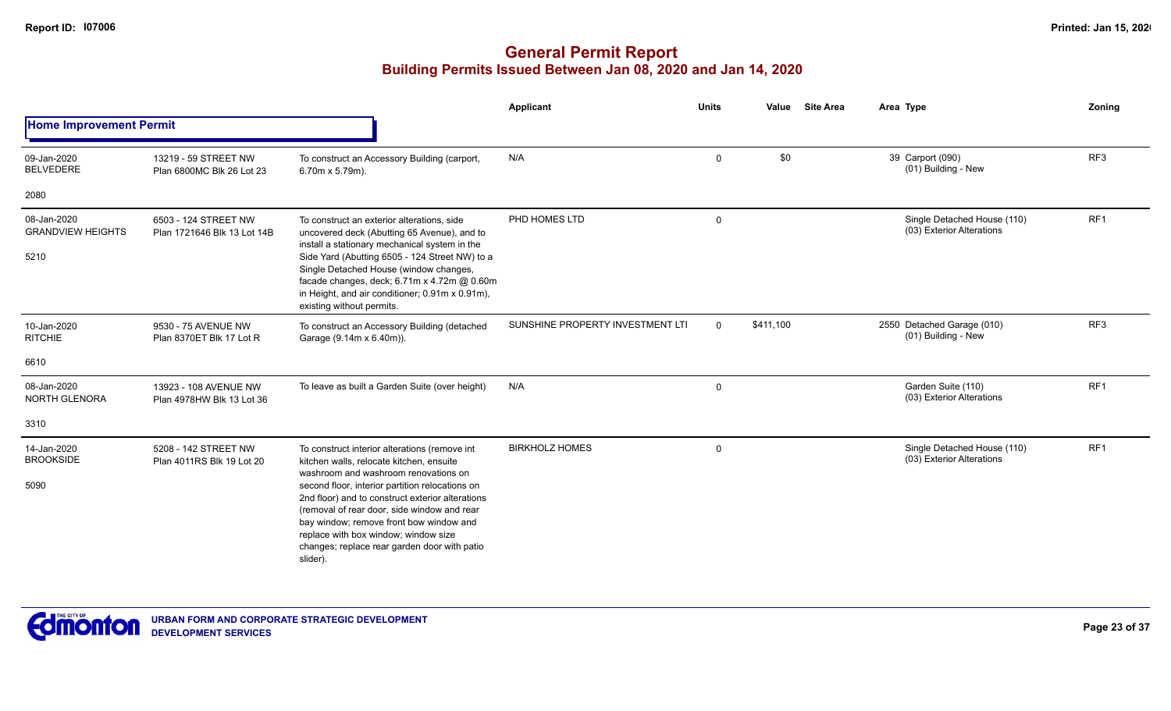|                                                 |                                                     |                                                                                                                                                                                                                                                                                                                                                                                                                                        | <b>Applicant</b>                 | <b>Units</b> | Value     | <b>Site Area</b> | Area Type                                                | Zoning          |
|-------------------------------------------------|-----------------------------------------------------|----------------------------------------------------------------------------------------------------------------------------------------------------------------------------------------------------------------------------------------------------------------------------------------------------------------------------------------------------------------------------------------------------------------------------------------|----------------------------------|--------------|-----------|------------------|----------------------------------------------------------|-----------------|
| <b>Home Improvement Permit</b>                  |                                                     |                                                                                                                                                                                                                                                                                                                                                                                                                                        |                                  |              |           |                  |                                                          |                 |
| 09-Jan-2020<br><b>BELVEDERE</b>                 | 13219 - 59 STREET NW<br>Plan 6800MC Blk 26 Lot 23   | To construct an Accessory Building (carport,<br>6.70m x 5.79m).                                                                                                                                                                                                                                                                                                                                                                        | N/A                              | $\mathbf 0$  | \$0       |                  | 39 Carport (090)<br>(01) Building - New                  | RF <sub>3</sub> |
| 2080                                            |                                                     |                                                                                                                                                                                                                                                                                                                                                                                                                                        |                                  |              |           |                  |                                                          |                 |
| 08-Jan-2020<br><b>GRANDVIEW HEIGHTS</b><br>5210 | 6503 - 124 STREET NW<br>Plan 1721646 Blk 13 Lot 14B | To construct an exterior alterations, side<br>uncovered deck (Abutting 65 Avenue), and to<br>install a stationary mechanical system in the<br>Side Yard (Abutting 6505 - 124 Street NW) to a<br>Single Detached House (window changes,<br>facade changes, deck; 6.71m x 4.72m @ 0.60m<br>in Height, and air conditioner; 0.91m x 0.91m),<br>existing without permits.                                                                  | PHD HOMES LTD                    | 0            |           |                  | Single Detached House (110)<br>(03) Exterior Alterations | RF <sub>1</sub> |
| 10-Jan-2020<br><b>RITCHIE</b>                   | 9530 - 75 AVENUE NW<br>Plan 8370ET Blk 17 Lot R     | To construct an Accessory Building (detached<br>Garage (9.14m x 6.40m)).                                                                                                                                                                                                                                                                                                                                                               | SUNSHINE PROPERTY INVESTMENT LTI | $\Omega$     | \$411,100 |                  | 2550 Detached Garage (010)<br>(01) Building - New        | RF <sub>3</sub> |
| 6610                                            |                                                     |                                                                                                                                                                                                                                                                                                                                                                                                                                        |                                  |              |           |                  |                                                          |                 |
| 08-Jan-2020<br>NORTH GLENORA                    | 13923 - 108 AVENUE NW<br>Plan 4978HW Blk 13 Lot 36  | To leave as built a Garden Suite (over height)                                                                                                                                                                                                                                                                                                                                                                                         | N/A                              | $\mathbf 0$  |           |                  | Garden Suite (110)<br>(03) Exterior Alterations          | RF <sub>1</sub> |
| 3310                                            |                                                     |                                                                                                                                                                                                                                                                                                                                                                                                                                        |                                  |              |           |                  |                                                          |                 |
| 14-Jan-2020<br><b>BROOKSIDE</b><br>5090         | 5208 - 142 STREET NW<br>Plan 4011RS Blk 19 Lot 20   | To construct interior alterations (remove int<br>kitchen walls, relocate kitchen, ensuite<br>washroom and washroom renovations on<br>second floor, interior partition relocations on<br>2nd floor) and to construct exterior alterations<br>(removal of rear door, side window and rear<br>bay window; remove front bow window and<br>replace with box window; window size<br>changes; replace rear garden door with patio<br>slider). | <b>BIRKHOLZ HOMES</b>            | 0            |           |                  | Single Detached House (110)<br>(03) Exterior Alterations | RF1             |

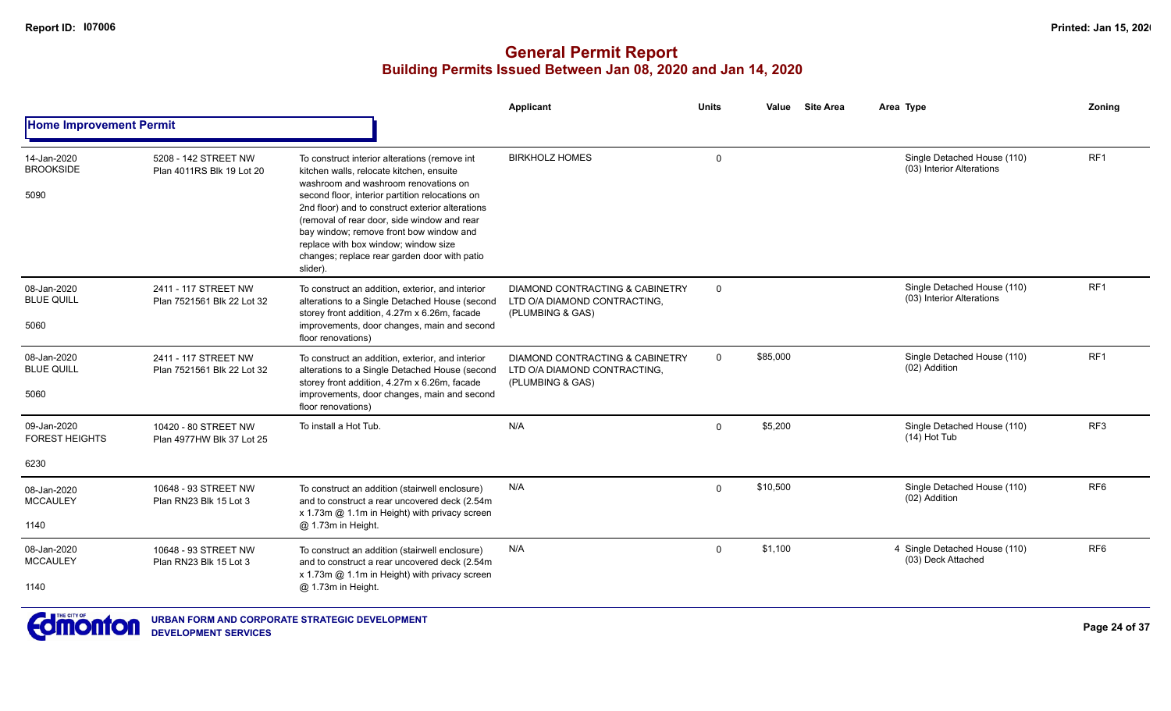|                                              |                                                    |                                                                                                                                                                                                                                                                                                                                                                                                                                        | <b>Applicant</b>                                                                               | <b>Units</b> | <b>Site Area</b><br>Value | Area Type                                                | Zoning          |
|----------------------------------------------|----------------------------------------------------|----------------------------------------------------------------------------------------------------------------------------------------------------------------------------------------------------------------------------------------------------------------------------------------------------------------------------------------------------------------------------------------------------------------------------------------|------------------------------------------------------------------------------------------------|--------------|---------------------------|----------------------------------------------------------|-----------------|
| <b>Home Improvement Permit</b>               |                                                    |                                                                                                                                                                                                                                                                                                                                                                                                                                        |                                                                                                |              |                           |                                                          |                 |
| 14-Jan-2020<br><b>BROOKSIDE</b><br>5090      | 5208 - 142 STREET NW<br>Plan 4011RS Blk 19 Lot 20  | To construct interior alterations (remove int<br>kitchen walls, relocate kitchen, ensuite<br>washroom and washroom renovations on<br>second floor, interior partition relocations on<br>2nd floor) and to construct exterior alterations<br>(removal of rear door, side window and rear<br>bay window; remove front bow window and<br>replace with box window; window size<br>changes; replace rear garden door with patio<br>slider). | <b>BIRKHOLZ HOMES</b>                                                                          | $\mathbf 0$  |                           | Single Detached House (110)<br>(03) Interior Alterations | RF1             |
| 08-Jan-2020<br><b>BLUE QUILL</b><br>5060     | 2411 - 117 STREET NW<br>Plan 7521561 Blk 22 Lot 32 | To construct an addition, exterior, and interior<br>alterations to a Single Detached House (second<br>storey front addition, 4.27m x 6.26m, facade<br>improvements, door changes, main and second<br>floor renovations)                                                                                                                                                                                                                | <b>DIAMOND CONTRACTING &amp; CABINETRY</b><br>LTD O/A DIAMOND CONTRACTING,<br>(PLUMBING & GAS) | $\mathbf{0}$ |                           | Single Detached House (110)<br>(03) Interior Alterations | RF1             |
| 08-Jan-2020<br><b>BLUE QUILL</b><br>5060     | 2411 - 117 STREET NW<br>Plan 7521561 Blk 22 Lot 32 | To construct an addition, exterior, and interior<br>alterations to a Single Detached House (second<br>storey front addition, 4.27m x 6.26m, facade<br>improvements, door changes, main and second<br>floor renovations)                                                                                                                                                                                                                | DIAMOND CONTRACTING & CABINETRY<br>LTD O/A DIAMOND CONTRACTING,<br>(PLUMBING & GAS)            | $\mathbf 0$  | \$85,000                  | Single Detached House (110)<br>(02) Addition             | RF <sub>1</sub> |
| 09-Jan-2020<br><b>FOREST HEIGHTS</b><br>6230 | 10420 - 80 STREET NW<br>Plan 4977HW Blk 37 Lot 25  | To install a Hot Tub.                                                                                                                                                                                                                                                                                                                                                                                                                  | N/A                                                                                            | $\mathbf{0}$ | \$5,200                   | Single Detached House (110)<br>(14) Hot Tub              | RF <sub>3</sub> |
| 08-Jan-2020<br><b>MCCAULEY</b><br>1140       | 10648 - 93 STREET NW<br>Plan RN23 Blk 15 Lot 3     | To construct an addition (stairwell enclosure)<br>and to construct a rear uncovered deck (2.54m<br>x 1.73m @ 1.1m in Height) with privacy screen<br>@ 1.73m in Height.                                                                                                                                                                                                                                                                 | N/A                                                                                            | $\mathbf{0}$ | \$10.500                  | Single Detached House (110)<br>(02) Addition             | RF <sub>6</sub> |
| 08-Jan-2020<br><b>MCCAULEY</b><br>1140       | 10648 - 93 STREET NW<br>Plan RN23 Blk 15 Lot 3     | To construct an addition (stairwell enclosure)<br>and to construct a rear uncovered deck (2.54m<br>x 1.73m @ 1.1m in Height) with privacy screen<br>@ 1.73m in Height.                                                                                                                                                                                                                                                                 | N/A                                                                                            | $\Omega$     | \$1.100                   | 4 Single Detached House (110)<br>(03) Deck Attached      | RF <sub>6</sub> |

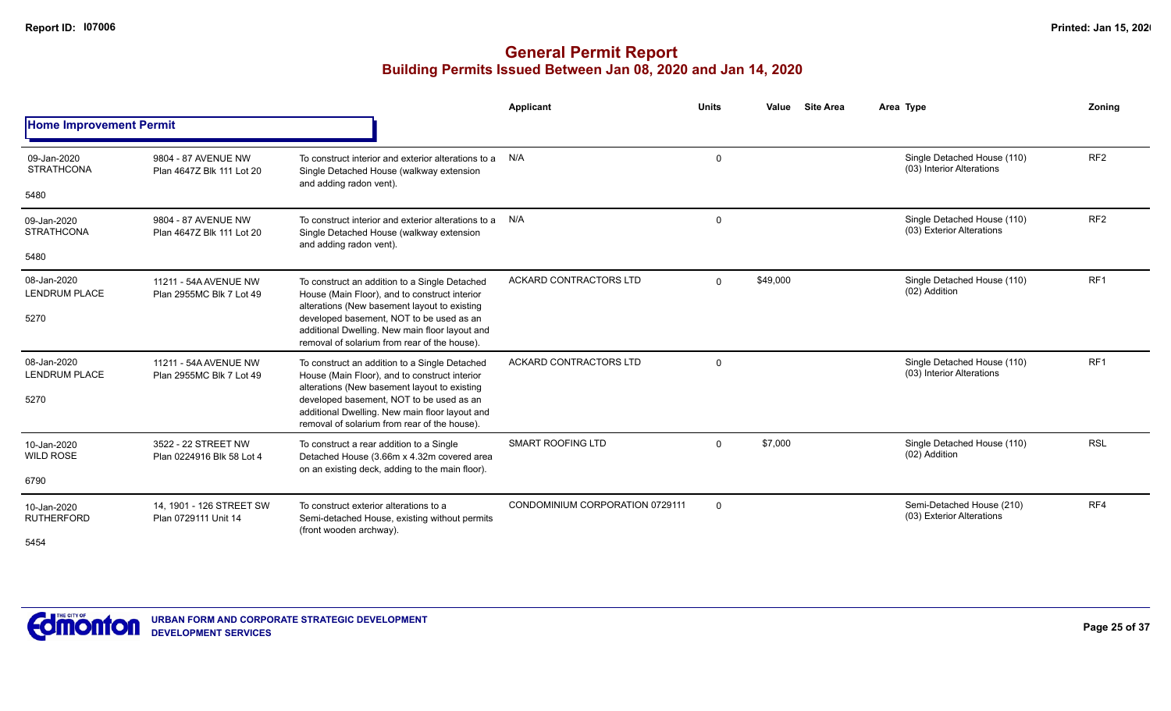|                                     |                                                   |                                                                                                                                                                                            | Applicant                       | <b>Units</b>   | <b>Site Area</b><br>Value | Area Type                                                | Zonina          |
|-------------------------------------|---------------------------------------------------|--------------------------------------------------------------------------------------------------------------------------------------------------------------------------------------------|---------------------------------|----------------|---------------------------|----------------------------------------------------------|-----------------|
| <b>Home Improvement Permit</b>      |                                                   |                                                                                                                                                                                            |                                 |                |                           |                                                          |                 |
| 09-Jan-2020<br><b>STRATHCONA</b>    | 9804 - 87 AVENUE NW<br>Plan 4647Z Blk 111 Lot 20  | To construct interior and exterior alterations to a<br>Single Detached House (walkway extension<br>and adding radon vent).                                                                 | N/A                             | $\mathbf 0$    |                           | Single Detached House (110)<br>(03) Interior Alterations | RF <sub>2</sub> |
| 5480                                |                                                   |                                                                                                                                                                                            |                                 |                |                           |                                                          |                 |
| 09-Jan-2020<br><b>STRATHCONA</b>    | 9804 - 87 AVENUE NW<br>Plan 4647Z Blk 111 Lot 20  | To construct interior and exterior alterations to a<br>Single Detached House (walkway extension<br>and adding radon vent).                                                                 | N/A                             | $\mathbf 0$    |                           | Single Detached House (110)<br>(03) Exterior Alterations | RF <sub>2</sub> |
| 5480                                |                                                   |                                                                                                                                                                                            |                                 |                |                           |                                                          |                 |
| 08-Jan-2020<br><b>LENDRUM PLACE</b> | 11211 - 54A AVENUE NW<br>Plan 2955MC Blk 7 Lot 49 | To construct an addition to a Single Detached<br>House (Main Floor), and to construct interior                                                                                             | <b>ACKARD CONTRACTORS LTD</b>   | $\Omega$       | \$49,000                  | Single Detached House (110)<br>(02) Addition             | RF <sub>1</sub> |
| 5270                                |                                                   | alterations (New basement layout to existing<br>developed basement, NOT to be used as an<br>additional Dwelling. New main floor layout and<br>removal of solarium from rear of the house). |                                 |                |                           |                                                          |                 |
| 08-Jan-2020<br><b>LENDRUM PLACE</b> | 11211 - 54A AVENUE NW<br>Plan 2955MC Blk 7 Lot 49 | To construct an addition to a Single Detached<br>House (Main Floor), and to construct interior<br>alterations (New basement layout to existing                                             | ACKARD CONTRACTORS LTD          | $\mathbf 0$    |                           | Single Detached House (110)<br>(03) Interior Alterations | RF <sub>1</sub> |
| 5270                                |                                                   | developed basement, NOT to be used as an<br>additional Dwelling. New main floor layout and<br>removal of solarium from rear of the house).                                                 |                                 |                |                           |                                                          |                 |
| 10-Jan-2020<br><b>WILD ROSE</b>     | 3522 - 22 STREET NW<br>Plan 0224916 Blk 58 Lot 4  | To construct a rear addition to a Single<br>Detached House (3.66m x 4.32m covered area<br>on an existing deck, adding to the main floor).                                                  | <b>SMART ROOFING LTD</b>        | $\Omega$       | \$7,000                   | Single Detached House (110)<br>(02) Addition             | <b>RSL</b>      |
| 6790                                |                                                   |                                                                                                                                                                                            |                                 |                |                           |                                                          |                 |
| 10-Jan-2020<br><b>RUTHERFORD</b>    | 14, 1901 - 126 STREET SW<br>Plan 0729111 Unit 14  | To construct exterior alterations to a<br>Semi-detached House, existing without permits<br>(front wooden archway).                                                                         | CONDOMINIUM CORPORATION 0729111 | $\overline{0}$ |                           | Semi-Detached House (210)<br>(03) Exterior Alterations   | RF4             |
| 5454                                |                                                   |                                                                                                                                                                                            |                                 |                |                           |                                                          |                 |

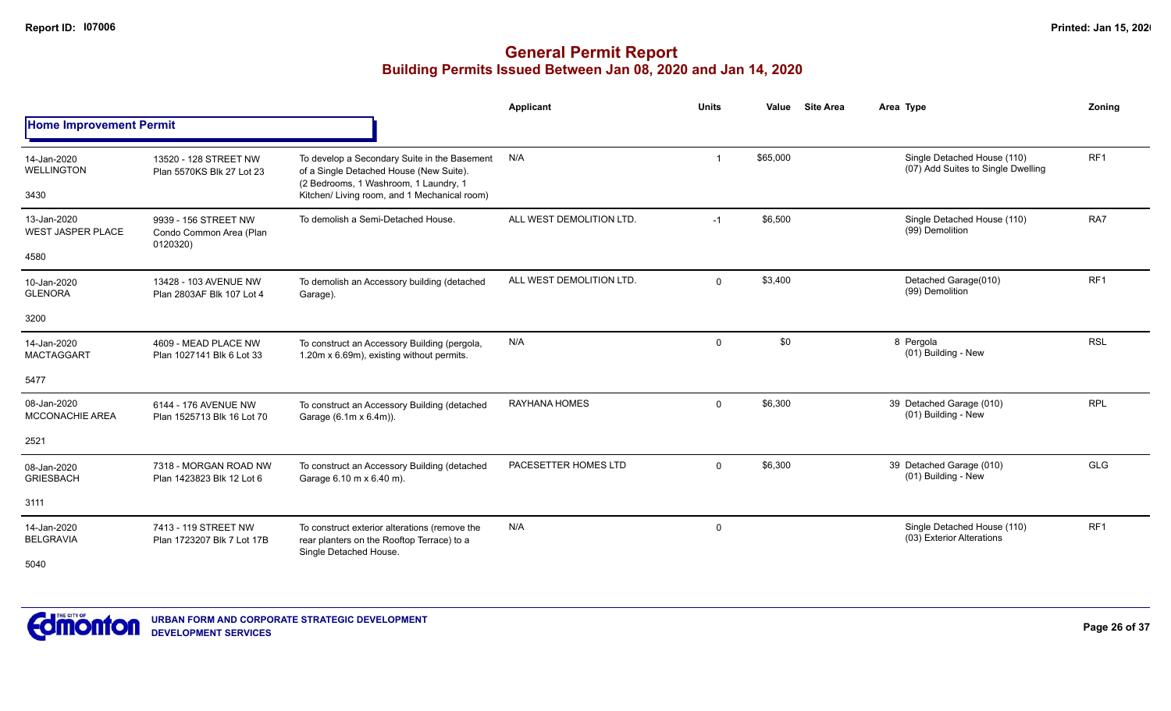|                                                 |                                                             |                                                                                                                                                                                  | <b>Applicant</b>         | <b>Units</b> | Value    | <b>Site Area</b> | Area Type                                                         | Zoning          |
|-------------------------------------------------|-------------------------------------------------------------|----------------------------------------------------------------------------------------------------------------------------------------------------------------------------------|--------------------------|--------------|----------|------------------|-------------------------------------------------------------------|-----------------|
| <b>Home Improvement Permit</b>                  |                                                             |                                                                                                                                                                                  |                          |              |          |                  |                                                                   |                 |
| 14-Jan-2020<br>WELLINGTON<br>3430               | 13520 - 128 STREET NW<br>Plan 5570KS Blk 27 Lot 23          | To develop a Secondary Suite in the Basement<br>of a Single Detached House (New Suite).<br>(2 Bedrooms, 1 Washroom, 1 Laundry, 1<br>Kitchen/ Living room, and 1 Mechanical room) | N/A                      | -1           | \$65,000 |                  | Single Detached House (110)<br>(07) Add Suites to Single Dwelling | RF <sub>1</sub> |
| 13-Jan-2020<br><b>WEST JASPER PLACE</b><br>4580 | 9939 - 156 STREET NW<br>Condo Common Area (Plan<br>0120320) | To demolish a Semi-Detached House.                                                                                                                                               | ALL WEST DEMOLITION LTD. | $-1$         | \$6,500  |                  | Single Detached House (110)<br>(99) Demolition                    | RA7             |
| 10-Jan-2020<br><b>GLENORA</b>                   | 13428 - 103 AVENUE NW<br>Plan 2803AF Blk 107 Lot 4          | To demolish an Accessory building (detached<br>Garage).                                                                                                                          | ALL WEST DEMOLITION LTD. | $\mathbf 0$  | \$3,400  |                  | Detached Garage(010)<br>(99) Demolition                           | RF <sub>1</sub> |
| 3200                                            |                                                             |                                                                                                                                                                                  |                          |              |          |                  |                                                                   |                 |
| 14-Jan-2020<br><b>MACTAGGART</b>                | 4609 - MEAD PLACE NW<br>Plan 1027141 Blk 6 Lot 33           | To construct an Accessory Building (pergola,<br>1.20m x 6.69m), existing without permits.                                                                                        | N/A                      | $\mathbf 0$  | \$0      |                  | 8 Pergola<br>(01) Building - New                                  | <b>RSL</b>      |
| 5477                                            |                                                             |                                                                                                                                                                                  |                          |              |          |                  |                                                                   |                 |
| 08-Jan-2020<br><b>MCCONACHIE AREA</b>           | 6144 - 176 AVENUE NW<br>Plan 1525713 Blk 16 Lot 70          | To construct an Accessory Building (detached<br>Garage (6.1m x 6.4m)).                                                                                                           | <b>RAYHANA HOMES</b>     | $\mathbf 0$  | \$6,300  |                  | 39 Detached Garage (010)<br>(01) Building - New                   | <b>RPL</b>      |
| 2521                                            |                                                             |                                                                                                                                                                                  |                          |              |          |                  |                                                                   |                 |
| 08-Jan-2020<br><b>GRIESBACH</b>                 | 7318 - MORGAN ROAD NW<br>Plan 1423823 Blk 12 Lot 6          | To construct an Accessory Building (detached<br>Garage 6.10 m x 6.40 m).                                                                                                         | PACESETTER HOMES LTD     | $\mathbf 0$  | \$6,300  |                  | 39 Detached Garage (010)<br>(01) Building - New                   | <b>GLG</b>      |
| 3111                                            |                                                             |                                                                                                                                                                                  |                          |              |          |                  |                                                                   |                 |
| 14-Jan-2020<br><b>BELGRAVIA</b><br>5040         | 7413 - 119 STREET NW<br>Plan 1723207 Blk 7 Lot 17B          | To construct exterior alterations (remove the<br>rear planters on the Rooftop Terrace) to a<br>Single Detached House.                                                            | N/A                      | 0            |          |                  | Single Detached House (110)<br>(03) Exterior Alterations          | RF <sub>1</sub> |

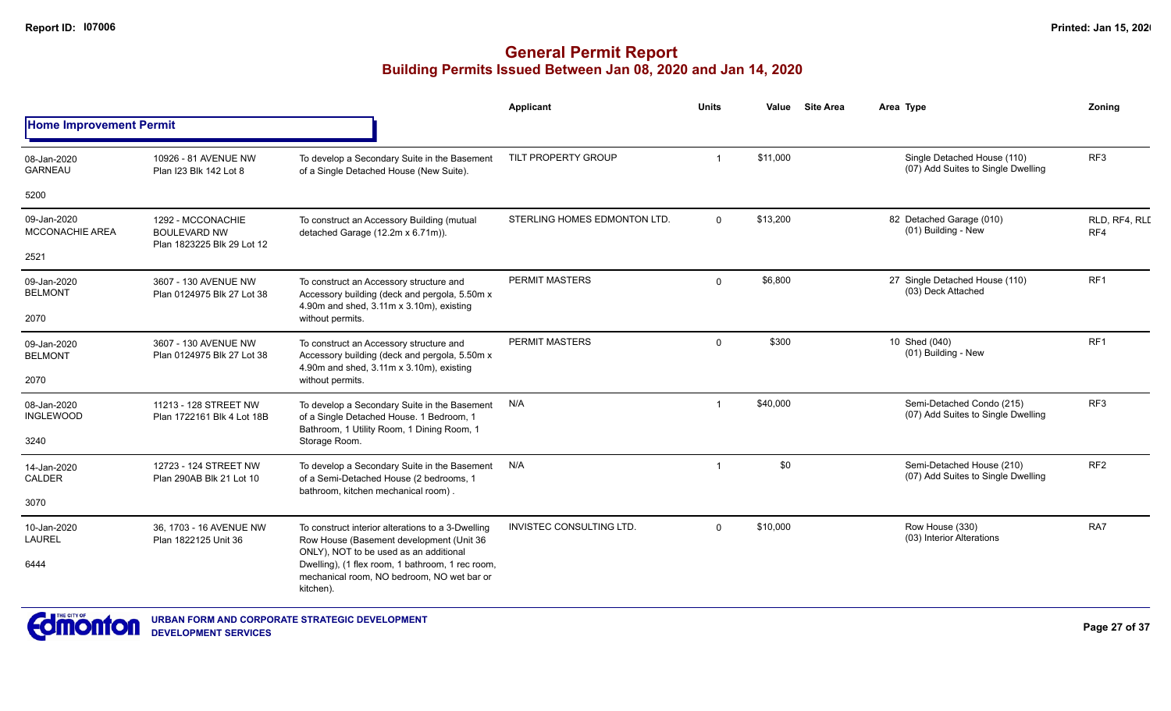|                                       |                                                                        |                                                                                                                                         | Applicant                       | Units    | Value    | <b>Site Area</b> | Area Type                                                         | Zoning               |
|---------------------------------------|------------------------------------------------------------------------|-----------------------------------------------------------------------------------------------------------------------------------------|---------------------------------|----------|----------|------------------|-------------------------------------------------------------------|----------------------|
| <b>Home Improvement Permit</b>        |                                                                        |                                                                                                                                         |                                 |          |          |                  |                                                                   |                      |
| 08-Jan-2020<br><b>GARNEAU</b>         | 10926 - 81 AVENUE NW<br>Plan I23 Blk 142 Lot 8                         | To develop a Secondary Suite in the Basement<br>of a Single Detached House (New Suite).                                                 | TILT PROPERTY GROUP             |          | \$11,000 |                  | Single Detached House (110)<br>(07) Add Suites to Single Dwelling | RF <sub>3</sub>      |
| 5200                                  |                                                                        |                                                                                                                                         |                                 |          |          |                  |                                                                   |                      |
| 09-Jan-2020<br><b>MCCONACHIE AREA</b> | 1292 - MCCONACHIE<br><b>BOULEVARD NW</b><br>Plan 1823225 Blk 29 Lot 12 | To construct an Accessory Building (mutual<br>detached Garage (12.2m x 6.71m)).                                                         | STERLING HOMES EDMONTON LTD.    | $\Omega$ | \$13,200 |                  | 82 Detached Garage (010)<br>(01) Building - New                   | RLD, RF4, RLI<br>RF4 |
| 2521                                  |                                                                        |                                                                                                                                         |                                 |          |          |                  |                                                                   |                      |
| 09-Jan-2020<br><b>BELMONT</b>         | 3607 - 130 AVENUE NW<br>Plan 0124975 Blk 27 Lot 38                     | To construct an Accessory structure and<br>Accessory building (deck and pergola, 5.50m x<br>4.90m and shed, 3.11m x 3.10m), existing    | PERMIT MASTERS                  | $\Omega$ | \$6,800  |                  | 27 Single Detached House (110)<br>(03) Deck Attached              | RF <sub>1</sub>      |
| 2070                                  |                                                                        | without permits.                                                                                                                        |                                 |          |          |                  |                                                                   |                      |
| 09-Jan-2020<br><b>BELMONT</b>         | 3607 - 130 AVENUE NW<br>Plan 0124975 Blk 27 Lot 38                     | To construct an Accessory structure and<br>Accessory building (deck and pergola, 5.50m x<br>4.90m and shed, 3.11m x 3.10m), existing    | PERMIT MASTERS                  | $\Omega$ | \$300    |                  | 10 Shed (040)<br>(01) Building - New                              | RF <sub>1</sub>      |
| 2070                                  |                                                                        | without permits.                                                                                                                        |                                 |          |          |                  |                                                                   |                      |
| 08-Jan-2020<br><b>INGLEWOOD</b>       | 11213 - 128 STREET NW<br>Plan 1722161 Blk 4 Lot 18B                    | To develop a Secondary Suite in the Basement<br>of a Single Detached House. 1 Bedroom, 1<br>Bathroom, 1 Utility Room, 1 Dining Room, 1  | N/A                             |          | \$40,000 |                  | Semi-Detached Condo (215)<br>(07) Add Suites to Single Dwelling   | RF <sub>3</sub>      |
| 3240                                  |                                                                        | Storage Room.                                                                                                                           |                                 |          |          |                  |                                                                   |                      |
| 14-Jan-2020<br>CALDER                 | 12723 - 124 STREET NW<br>Plan 290AB Blk 21 Lot 10                      | To develop a Secondary Suite in the Basement<br>of a Semi-Detached House (2 bedrooms, 1<br>bathroom, kitchen mechanical room).          | N/A                             | -1       | \$0      |                  | Semi-Detached House (210)<br>(07) Add Suites to Single Dwelling   | RF <sub>2</sub>      |
| 3070                                  |                                                                        |                                                                                                                                         |                                 |          |          |                  |                                                                   |                      |
| 10-Jan-2020<br><b>LAUREL</b>          | 36, 1703 - 16 AVENUE NW<br>Plan 1822125 Unit 36                        | To construct interior alterations to a 3-Dwelling<br>Row House (Basement development (Unit 36<br>ONLY), NOT to be used as an additional | <b>INVISTEC CONSULTING LTD.</b> | $\Omega$ | \$10,000 |                  | Row House (330)<br>(03) Interior Alterations                      | RA7                  |
| 6444                                  |                                                                        | Dwelling), (1 flex room, 1 bathroom, 1 rec room,<br>mechanical room, NO bedroom, NO wet bar or<br>kitchen).                             |                                 |          |          |                  |                                                                   |                      |

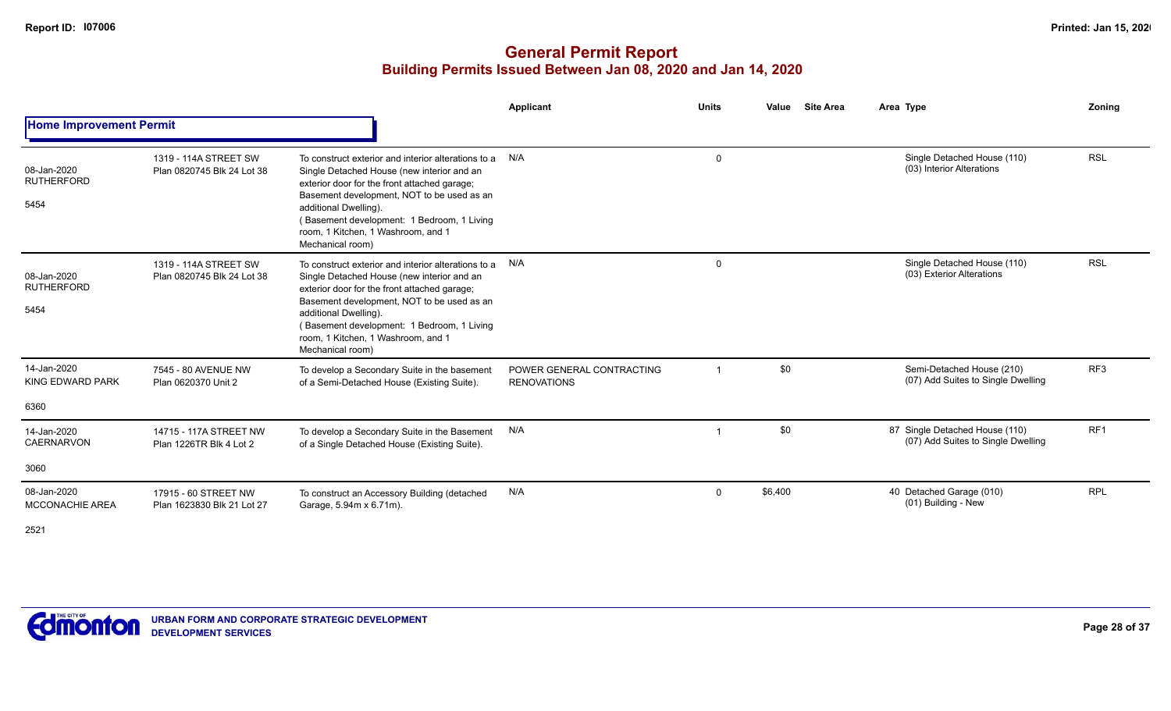|                                                                                                                                                                                                                                                                                                                                                                                                                                                                                                                                                                                                                                                                                                                                                                                                                                                                                                                                                                                                                                                                                                                                                                                                                                                                                                                                                                                                                                                                                                                                                                                                                                                                                                                                                                                                                                                                                                                                                                                         |  | <b>Applicant</b> | <b>Units</b> | Value<br><b>Site Area</b> |  | <b>Zoning</b>   |
|-----------------------------------------------------------------------------------------------------------------------------------------------------------------------------------------------------------------------------------------------------------------------------------------------------------------------------------------------------------------------------------------------------------------------------------------------------------------------------------------------------------------------------------------------------------------------------------------------------------------------------------------------------------------------------------------------------------------------------------------------------------------------------------------------------------------------------------------------------------------------------------------------------------------------------------------------------------------------------------------------------------------------------------------------------------------------------------------------------------------------------------------------------------------------------------------------------------------------------------------------------------------------------------------------------------------------------------------------------------------------------------------------------------------------------------------------------------------------------------------------------------------------------------------------------------------------------------------------------------------------------------------------------------------------------------------------------------------------------------------------------------------------------------------------------------------------------------------------------------------------------------------------------------------------------------------------------------------------------------------|--|------------------|--------------|---------------------------|--|-----------------|
| Area Type<br><b>Home Improvement Permit</b><br>Single Detached House (110)<br>N/A<br>1319 - 114A STREET SW<br>$\mathbf 0$<br>To construct exterior and interior alterations to a<br>(03) Interior Alterations<br>08-Jan-2020<br>Plan 0820745 Blk 24 Lot 38<br>Single Detached House (new interior and an<br><b>RUTHERFORD</b><br>exterior door for the front attached garage;<br>Basement development, NOT to be used as an<br>5454<br>additional Dwelling).<br>(Basement development: 1 Bedroom, 1 Living<br>room, 1 Kitchen, 1 Washroom, and 1<br>Mechanical room)<br>Single Detached House (110)<br>N/A<br>1319 - 114A STREET SW<br>$\mathbf 0$<br>To construct exterior and interior alterations to a<br>(03) Exterior Alterations<br>08-Jan-2020<br>Plan 0820745 Blk 24 Lot 38<br>Single Detached House (new interior and an<br><b>RUTHERFORD</b><br>exterior door for the front attached garage;<br>Basement development, NOT to be used as an<br>5454<br>additional Dwelling).<br>Basement development: 1 Bedroom, 1 Living<br>room, 1 Kitchen, 1 Washroom, and 1<br>Mechanical room)<br>14-Jan-2020<br>\$0<br>Semi-Detached House (210)<br>7545 - 80 AVENUE NW<br>To develop a Secondary Suite in the basement<br>POWER GENERAL CONTRACTING<br>(07) Add Suites to Single Dwelling<br>KING EDWARD PARK<br>of a Semi-Detached House (Existing Suite).<br>Plan 0620370 Unit 2<br><b>RENOVATIONS</b><br>6360<br>\$0<br>87 Single Detached House (110)<br>N/A<br>14-Jan-2020<br>14715 - 117A STREET NW<br>To develop a Secondary Suite in the Basement<br>$\overline{1}$<br>(07) Add Suites to Single Dwelling<br><b>CAERNARVON</b><br>Plan 1226TR Blk 4 Lot 2<br>of a Single Detached House (Existing Suite).<br>3060<br>N/A<br>\$6,400<br>08-Jan-2020<br>40 Detached Garage (010)<br>17915 - 60 STREET NW<br>$\mathbf 0$<br>To construct an Accessory Building (detached<br>(01) Building - New<br><b>MCCONACHIE AREA</b><br>Plan 1623830 Blk 21 Lot 27<br>Garage, 5.94m x 6.71m). |  |                  |              |                           |  |                 |
|                                                                                                                                                                                                                                                                                                                                                                                                                                                                                                                                                                                                                                                                                                                                                                                                                                                                                                                                                                                                                                                                                                                                                                                                                                                                                                                                                                                                                                                                                                                                                                                                                                                                                                                                                                                                                                                                                                                                                                                         |  |                  |              |                           |  | <b>RSL</b>      |
|                                                                                                                                                                                                                                                                                                                                                                                                                                                                                                                                                                                                                                                                                                                                                                                                                                                                                                                                                                                                                                                                                                                                                                                                                                                                                                                                                                                                                                                                                                                                                                                                                                                                                                                                                                                                                                                                                                                                                                                         |  |                  |              |                           |  | <b>RSL</b>      |
|                                                                                                                                                                                                                                                                                                                                                                                                                                                                                                                                                                                                                                                                                                                                                                                                                                                                                                                                                                                                                                                                                                                                                                                                                                                                                                                                                                                                                                                                                                                                                                                                                                                                                                                                                                                                                                                                                                                                                                                         |  |                  |              |                           |  | RF <sub>3</sub> |
|                                                                                                                                                                                                                                                                                                                                                                                                                                                                                                                                                                                                                                                                                                                                                                                                                                                                                                                                                                                                                                                                                                                                                                                                                                                                                                                                                                                                                                                                                                                                                                                                                                                                                                                                                                                                                                                                                                                                                                                         |  |                  |              |                           |  |                 |
|                                                                                                                                                                                                                                                                                                                                                                                                                                                                                                                                                                                                                                                                                                                                                                                                                                                                                                                                                                                                                                                                                                                                                                                                                                                                                                                                                                                                                                                                                                                                                                                                                                                                                                                                                                                                                                                                                                                                                                                         |  |                  |              |                           |  | RF <sub>1</sub> |
|                                                                                                                                                                                                                                                                                                                                                                                                                                                                                                                                                                                                                                                                                                                                                                                                                                                                                                                                                                                                                                                                                                                                                                                                                                                                                                                                                                                                                                                                                                                                                                                                                                                                                                                                                                                                                                                                                                                                                                                         |  |                  |              |                           |  |                 |
|                                                                                                                                                                                                                                                                                                                                                                                                                                                                                                                                                                                                                                                                                                                                                                                                                                                                                                                                                                                                                                                                                                                                                                                                                                                                                                                                                                                                                                                                                                                                                                                                                                                                                                                                                                                                                                                                                                                                                                                         |  |                  |              |                           |  | <b>RPL</b>      |
|                                                                                                                                                                                                                                                                                                                                                                                                                                                                                                                                                                                                                                                                                                                                                                                                                                                                                                                                                                                                                                                                                                                                                                                                                                                                                                                                                                                                                                                                                                                                                                                                                                                                                                                                                                                                                                                                                                                                                                                         |  |                  |              |                           |  |                 |

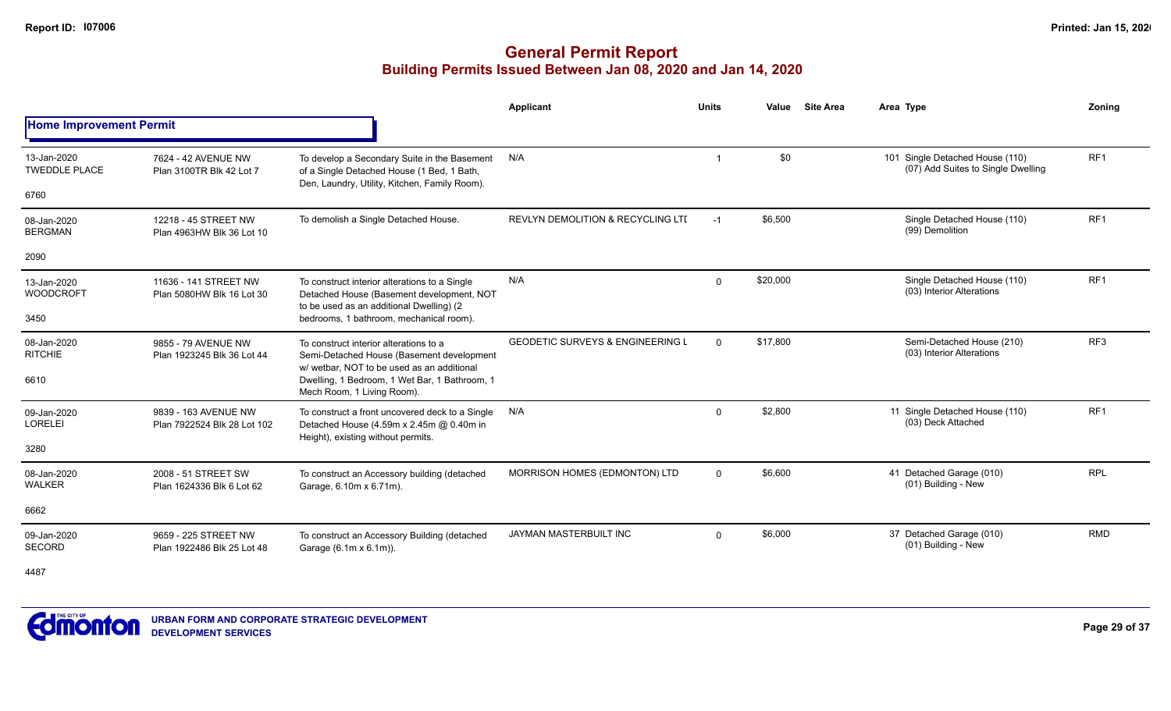|                                     |                                                     |                                                                                                                                             | <b>Applicant</b>                             | <b>Units</b> | Value    | <b>Site Area</b> | Area Type                                                             | Zoning          |
|-------------------------------------|-----------------------------------------------------|---------------------------------------------------------------------------------------------------------------------------------------------|----------------------------------------------|--------------|----------|------------------|-----------------------------------------------------------------------|-----------------|
| <b>Home Improvement Permit</b>      |                                                     |                                                                                                                                             |                                              |              |          |                  |                                                                       |                 |
| 13-Jan-2020<br><b>TWEDDLE PLACE</b> | 7624 - 42 AVENUE NW<br>Plan 3100TR Blk 42 Lot 7     | To develop a Secondary Suite in the Basement<br>of a Single Detached House (1 Bed, 1 Bath,<br>Den, Laundry, Utility, Kitchen, Family Room). | N/A                                          |              | \$0      |                  | 101 Single Detached House (110)<br>(07) Add Suites to Single Dwelling | RF <sub>1</sub> |
| 6760                                |                                                     |                                                                                                                                             |                                              |              |          |                  |                                                                       |                 |
| 08-Jan-2020<br><b>BERGMAN</b>       | 12218 - 45 STREET NW<br>Plan 4963HW Blk 36 Lot 10   | To demolish a Single Detached House.                                                                                                        | <b>REVLYN DEMOLITION &amp; RECYCLING LTI</b> | $-1$         | \$6,500  |                  | Single Detached House (110)<br>(99) Demolition                        | RF <sub>1</sub> |
| 2090                                |                                                     |                                                                                                                                             |                                              |              |          |                  |                                                                       |                 |
| 13-Jan-2020<br><b>WOODCROFT</b>     | 11636 - 141 STREET NW<br>Plan 5080HW Blk 16 Lot 30  | To construct interior alterations to a Single<br>Detached House (Basement development, NOT<br>to be used as an additional Dwelling) (2      | N/A                                          | $\mathbf 0$  | \$20,000 |                  | Single Detached House (110)<br>(03) Interior Alterations              | RF <sub>1</sub> |
| 3450                                |                                                     | bedrooms, 1 bathroom, mechanical room).                                                                                                     |                                              |              |          |                  |                                                                       |                 |
| 08-Jan-2020<br><b>RITCHIE</b>       | 9855 - 79 AVENUE NW<br>Plan 1923245 Blk 36 Lot 44   | To construct interior alterations to a<br>Semi-Detached House (Basement development<br>w/ wetbar, NOT to be used as an additional           | <b>GEODETIC SURVEYS &amp; ENGINEERING L</b>  | $\Omega$     | \$17,800 |                  | Semi-Detached House (210)<br>(03) Interior Alterations                | RF3             |
| 6610                                |                                                     | Dwelling, 1 Bedroom, 1 Wet Bar, 1 Bathroom, 1<br>Mech Room, 1 Living Room).                                                                 |                                              |              |          |                  |                                                                       |                 |
| 09-Jan-2020<br><b>LORELEI</b>       | 9839 - 163 AVENUE NW<br>Plan 7922524 Blk 28 Lot 102 | To construct a front uncovered deck to a Single<br>Detached House (4.59m x 2.45m @ 0.40m in                                                 | N/A                                          | $\mathbf{0}$ | \$2,800  |                  | 11 Single Detached House (110)<br>(03) Deck Attached                  | RF <sub>1</sub> |
| 3280                                |                                                     | Height), existing without permits.                                                                                                          |                                              |              |          |                  |                                                                       |                 |
| 08-Jan-2020<br><b>WALKER</b>        | 2008 - 51 STREET SW<br>Plan 1624336 Blk 6 Lot 62    | To construct an Accessory building (detached<br>Garage, 6.10m x 6.71m).                                                                     | MORRISON HOMES (EDMONTON) LTD                | $\mathbf{0}$ | \$6,600  |                  | 41 Detached Garage (010)<br>(01) Building - New                       | <b>RPL</b>      |
| 6662                                |                                                     |                                                                                                                                             |                                              |              |          |                  |                                                                       |                 |
| 09-Jan-2020<br><b>SECORD</b>        | 9659 - 225 STREET NW<br>Plan 1922486 Blk 25 Lot 48  | To construct an Accessory Building (detached<br>Garage (6.1m x 6.1m)).                                                                      | <b>JAYMAN MASTERBUILT INC</b>                | $\Omega$     | \$6,000  |                  | 37 Detached Garage (010)<br>(01) Building - New                       | <b>RMD</b>      |
| 4487                                |                                                     |                                                                                                                                             |                                              |              |          |                  |                                                                       |                 |

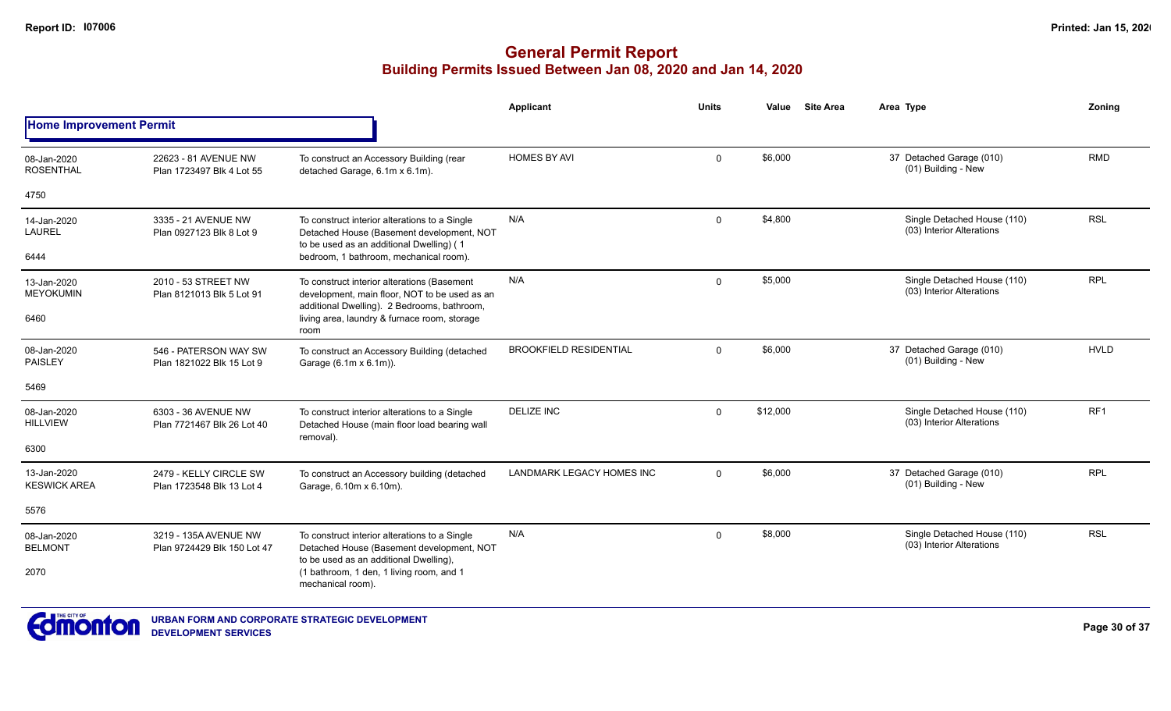|                                    |                                                      |                                                                                                                                             | Applicant                        | Units       | Value    | <b>Site Area</b> | Area Type                                                | Zoning          |
|------------------------------------|------------------------------------------------------|---------------------------------------------------------------------------------------------------------------------------------------------|----------------------------------|-------------|----------|------------------|----------------------------------------------------------|-----------------|
| <b>Home Improvement Permit</b>     |                                                      |                                                                                                                                             |                                  |             |          |                  |                                                          |                 |
| 08-Jan-2020<br><b>ROSENTHAL</b>    | 22623 - 81 AVENUE NW<br>Plan 1723497 Blk 4 Lot 55    | To construct an Accessory Building (rear<br>detached Garage, 6.1m x 6.1m).                                                                  | <b>HOMES BY AVI</b>              | $\mathbf 0$ | \$6,000  |                  | 37 Detached Garage (010)<br>(01) Building - New          | <b>RMD</b>      |
| 4750                               |                                                      |                                                                                                                                             |                                  |             |          |                  |                                                          |                 |
| 14-Jan-2020<br><b>LAUREL</b>       | 3335 - 21 AVENUE NW<br>Plan 0927123 Blk 8 Lot 9      | To construct interior alterations to a Single<br>Detached House (Basement development, NOT<br>to be used as an additional Dwelling) (1      | N/A                              | $\Omega$    | \$4,800  |                  | Single Detached House (110)<br>(03) Interior Alterations | <b>RSL</b>      |
| 6444                               |                                                      | bedroom, 1 bathroom, mechanical room).                                                                                                      |                                  |             |          |                  |                                                          |                 |
| 13-Jan-2020<br><b>MEYOKUMIN</b>    | 2010 - 53 STREET NW<br>Plan 8121013 Blk 5 Lot 91     | To construct interior alterations (Basement<br>development, main floor, NOT to be used as an<br>additional Dwelling). 2 Bedrooms, bathroom, | N/A                              | $\Omega$    | \$5,000  |                  | Single Detached House (110)<br>(03) Interior Alterations | <b>RPL</b>      |
| 6460                               |                                                      | living area, laundry & furnace room, storage<br>room                                                                                        |                                  |             |          |                  |                                                          |                 |
| 08-Jan-2020<br>PAISLEY             | 546 - PATERSON WAY SW<br>Plan 1821022 Blk 15 Lot 9   | To construct an Accessory Building (detached<br>Garage (6.1m x 6.1m)).                                                                      | <b>BROOKFIELD RESIDENTIAL</b>    | $\Omega$    | \$6,000  |                  | 37 Detached Garage (010)<br>(01) Building - New          | <b>HVLD</b>     |
| 5469                               |                                                      |                                                                                                                                             |                                  |             |          |                  |                                                          |                 |
| 08-Jan-2020<br><b>HILLVIEW</b>     | 6303 - 36 AVENUE NW<br>Plan 7721467 Blk 26 Lot 40    | To construct interior alterations to a Single<br>Detached House (main floor load bearing wall<br>removal).                                  | <b>DELIZE INC</b>                | $\Omega$    | \$12,000 |                  | Single Detached House (110)<br>(03) Interior Alterations | RF <sub>1</sub> |
| 6300                               |                                                      |                                                                                                                                             |                                  |             |          |                  |                                                          |                 |
| 13-Jan-2020<br><b>KESWICK AREA</b> | 2479 - KELLY CIRCLE SW<br>Plan 1723548 Blk 13 Lot 4  | To construct an Accessory building (detached<br>Garage, 6.10m x 6.10m).                                                                     | <b>LANDMARK LEGACY HOMES INC</b> | $\Omega$    | \$6,000  |                  | 37 Detached Garage (010)<br>(01) Building - New          | <b>RPL</b>      |
| 5576                               |                                                      |                                                                                                                                             |                                  |             |          |                  |                                                          |                 |
| 08-Jan-2020<br><b>BELMONT</b>      | 3219 - 135A AVENUE NW<br>Plan 9724429 Blk 150 Lot 47 | To construct interior alterations to a Single<br>Detached House (Basement development, NOT<br>to be used as an additional Dwelling),        | N/A                              | $\Omega$    | \$8,000  |                  | Single Detached House (110)<br>(03) Interior Alterations | <b>RSL</b>      |
| 2070                               |                                                      | (1 bathroom, 1 den, 1 living room, and 1<br>mechanical room).                                                                               |                                  |             |          |                  |                                                          |                 |

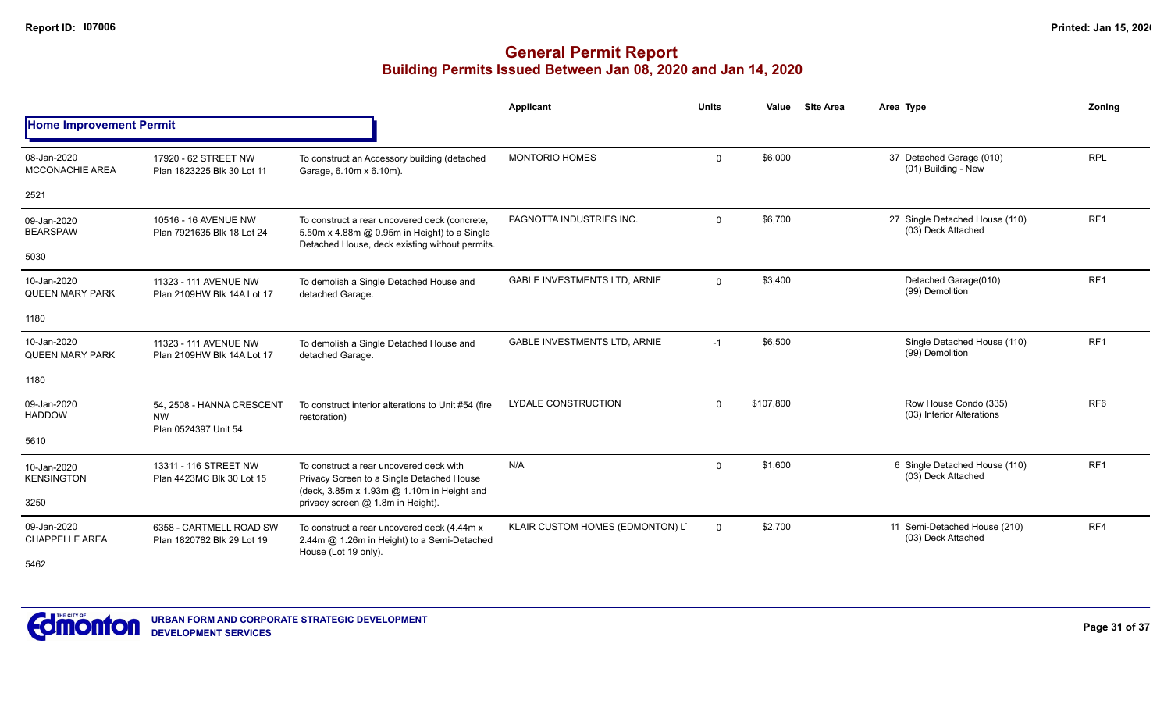|                                       |                                                                |                                                                                                                                                 | <b>Applicant</b>                    | <b>Units</b> | Value     | <b>Site Area</b> | Area Type                                            | Zonina          |
|---------------------------------------|----------------------------------------------------------------|-------------------------------------------------------------------------------------------------------------------------------------------------|-------------------------------------|--------------|-----------|------------------|------------------------------------------------------|-----------------|
| <b>Home Improvement Permit</b>        |                                                                |                                                                                                                                                 |                                     |              |           |                  |                                                      |                 |
| 08-Jan-2020<br><b>MCCONACHIE AREA</b> | 17920 - 62 STREET NW<br>Plan 1823225 Blk 30 Lot 11             | To construct an Accessory building (detached<br>Garage, 6.10m x 6.10m).                                                                         | <b>MONTORIO HOMES</b>               | $\mathbf{0}$ | \$6,000   |                  | 37 Detached Garage (010)<br>(01) Building - New      | <b>RPL</b>      |
| 2521                                  |                                                                |                                                                                                                                                 |                                     |              |           |                  |                                                      |                 |
| 09-Jan-2020<br><b>BEARSPAW</b>        | 10516 - 16 AVENUE NW<br>Plan 7921635 Blk 18 Lot 24             | To construct a rear uncovered deck (concrete,<br>5.50m x 4.88m @ 0.95m in Height) to a Single<br>Detached House, deck existing without permits. | PAGNOTTA INDUSTRIES INC.            | $\Omega$     | \$6,700   |                  | 27 Single Detached House (110)<br>(03) Deck Attached | RF <sub>1</sub> |
| 5030                                  |                                                                |                                                                                                                                                 |                                     |              |           |                  |                                                      |                 |
| 10-Jan-2020<br><b>QUEEN MARY PARK</b> | 11323 - 111 AVENUE NW<br>Plan 2109HW Blk 14A Lot 17            | To demolish a Single Detached House and<br>detached Garage.                                                                                     | <b>GABLE INVESTMENTS LTD, ARNIE</b> | $\mathbf 0$  | \$3,400   |                  | Detached Garage(010)<br>(99) Demolition              | RF <sub>1</sub> |
| 1180                                  |                                                                |                                                                                                                                                 |                                     |              |           |                  |                                                      |                 |
| 10-Jan-2020<br><b>QUEEN MARY PARK</b> | 11323 - 111 AVENUE NW<br>Plan 2109HW Blk 14A Lot 17            | To demolish a Single Detached House and<br>detached Garage.                                                                                     | <b>GABLE INVESTMENTS LTD. ARNIE</b> | $-1$         | \$6,500   |                  | Single Detached House (110)<br>(99) Demolition       | RF <sub>1</sub> |
| 1180                                  |                                                                |                                                                                                                                                 |                                     |              |           |                  |                                                      |                 |
| 09-Jan-2020<br><b>HADDOW</b>          | 54. 2508 - HANNA CRESCENT<br><b>NW</b><br>Plan 0524397 Unit 54 | To construct interior alterations to Unit #54 (fire<br>restoration)                                                                             | <b>LYDALE CONSTRUCTION</b>          | $\Omega$     | \$107,800 |                  | Row House Condo (335)<br>(03) Interior Alterations   | RF <sub>6</sub> |
| 5610                                  |                                                                |                                                                                                                                                 |                                     |              |           |                  |                                                      |                 |
| 10-Jan-2020<br><b>KENSINGTON</b>      | 13311 - 116 STREET NW<br>Plan 4423MC Blk 30 Lot 15             | To construct a rear uncovered deck with<br>Privacy Screen to a Single Detached House<br>(deck, 3.85m x 1.93m @ 1.10m in Height and              | N/A                                 | $\mathbf 0$  | \$1,600   |                  | 6 Single Detached House (110)<br>(03) Deck Attached  | RF <sub>1</sub> |
| 3250                                  |                                                                | privacy screen @ 1.8m in Height).                                                                                                               |                                     |              |           |                  |                                                      |                 |
| 09-Jan-2020<br><b>CHAPPELLE AREA</b>  | 6358 - CARTMELL ROAD SW<br>Plan 1820782 Blk 29 Lot 19          | To construct a rear uncovered deck (4.44m x)<br>2.44m @ 1.26m in Height) to a Semi-Detached<br>House (Lot 19 only).                             | KLAIR CUSTOM HOMES (EDMONTON) L'    | $\mathbf 0$  | \$2,700   |                  | 11 Semi-Detached House (210)<br>(03) Deck Attached   | RF4             |
| 5462                                  |                                                                |                                                                                                                                                 |                                     |              |           |                  |                                                      |                 |

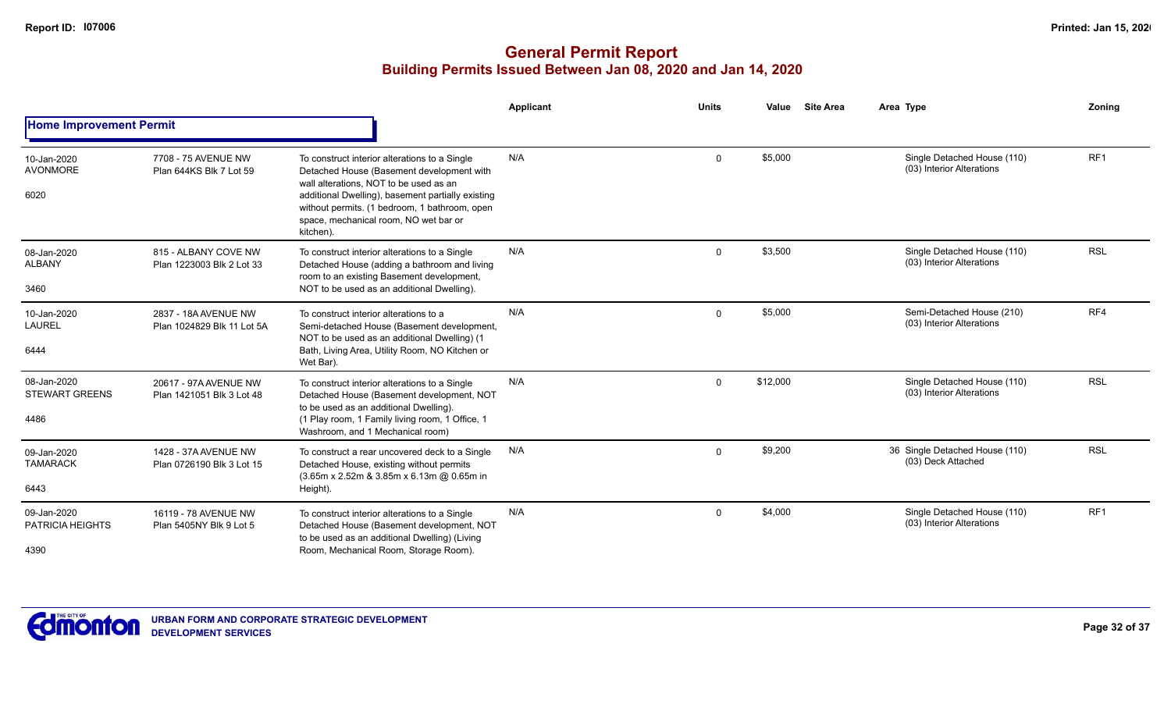|                                                |                                                    |                                                                                                                                                                                                                                                                                                  | <b>Applicant</b> | <b>Units</b> | Value    | <b>Site Area</b> | Area Type                                                | Zoning          |
|------------------------------------------------|----------------------------------------------------|--------------------------------------------------------------------------------------------------------------------------------------------------------------------------------------------------------------------------------------------------------------------------------------------------|------------------|--------------|----------|------------------|----------------------------------------------------------|-----------------|
| <b>Home Improvement Permit</b>                 |                                                    |                                                                                                                                                                                                                                                                                                  |                  |              |          |                  |                                                          |                 |
| 10-Jan-2020<br><b>AVONMORE</b><br>6020         | 7708 - 75 AVENUE NW<br>Plan 644KS Blk 7 Lot 59     | To construct interior alterations to a Single<br>Detached House (Basement development with<br>wall alterations. NOT to be used as an<br>additional Dwelling), basement partially existing<br>without permits. (1 bedroom, 1 bathroom, open<br>space, mechanical room, NO wet bar or<br>kitchen). | N/A              | $\mathbf 0$  | \$5,000  |                  | Single Detached House (110)<br>(03) Interior Alterations | RF <sub>1</sub> |
| 08-Jan-2020<br><b>ALBANY</b><br>3460           | 815 - ALBANY COVE NW<br>Plan 1223003 Blk 2 Lot 33  | To construct interior alterations to a Single<br>Detached House (adding a bathroom and living<br>room to an existing Basement development,<br>NOT to be used as an additional Dwelling).                                                                                                         | N/A              | $\mathbf{0}$ | \$3,500  |                  | Single Detached House (110)<br>(03) Interior Alterations | <b>RSL</b>      |
| 10-Jan-2020<br><b>LAUREL</b><br>6444           | 2837 - 18A AVENUE NW<br>Plan 1024829 Blk 11 Lot 5A | To construct interior alterations to a<br>Semi-detached House (Basement development,<br>NOT to be used as an additional Dwelling) (1<br>Bath, Living Area, Utility Room, NO Kitchen or<br>Wet Bar).                                                                                              | N/A              | $\mathbf{0}$ | \$5,000  |                  | Semi-Detached House (210)<br>(03) Interior Alterations   | RF4             |
| 08-Jan-2020<br><b>STEWART GREENS</b><br>4486   | 20617 - 97A AVENUE NW<br>Plan 1421051 Blk 3 Lot 48 | To construct interior alterations to a Single<br>Detached House (Basement development, NOT<br>to be used as an additional Dwelling).<br>(1 Play room, 1 Family living room, 1 Office, 1<br>Washroom, and 1 Mechanical room)                                                                      | N/A              | $\mathbf{0}$ | \$12,000 |                  | Single Detached House (110)<br>(03) Interior Alterations | <b>RSL</b>      |
| 09-Jan-2020<br><b>TAMARACK</b><br>6443         | 1428 - 37A AVENUE NW<br>Plan 0726190 Blk 3 Lot 15  | To construct a rear uncovered deck to a Single<br>Detached House, existing without permits<br>$(3.65m \times 2.52m \& 3.85m \times 6.13m \& 0.65m \infty)$<br>Height).                                                                                                                           | N/A              | $\mathbf 0$  | \$9,200  |                  | 36 Single Detached House (110)<br>(03) Deck Attached     | <b>RSL</b>      |
| 09-Jan-2020<br><b>PATRICIA HEIGHTS</b><br>4390 | 16119 - 78 AVENUE NW<br>Plan 5405NY Blk 9 Lot 5    | To construct interior alterations to a Single<br>Detached House (Basement development, NOT<br>to be used as an additional Dwelling) (Living<br>Room, Mechanical Room, Storage Room).                                                                                                             | N/A              | 0            | \$4,000  |                  | Single Detached House (110)<br>(03) Interior Alterations | RF1             |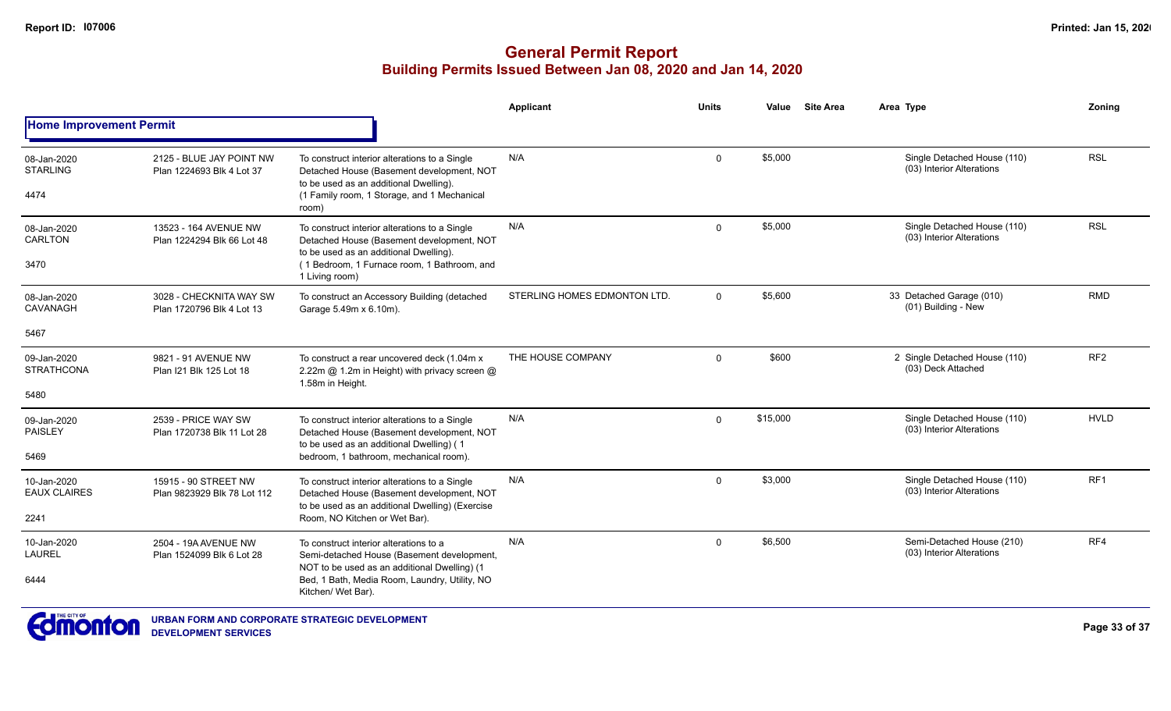|                                        |                                                       |                                                                                                                                                                                                       | Applicant                    | <b>Units</b> | Value    | <b>Site Area</b> | Area Type                                                | Zonina          |
|----------------------------------------|-------------------------------------------------------|-------------------------------------------------------------------------------------------------------------------------------------------------------------------------------------------------------|------------------------------|--------------|----------|------------------|----------------------------------------------------------|-----------------|
| <b>Home Improvement Permit</b>         |                                                       |                                                                                                                                                                                                       |                              |              |          |                  |                                                          |                 |
| 08-Jan-2020<br><b>STARLING</b><br>4474 | 2125 - BLUE JAY POINT NW<br>Plan 1224693 Blk 4 Lot 37 | To construct interior alterations to a Single<br>Detached House (Basement development, NOT<br>to be used as an additional Dwelling).<br>(1 Family room, 1 Storage, and 1 Mechanical<br>room)          | N/A                          | $\mathbf{0}$ | \$5,000  |                  | Single Detached House (110)<br>(03) Interior Alterations | <b>RSL</b>      |
| 08-Jan-2020<br>CARLTON<br>3470         | 13523 - 164 AVENUE NW<br>Plan 1224294 Blk 66 Lot 48   | To construct interior alterations to a Single<br>Detached House (Basement development, NOT<br>to be used as an additional Dwelling).<br>(1 Bedroom, 1 Furnace room, 1 Bathroom, and<br>1 Living room) | N/A                          | $\Omega$     | \$5,000  |                  | Single Detached House (110)<br>(03) Interior Alterations | <b>RSL</b>      |
| 08-Jan-2020<br>CAVANAGH                | 3028 - CHECKNITA WAY SW<br>Plan 1720796 Blk 4 Lot 13  | To construct an Accessory Building (detached<br>Garage 5.49m x 6.10m).                                                                                                                                | STERLING HOMES EDMONTON LTD. | $\Omega$     | \$5,600  |                  | 33 Detached Garage (010)<br>(01) Building - New          | <b>RMD</b>      |
| 5467                                   |                                                       |                                                                                                                                                                                                       |                              |              |          |                  |                                                          |                 |
| 09-Jan-2020<br><b>STRATHCONA</b>       | 9821 - 91 AVENUE NW<br>Plan I21 Blk 125 Lot 18        | To construct a rear uncovered deck (1.04m x<br>2.22m @ 1.2m in Height) with privacy screen @<br>1.58m in Height.                                                                                      | THE HOUSE COMPANY            | $\mathbf 0$  | \$600    |                  | 2 Single Detached House (110)<br>(03) Deck Attached      | RF <sub>2</sub> |
| 5480                                   |                                                       |                                                                                                                                                                                                       |                              |              |          |                  |                                                          |                 |
| 09-Jan-2020<br><b>PAISLEY</b>          | 2539 - PRICE WAY SW<br>Plan 1720738 Blk 11 Lot 28     | To construct interior alterations to a Single<br>Detached House (Basement development, NOT<br>to be used as an additional Dwelling) (1                                                                | N/A                          | $\Omega$     | \$15,000 |                  | Single Detached House (110)<br>(03) Interior Alterations | <b>HVLD</b>     |
| 5469                                   |                                                       | bedroom, 1 bathroom, mechanical room).                                                                                                                                                                |                              |              |          |                  |                                                          |                 |
| 10-Jan-2020<br><b>EAUX CLAIRES</b>     | 15915 - 90 STREET NW<br>Plan 9823929 Blk 78 Lot 112   | To construct interior alterations to a Single<br>Detached House (Basement development, NOT<br>to be used as an additional Dwelling) (Exercise                                                         | N/A                          | $\mathbf{0}$ | \$3,000  |                  | Single Detached House (110)<br>(03) Interior Alterations | RF <sub>1</sub> |
| 2241                                   |                                                       | Room, NO Kitchen or Wet Bar).                                                                                                                                                                         |                              |              |          |                  |                                                          |                 |
| 10-Jan-2020<br><b>LAUREL</b>           | 2504 - 19A AVENUE NW<br>Plan 1524099 Blk 6 Lot 28     | To construct interior alterations to a<br>Semi-detached House (Basement development,<br>NOT to be used as an additional Dwelling) (1                                                                  | N/A                          | $\Omega$     | \$6,500  |                  | Semi-Detached House (210)<br>(03) Interior Alterations   | RF4             |
| 6444                                   |                                                       | Bed, 1 Bath, Media Room, Laundry, Utility, NO<br>Kitchen/ Wet Bar).                                                                                                                                   |                              |              |          |                  |                                                          |                 |

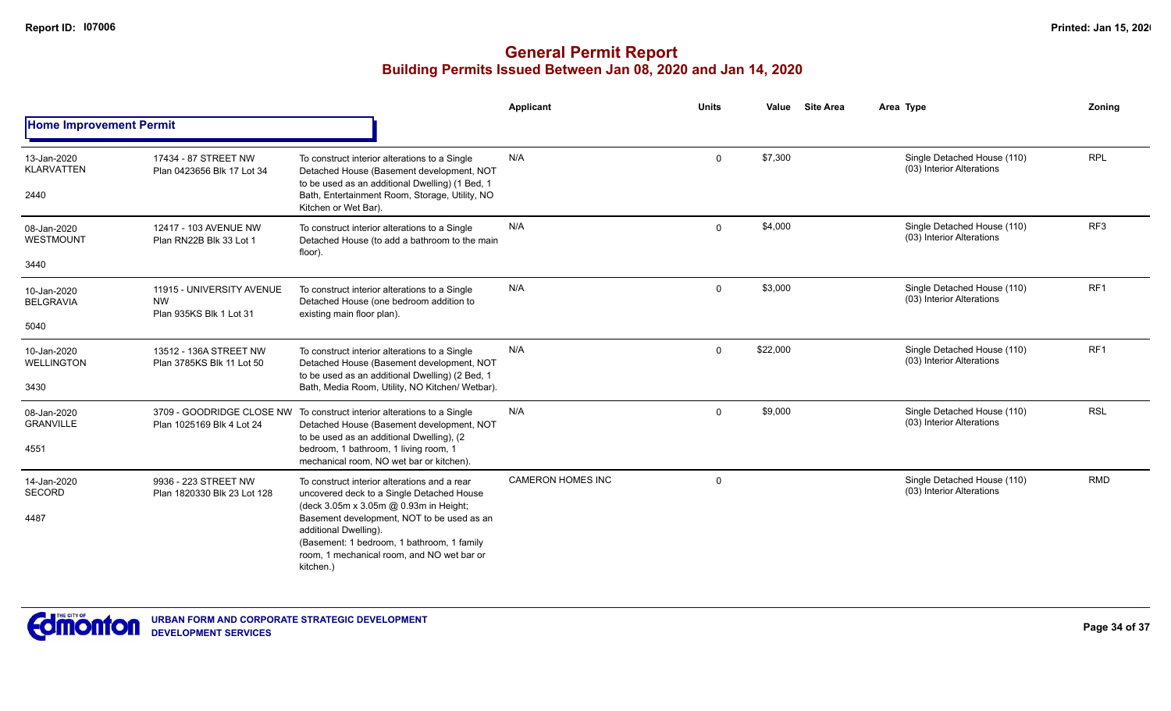|                                          |                                                                   |                                                                                                                                                                                                                                                                                                                     | Applicant                | <b>Units</b> | Value    | <b>Site Area</b> | Area Type                                                | Zoning          |
|------------------------------------------|-------------------------------------------------------------------|---------------------------------------------------------------------------------------------------------------------------------------------------------------------------------------------------------------------------------------------------------------------------------------------------------------------|--------------------------|--------------|----------|------------------|----------------------------------------------------------|-----------------|
| <b>Home Improvement Permit</b>           |                                                                   |                                                                                                                                                                                                                                                                                                                     |                          |              |          |                  |                                                          |                 |
| 13-Jan-2020<br><b>KLARVATTEN</b><br>2440 | 17434 - 87 STREET NW<br>Plan 0423656 Blk 17 Lot 34                | To construct interior alterations to a Single<br>Detached House (Basement development, NOT<br>to be used as an additional Dwelling) (1 Bed, 1<br>Bath, Entertainment Room, Storage, Utility, NO<br>Kitchen or Wet Bar).                                                                                             | N/A                      | $\Omega$     | \$7,300  |                  | Single Detached House (110)<br>(03) Interior Alterations | <b>RPL</b>      |
| 08-Jan-2020<br>WESTMOUNT<br>3440         | 12417 - 103 AVENUE NW<br>Plan RN22B Blk 33 Lot 1                  | To construct interior alterations to a Single<br>Detached House (to add a bathroom to the main<br>floor).                                                                                                                                                                                                           | N/A                      | $\Omega$     | \$4,000  |                  | Single Detached House (110)<br>(03) Interior Alterations | RF3             |
| 10-Jan-2020<br><b>BELGRAVIA</b><br>5040  | 11915 - UNIVERSITY AVENUE<br><b>NW</b><br>Plan 935KS Blk 1 Lot 31 | To construct interior alterations to a Single<br>Detached House (one bedroom addition to<br>existing main floor plan).                                                                                                                                                                                              | N/A                      | $\Omega$     | \$3,000  |                  | Single Detached House (110)<br>(03) Interior Alterations | RF <sub>1</sub> |
| 10-Jan-2020<br><b>WELLINGTON</b><br>3430 | 13512 - 136A STREET NW<br>Plan 3785KS Blk 11 Lot 50               | To construct interior alterations to a Single<br>Detached House (Basement development, NOT<br>to be used as an additional Dwelling) (2 Bed, 1<br>Bath, Media Room, Utility, NO Kitchen/ Wetbar).                                                                                                                    | N/A                      | $\Omega$     | \$22,000 |                  | Single Detached House (110)<br>(03) Interior Alterations | RF <sub>1</sub> |
| 08-Jan-2020<br><b>GRANVILLE</b><br>4551  | 3709 - GOODRIDGE CLOSE NW<br>Plan 1025169 Blk 4 Lot 24            | To construct interior alterations to a Single<br>Detached House (Basement development, NOT<br>to be used as an additional Dwelling), (2<br>bedroom, 1 bathroom, 1 living room, 1<br>mechanical room, NO wet bar or kitchen).                                                                                        | N/A                      | $\Omega$     | \$9,000  |                  | Single Detached House (110)<br>(03) Interior Alterations | <b>RSL</b>      |
| 14-Jan-2020<br><b>SECORD</b><br>4487     | 9936 - 223 STREET NW<br>Plan 1820330 Blk 23 Lot 128               | To construct interior alterations and a rear<br>uncovered deck to a Single Detached House<br>(deck 3.05m x 3.05m @ 0.93m in Height;<br>Basement development, NOT to be used as an<br>additional Dwelling).<br>(Basement: 1 bedroom, 1 bathroom, 1 family<br>room, 1 mechanical room, and NO wet bar or<br>kitchen.) | <b>CAMERON HOMES INC</b> | $\Omega$     |          |                  | Single Detached House (110)<br>(03) Interior Alterations | <b>RMD</b>      |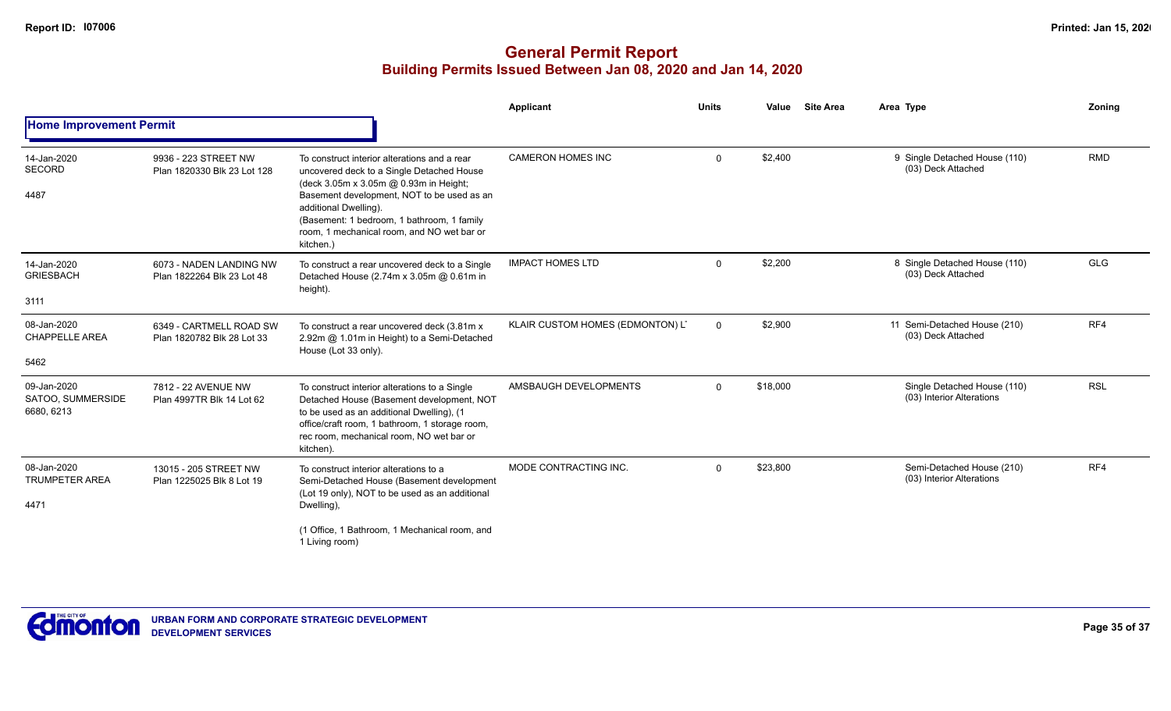|                                                |                                                       |                                                                                                                                                                                                                                                                                                                     | Applicant                        | <b>Units</b> | Value    | <b>Site Area</b> | Area Type                                                | <b>Zoning</b> |
|------------------------------------------------|-------------------------------------------------------|---------------------------------------------------------------------------------------------------------------------------------------------------------------------------------------------------------------------------------------------------------------------------------------------------------------------|----------------------------------|--------------|----------|------------------|----------------------------------------------------------|---------------|
| <b>Home Improvement Permit</b>                 |                                                       |                                                                                                                                                                                                                                                                                                                     |                                  |              |          |                  |                                                          |               |
| 14-Jan-2020<br><b>SECORD</b><br>4487           | 9936 - 223 STREET NW<br>Plan 1820330 Blk 23 Lot 128   | To construct interior alterations and a rear<br>uncovered deck to a Single Detached House<br>(deck 3.05m x 3.05m @ 0.93m in Height;<br>Basement development, NOT to be used as an<br>additional Dwelling).<br>(Basement: 1 bedroom, 1 bathroom, 1 family<br>room, 1 mechanical room, and NO wet bar or<br>kitchen.) | <b>CAMERON HOMES INC</b>         | $\mathbf 0$  | \$2,400  |                  | 9 Single Detached House (110)<br>(03) Deck Attached      | <b>RMD</b>    |
| 14-Jan-2020<br><b>GRIESBACH</b><br>3111        | 6073 - NADEN LANDING NW<br>Plan 1822264 Blk 23 Lot 48 | To construct a rear uncovered deck to a Single<br>Detached House (2.74m x 3.05m @ 0.61m in<br>height).                                                                                                                                                                                                              | <b>IMPACT HOMES LTD</b>          | $\Omega$     | \$2,200  |                  | 8 Single Detached House (110)<br>(03) Deck Attached      | <b>GLG</b>    |
| 08-Jan-2020<br><b>CHAPPELLE AREA</b><br>5462   | 6349 - CARTMELL ROAD SW<br>Plan 1820782 Blk 28 Lot 33 | To construct a rear uncovered deck (3.81m x<br>2.92m @ 1.01m in Height) to a Semi-Detached<br>House (Lot 33 only).                                                                                                                                                                                                  | KLAIR CUSTOM HOMES (EDMONTON) LT | $\mathbf{0}$ | \$2,900  |                  | 11 Semi-Detached House (210)<br>(03) Deck Attached       | RF4           |
| 09-Jan-2020<br>SATOO, SUMMERSIDE<br>6680, 6213 | 7812 - 22 AVENUE NW<br>Plan 4997TR Blk 14 Lot 62      | To construct interior alterations to a Single<br>Detached House (Basement development, NOT<br>to be used as an additional Dwelling), (1<br>office/craft room, 1 bathroom, 1 storage room,<br>rec room, mechanical room, NO wet bar or<br>kitchen)                                                                   | AMSBAUGH DEVELOPMENTS            | $\Omega$     | \$18,000 |                  | Single Detached House (110)<br>(03) Interior Alterations | <b>RSL</b>    |
| 08-Jan-2020<br><b>TRUMPETER AREA</b><br>4471   | 13015 - 205 STREET NW<br>Plan 1225025 Blk 8 Lot 19    | To construct interior alterations to a<br>Semi-Detached House (Basement development<br>(Lot 19 only), NOT to be used as an additional<br>Dwelling),<br>(1 Office, 1 Bathroom, 1 Mechanical room, and<br>1 Living room)                                                                                              | MODE CONTRACTING INC.            | $\Omega$     | \$23,800 |                  | Semi-Detached House (210)<br>(03) Interior Alterations   | RF4           |

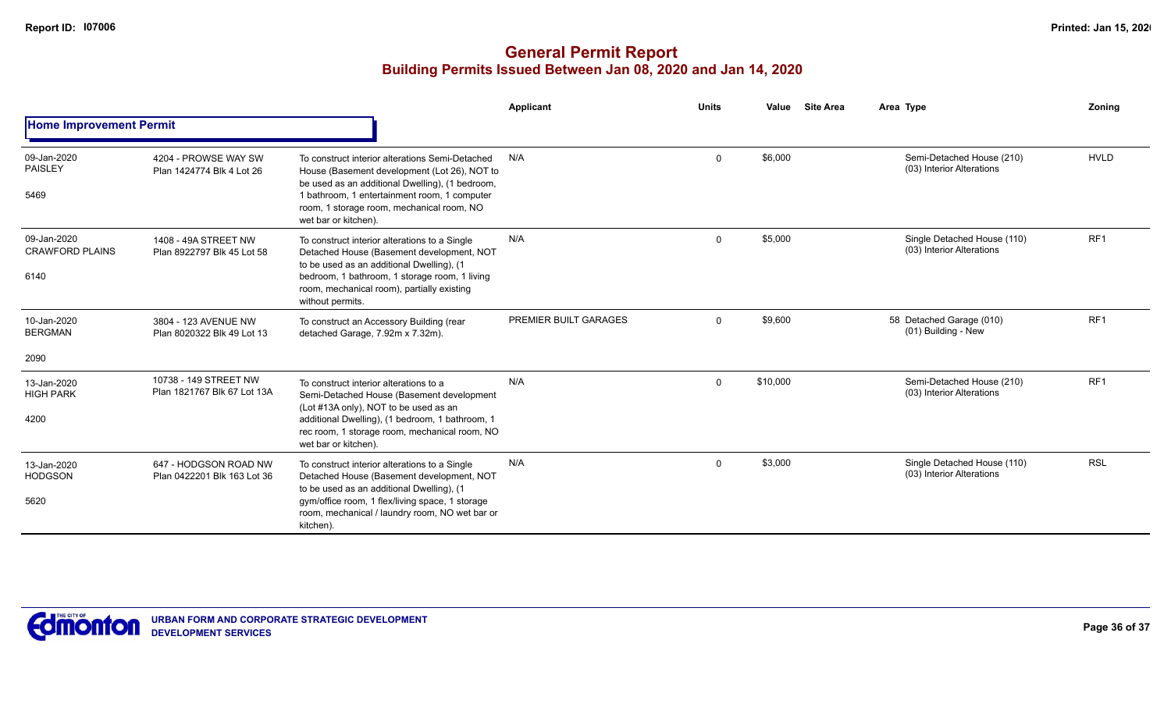|                                       |                                                      |                                                                                                                                                                                                    | Applicant             | <b>Units</b>                                                                                                                                                                                                                                                                                                                                                                                                       | Value   |  | Area Type                                                | <b>Zoning</b> |  |  |
|---------------------------------------|------------------------------------------------------|----------------------------------------------------------------------------------------------------------------------------------------------------------------------------------------------------|-----------------------|--------------------------------------------------------------------------------------------------------------------------------------------------------------------------------------------------------------------------------------------------------------------------------------------------------------------------------------------------------------------------------------------------------------------|---------|--|----------------------------------------------------------|---------------|--|--|
| <b>Home Improvement Permit</b>        |                                                      |                                                                                                                                                                                                    |                       | <b>Site Area</b><br>\$6,000<br><b>HVLD</b><br>Semi-Detached House (210)<br>$\Omega$<br>(03) Interior Alterations<br>RF1<br>\$5,000<br>Single Detached House (110)<br>$\Omega$<br>(03) Interior Alterations<br>RF <sub>1</sub><br>\$9,600<br>58 Detached Garage (010)<br>$\mathbf 0$<br>(01) Building - New<br>RF <sub>1</sub><br>\$10,000<br>Semi-Detached House (210)<br>$\mathbf 0$<br>(03) Interior Alterations |         |  |                                                          |               |  |  |
| 09-Jan-2020<br><b>PAISLEY</b><br>5469 | 4204 - PROWSE WAY SW<br>Plan 1424774 Blk 4 Lot 26    | To construct interior alterations Semi-Detached<br>House (Basement development (Lot 26), NOT to<br>be used as an additional Dwelling), (1 bedroom,<br>1 bathroom, 1 entertainment room, 1 computer | N/A                   |                                                                                                                                                                                                                                                                                                                                                                                                                    |         |  |                                                          |               |  |  |
|                                       |                                                      | room, 1 storage room, mechanical room, NO<br>wet bar or kitchen).                                                                                                                                  |                       |                                                                                                                                                                                                                                                                                                                                                                                                                    |         |  |                                                          |               |  |  |
| 09-Jan-2020<br><b>CRAWFORD PLAINS</b> | 1408 - 49A STREET NW<br>Plan 8922797 Blk 45 Lot 58   | To construct interior alterations to a Single<br>Detached House (Basement development, NOT<br>to be used as an additional Dwelling), (1                                                            | N/A                   |                                                                                                                                                                                                                                                                                                                                                                                                                    |         |  |                                                          |               |  |  |
| 6140                                  |                                                      | bedroom, 1 bathroom, 1 storage room, 1 living<br>room, mechanical room), partially existing<br>without permits.                                                                                    |                       |                                                                                                                                                                                                                                                                                                                                                                                                                    |         |  |                                                          |               |  |  |
| 10-Jan-2020<br><b>BERGMAN</b>         | 3804 - 123 AVENUE NW<br>Plan 8020322 Blk 49 Lot 13   | To construct an Accessory Building (rear<br>detached Garage, 7.92m x 7.32m).                                                                                                                       | PREMIER BUILT GARAGES |                                                                                                                                                                                                                                                                                                                                                                                                                    |         |  |                                                          |               |  |  |
| 2090                                  |                                                      |                                                                                                                                                                                                    |                       |                                                                                                                                                                                                                                                                                                                                                                                                                    |         |  |                                                          |               |  |  |
| 13-Jan-2020<br><b>HIGH PARK</b>       | 10738 - 149 STREET NW<br>Plan 1821767 Blk 67 Lot 13A | To construct interior alterations to a<br>Semi-Detached House (Basement development                                                                                                                | N/A                   |                                                                                                                                                                                                                                                                                                                                                                                                                    |         |  |                                                          |               |  |  |
| 4200                                  |                                                      | (Lot #13A only), NOT to be used as an<br>additional Dwelling), (1 bedroom, 1 bathroom, 1<br>rec room, 1 storage room, mechanical room, NO<br>wet bar or kitchen).                                  |                       |                                                                                                                                                                                                                                                                                                                                                                                                                    |         |  |                                                          |               |  |  |
| 13-Jan-2020<br><b>HODGSON</b>         | 647 - HODGSON ROAD NW<br>Plan 0422201 Blk 163 Lot 36 | To construct interior alterations to a Single<br>Detached House (Basement development, NOT<br>to be used as an additional Dwelling), (1                                                            | N/A                   | $\mathbf 0$                                                                                                                                                                                                                                                                                                                                                                                                        | \$3,000 |  | Single Detached House (110)<br>(03) Interior Alterations | <b>RSL</b>    |  |  |
| 5620                                  |                                                      | gym/office room, 1 flex/living space, 1 storage<br>room, mechanical / laundry room, NO wet bar or<br>kitchen).                                                                                     |                       |                                                                                                                                                                                                                                                                                                                                                                                                                    |         |  |                                                          |               |  |  |